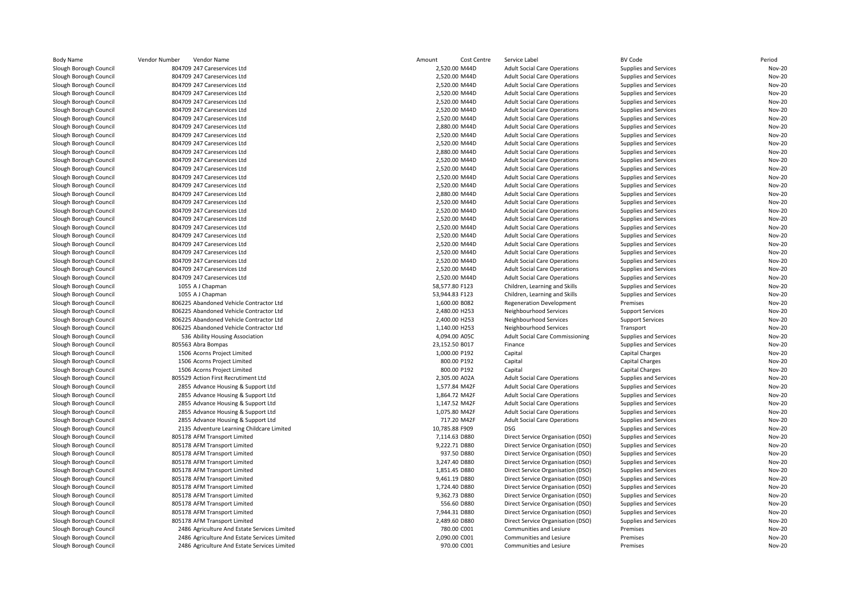| <b>Body Name</b>       | Vendor Number<br>Vendor Name                 | Amount<br>Cost Centre | Service Label                          | <b>BV Code</b>          | Period        |
|------------------------|----------------------------------------------|-----------------------|----------------------------------------|-------------------------|---------------|
| Slough Borough Council | 804709 247 Careservices Ltd                  | 2,520.00 M44D         | <b>Adult Social Care Operations</b>    | Supplies and Services   | <b>Nov-20</b> |
| Slough Borough Council | 804709 247 Careservices Ltd                  | 2,520.00 M44D         | <b>Adult Social Care Operations</b>    | Supplies and Services   | <b>Nov-20</b> |
| Slough Borough Council | 804709 247 Careservices Ltd                  | 2,520.00 M44D         | <b>Adult Social Care Operations</b>    | Supplies and Services   | <b>Nov-20</b> |
| Slough Borough Council | 804709 247 Careservices Ltd                  | 2,520.00 M44D         | <b>Adult Social Care Operations</b>    | Supplies and Services   | <b>Nov-20</b> |
| Slough Borough Council | 804709 247 Careservices Ltd                  | 2,520.00 M44D         | <b>Adult Social Care Operations</b>    | Supplies and Services   | <b>Nov-20</b> |
| Slough Borough Council | 804709 247 Careservices Ltd                  | 2,520.00 M44D         | <b>Adult Social Care Operations</b>    | Supplies and Services   | <b>Nov-20</b> |
| Slough Borough Council | 804709 247 Careservices Ltd                  | 2,520.00 M44D         | <b>Adult Social Care Operations</b>    | Supplies and Services   | <b>Nov-20</b> |
| Slough Borough Council | 804709 247 Careservices Ltd                  | 2,880.00 M44D         | <b>Adult Social Care Operations</b>    | Supplies and Services   | <b>Nov-20</b> |
| Slough Borough Council | 804709 247 Careservices Ltd                  | 2,520.00 M44D         | <b>Adult Social Care Operations</b>    | Supplies and Services   | <b>Nov-20</b> |
| Slough Borough Council | 804709 247 Careservices Ltd                  | 2,520.00 M44D         | <b>Adult Social Care Operations</b>    | Supplies and Services   | <b>Nov-20</b> |
| Slough Borough Council | 804709 247 Careservices Ltd                  | 2,880.00 M44D         | <b>Adult Social Care Operations</b>    | Supplies and Services   | <b>Nov-20</b> |
| Slough Borough Council | 804709 247 Careservices Ltd                  | 2,520.00 M44D         | <b>Adult Social Care Operations</b>    | Supplies and Services   | <b>Nov-20</b> |
| Slough Borough Council | 804709 247 Careservices Ltd                  | 2,520.00 M44D         | <b>Adult Social Care Operations</b>    | Supplies and Services   | <b>Nov-20</b> |
| Slough Borough Council | 804709 247 Careservices Ltd                  | 2,520.00 M44D         | <b>Adult Social Care Operations</b>    | Supplies and Services   | <b>Nov-20</b> |
| Slough Borough Council | 804709 247 Careservices Ltd                  | 2,520.00 M44D         | <b>Adult Social Care Operations</b>    | Supplies and Services   | <b>Nov-20</b> |
| Slough Borough Council | 804709 247 Careservices Ltd                  | 2,880.00 M44D         | <b>Adult Social Care Operations</b>    | Supplies and Services   | <b>Nov-20</b> |
| Slough Borough Council | 804709 247 Careservices Ltd                  | 2,520.00 M44D         | <b>Adult Social Care Operations</b>    | Supplies and Services   | <b>Nov-20</b> |
| Slough Borough Council | 804709 247 Careservices Ltd                  | 2,520.00 M44D         | <b>Adult Social Care Operations</b>    | Supplies and Services   | <b>Nov-20</b> |
| Slough Borough Council | 804709 247 Careservices Ltd                  | 2,520.00 M44D         | <b>Adult Social Care Operations</b>    | Supplies and Services   | <b>Nov-20</b> |
| Slough Borough Council | 804709 247 Careservices Ltd                  | 2,520.00 M44D         | <b>Adult Social Care Operations</b>    | Supplies and Services   | <b>Nov-20</b> |
| Slough Borough Council | 804709 247 Careservices Ltd                  | 2,520.00 M44D         | <b>Adult Social Care Operations</b>    | Supplies and Services   | <b>Nov-20</b> |
| Slough Borough Council | 804709 247 Careservices Ltd                  | 2,520.00 M44D         | <b>Adult Social Care Operations</b>    | Supplies and Services   | <b>Nov-20</b> |
| Slough Borough Council | 804709 247 Careservices Ltd                  | 2.520.00 M44D         | <b>Adult Social Care Operations</b>    | Supplies and Services   | <b>Nov-20</b> |
| Slough Borough Council | 804709 247 Careservices Ltd                  | 2,520.00 M44D         | <b>Adult Social Care Operations</b>    | Supplies and Services   | <b>Nov-20</b> |
| Slough Borough Council | 804709 247 Careservices Ltd                  | 2,520.00 M44D         | <b>Adult Social Care Operations</b>    | Supplies and Services   | <b>Nov-20</b> |
| Slough Borough Council | 804709 247 Careservices Ltd                  | 2,520.00 M44D         | <b>Adult Social Care Operations</b>    | Supplies and Services   | <b>Nov-20</b> |
| Slough Borough Council | 1055 A J Chapman                             | 58,577.80 F123        | Children, Learning and Skills          | Supplies and Services   | <b>Nov-20</b> |
| Slough Borough Council | 1055 A J Chapman                             | 53,944.83 F123        | Children, Learning and Skills          | Supplies and Services   | <b>Nov-20</b> |
| Slough Borough Council | 806225 Abandoned Vehicle Contractor Ltd      | 1,600.00 B082         | <b>Regeneration Development</b>        | Premises                | <b>Nov-20</b> |
|                        | 806225 Abandoned Vehicle Contractor Ltd      |                       |                                        |                         | <b>Nov-20</b> |
| Slough Borough Council | 806225 Abandoned Vehicle Contractor Ltd      | 2,480.00 H253         | Neighbourhood Services                 | <b>Support Services</b> | <b>Nov-20</b> |
| Slough Borough Council |                                              | 2,400.00 H253         | Neighbourhood Services                 | <b>Support Services</b> | <b>Nov-20</b> |
| Slough Borough Council | 806225 Abandoned Vehicle Contractor Ltd      | 1,140.00 H253         | Neighbourhood Services                 | Transport               |               |
| Slough Borough Council | 536 Ability Housing Association              | 4,094.00 A05C         | <b>Adult Social Care Commissioning</b> | Supplies and Services   | <b>Nov-20</b> |
| Slough Borough Council | 805563 Abra Bompas                           | 23,152.50 B017        | Finance                                | Supplies and Services   | <b>Nov-20</b> |
| Slough Borough Council | 1506 Acorns Project Limited                  | 1,000.00 P192         | Capital                                | Capital Charges         | <b>Nov-20</b> |
| Slough Borough Council | 1506 Acorns Project Limited                  | 800.00 P192           | Capital                                | Capital Charges         | <b>Nov-20</b> |
| Slough Borough Council | 1506 Acorns Project Limited                  | 800.00 P192           | Capital                                | Capital Charges         | <b>Nov-20</b> |
| Slough Borough Council | 805529 Action First Recrutiment Ltd          | 2,305.00 A02A         | <b>Adult Social Care Operations</b>    | Supplies and Services   | <b>Nov-20</b> |
| Slough Borough Council | 2855 Advance Housing & Support Ltd           | 1,577.84 M42F         | <b>Adult Social Care Operations</b>    | Supplies and Services   | <b>Nov-20</b> |
| Slough Borough Council | 2855 Advance Housing & Support Ltd           | 1,864.72 M42F         | <b>Adult Social Care Operations</b>    | Supplies and Services   | <b>Nov-20</b> |
| Slough Borough Council | 2855 Advance Housing & Support Ltd           | 1,147.52 M42F         | <b>Adult Social Care Operations</b>    | Supplies and Services   | <b>Nov-20</b> |
| Slough Borough Council | 2855 Advance Housing & Support Ltd           | 1,075.80 M42F         | <b>Adult Social Care Operations</b>    | Supplies and Services   | <b>Nov-20</b> |
| Slough Borough Council | 2855 Advance Housing & Support Ltd           | 717.20 M42F           | <b>Adult Social Care Operations</b>    | Supplies and Services   | <b>Nov-20</b> |
| Slough Borough Council | 2135 Adventure Learning Childcare Limited    | 10,785.88 F909        | DSG                                    | Supplies and Services   | <b>Nov-20</b> |
| Slough Borough Council | 805178 AFM Transport Limited                 | 7,114.63 D880         | Direct Service Organisation (DSO)      | Supplies and Services   | <b>Nov-20</b> |
| Slough Borough Council | 805178 AFM Transport Limited                 | 9,222.71 D880         | Direct Service Organisation (DSO)      | Supplies and Services   | <b>Nov-20</b> |
| Slough Borough Council | 805178 AFM Transport Limited                 | 937.50 D880           | Direct Service Organisation (DSO)      | Supplies and Services   | <b>Nov-20</b> |
| Slough Borough Council | 805178 AFM Transport Limited                 | 3,247.40 D880         | Direct Service Organisation (DSO)      | Supplies and Services   | <b>Nov-20</b> |
| Slough Borough Council | 805178 AFM Transport Limited                 | 1,851.45 D880         | Direct Service Organisation (DSO)      | Supplies and Services   | <b>Nov-20</b> |
| Slough Borough Council | 805178 AFM Transport Limited                 | 9,461.19 D880         | Direct Service Organisation (DSO)      | Supplies and Services   | <b>Nov-20</b> |
| Slough Borough Council | 805178 AFM Transport Limited                 | 1,724.40 D880         | Direct Service Organisation (DSO)      | Supplies and Services   | <b>Nov-20</b> |
| Slough Borough Council | 805178 AFM Transport Limited                 | 9,362.73 D880         | Direct Service Organisation (DSO)      | Supplies and Services   | <b>Nov-20</b> |
| Slough Borough Council | 805178 AFM Transport Limited                 | 556.60 D880           | Direct Service Organisation (DSO)      | Supplies and Services   | <b>Nov-20</b> |
| Slough Borough Council | 805178 AFM Transport Limited                 | 7,944.31 D880         | Direct Service Organisation (DSO)      | Supplies and Services   | <b>Nov-20</b> |
| Slough Borough Council | 805178 AFM Transport Limited                 | 2,489.60 D880         | Direct Service Organisation (DSO)      | Supplies and Services   | <b>Nov-20</b> |
| Slough Borough Council | 2486 Agriculture And Estate Services Limited | 780.00 C001           | Communities and Lesiure                | Premises                | <b>Nov-20</b> |
| Slough Borough Council | 2486 Agriculture And Estate Services Limited | 2,090.00 C001         | Communities and Lesiure                | Premises                | <b>Nov-20</b> |
| Slough Borough Council | 2486 Agriculture And Estate Services Limited | 970.00 C001           | Communities and Lesiure                | Premises                | <b>Nov-20</b> |
|                        |                                              |                       |                                        |                         |               |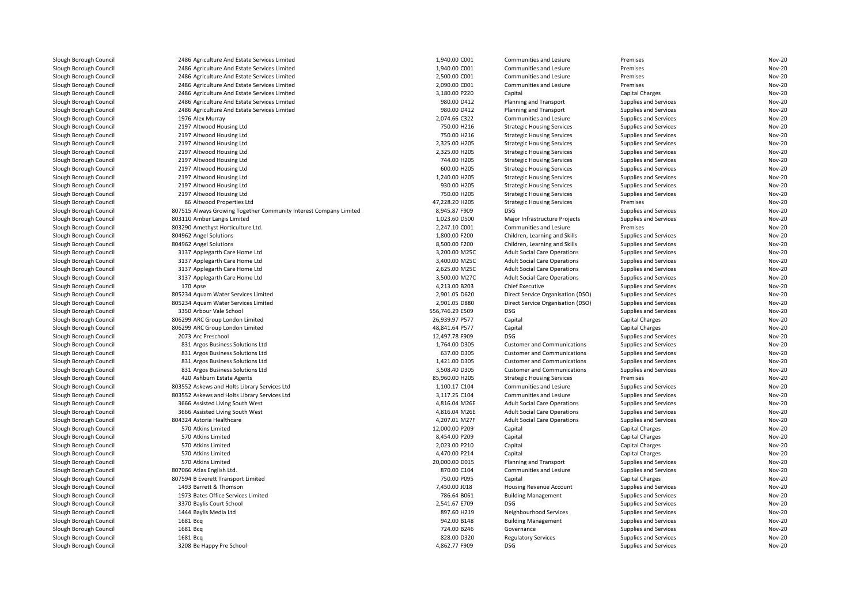| Slough Borough Council | 2486 Agriculture And Estate Services Limited                      | 1,940.00 C001                  | Communities and Lesiure             | Premises              | <b>Nov-20</b>                  |
|------------------------|-------------------------------------------------------------------|--------------------------------|-------------------------------------|-----------------------|--------------------------------|
| Slough Borough Council | 2486 Agriculture And Estate Services Limited                      | 1,940.00 C001                  | Communities and Lesiure             | Premises              | <b>Nov-20</b>                  |
| Slough Borough Council | 2486 Agriculture And Estate Services Limited                      | 2,500.00 C001                  | Communities and Lesiure             | Premises              | <b>Nov-20</b>                  |
| Slough Borough Council | 2486 Agriculture And Estate Services Limited                      | 2,090.00 C001                  | Communities and Lesiure             | Premises              | <b>Nov-20</b>                  |
| Slough Borough Council | 2486 Agriculture And Estate Services Limited                      | 3,180.00 P220                  | Capital                             | Capital Charges       | <b>Nov-20</b>                  |
| Slough Borough Council | 2486 Agriculture And Estate Services Limited                      | 980.00 D412                    | Planning and Transport              | Supplies and Services | <b>Nov-20</b>                  |
| Slough Borough Council | 2486 Agriculture And Estate Services Limited                      | 980.00 D412                    | Planning and Transport              | Supplies and Services | <b>Nov-20</b>                  |
| Slough Borough Council | 1976 Alex Murray                                                  | 2,074.66 C322                  | Communities and Lesiure             | Supplies and Services | <b>Nov-20</b>                  |
| Slough Borough Council | 2197 Altwood Housing Ltd                                          | 750.00 H216                    | <b>Strategic Housing Services</b>   | Supplies and Services | <b>Nov-20</b>                  |
| Slough Borough Council | 2197 Altwood Housing Ltd                                          | 750.00 H216                    | <b>Strategic Housing Services</b>   | Supplies and Services | <b>Nov-20</b>                  |
| Slough Borough Council | 2197 Altwood Housing Ltd                                          | 2,325.00 H205                  | <b>Strategic Housing Services</b>   | Supplies and Services | Nov-20                         |
| Slough Borough Council | 2197 Altwood Housing Ltd                                          | 2,325.00 H205                  | <b>Strategic Housing Services</b>   | Supplies and Services | <b>Nov-20</b>                  |
| Slough Borough Council | 2197 Altwood Housing Ltd                                          | 744.00 H205                    | <b>Strategic Housing Services</b>   | Supplies and Services | Nov-20                         |
| Slough Borough Council | 2197 Altwood Housing Ltd                                          | 600.00 H205                    | <b>Strategic Housing Services</b>   | Supplies and Services | <b>Nov-20</b>                  |
| Slough Borough Council | 2197 Altwood Housing Ltd                                          | 1,240.00 H205                  | <b>Strategic Housing Services</b>   | Supplies and Services | Nov-20                         |
| Slough Borough Council | 2197 Altwood Housing Ltd                                          | 930.00 H205                    | <b>Strategic Housing Services</b>   | Supplies and Services | <b>Nov-20</b>                  |
| Slough Borough Council | 2197 Altwood Housing Ltd                                          | 750.00 H205                    | <b>Strategic Housing Services</b>   | Supplies and Services | Nov-20                         |
| Slough Borough Council | 86 Altwood Properties Ltd                                         | 47,228.20 H205                 | <b>Strategic Housing Services</b>   | Premises              | <b>Nov-20</b>                  |
| Slough Borough Council | 807515 Always Growing Together Community Interest Company Limited | 8,945.87 F909                  | <b>DSG</b>                          | Supplies and Services | <b>Nov-20</b>                  |
| Slough Borough Council | 803110 Amber Langis Limited                                       | 1,023.60 D500                  | Major Infrastructure Projects       | Supplies and Services | <b>Nov-20</b>                  |
| Slough Borough Council | 803290 Amethyst Horticulture Ltd.                                 | 2,247.10 C001                  | Communities and Lesiure             | Premises              | <b>Nov-20</b>                  |
| Slough Borough Council | 804962 Angel Solutions                                            | 1,800.00 F200                  | Children, Learning and Skills       | Supplies and Services | <b>Nov-20</b>                  |
| Slough Borough Council | 804962 Angel Solutions                                            | 8,500.00 F200                  | Children, Learning and Skills       | Supplies and Services | <b>Nov-20</b>                  |
| Slough Borough Council | 3137 Applegarth Care Home Ltd                                     | 3,200.00 M25C                  | <b>Adult Social Care Operations</b> | Supplies and Services | <b>Nov-20</b>                  |
| Slough Borough Council | 3137 Applegarth Care Home Ltd                                     | 3,400.00 M25C                  | <b>Adult Social Care Operations</b> | Supplies and Services | <b>Nov-20</b>                  |
| Slough Borough Council | 3137 Applegarth Care Home Ltd                                     | 2,625.00 M25C                  | <b>Adult Social Care Operations</b> | Supplies and Services | <b>Nov-20</b>                  |
| Slough Borough Council | 3137 Applegarth Care Home Ltd                                     | 3,500.00 M27C                  | <b>Adult Social Care Operations</b> | Supplies and Services | <b>Nov-20</b>                  |
| Slough Borough Council | 170 Apse                                                          | 4,213.00 B203                  | <b>Chief Executive</b>              | Supplies and Services | <b>Nov-20</b>                  |
| Slough Borough Council | 805234 Aquam Water Services Limited                               | 2,901.05 D620                  | Direct Service Organisation (DSO)   | Supplies and Services | <b>Nov-20</b>                  |
| Slough Borough Council | 805234 Aquam Water Services Limited                               | 2,901.05 D880                  | Direct Service Organisation (DSO)   | Supplies and Services | <b>Nov-20</b>                  |
| Slough Borough Council | 3350 Arbour Vale School                                           | 556,746.29 E509                | <b>DSG</b>                          | Supplies and Services | <b>Nov-20</b>                  |
| Slough Borough Council | 806299 ARC Group London Limited                                   | 26,939.97 P577                 | Capital                             | Capital Charges       | <b>Nov-20</b>                  |
| Slough Borough Council | 806299 ARC Group London Limited                                   | 48,841.64 P577                 | Capital                             | Capital Charges       | Nov-20                         |
| Slough Borough Council | 2073 Arc Preschool                                                | 12,497.78 F909                 | DSG                                 | Supplies and Services | <b>Nov-20</b>                  |
| Slough Borough Council | 831 Argos Business Solutions Ltd                                  | 1,764.00 D305                  | <b>Customer and Communications</b>  | Supplies and Services | <b>Nov-20</b>                  |
| Slough Borough Council | 831 Argos Business Solutions Ltd                                  | 637.00 D305                    | <b>Customer and Communications</b>  | Supplies and Services | <b>Nov-20</b>                  |
| Slough Borough Council | 831 Argos Business Solutions Ltd                                  | 1,421.00 D305                  | <b>Customer and Communications</b>  | Supplies and Services | <b>Nov-20</b>                  |
| Slough Borough Council | 831 Argos Business Solutions Ltd                                  | 3,508.40 D305                  | <b>Customer and Communications</b>  | Supplies and Services | <b>Nov-20</b>                  |
| Slough Borough Council | 420 Ashburn Estate Agents                                         | 85,960.00 H205                 | <b>Strategic Housing Services</b>   | Premises              | <b>Nov-20</b>                  |
| Slough Borough Council | 803552 Askews and Holts Library Services Ltd                      | 1,100.17 C104                  | Communities and Lesiure             | Supplies and Services | <b>Nov-20</b>                  |
|                        |                                                                   |                                |                                     |                       |                                |
| Slough Borough Council | 803552 Askews and Holts Library Services Ltd                      | 3,117.25 C104<br>4,816.04 M26E | Communities and Lesiure             | Supplies and Services | <b>Nov-20</b><br><b>Nov-20</b> |
| Slough Borough Council | 3666 Assisted Living South West                                   |                                | <b>Adult Social Care Operations</b> | Supplies and Services |                                |
| Slough Borough Council | 3666 Assisted Living South West                                   | 4,816.04 M26E                  | <b>Adult Social Care Operations</b> | Supplies and Services | <b>Nov-20</b><br><b>Nov-20</b> |
| Slough Borough Council | 804324 Astoria Healthcare                                         | 4,207.01 M27F                  | <b>Adult Social Care Operations</b> | Supplies and Services |                                |
| Slough Borough Council | 570 Atkins Limited                                                | 12,000.00 P209                 | Capital                             | Capital Charges       | Nov-20                         |
| Slough Borough Council | 570 Atkins Limited                                                | 8,454.00 P209                  | Capital                             | Capital Charges       | <b>Nov-20</b>                  |
| Slough Borough Council | 570 Atkins Limited                                                | 2,023.00 P210                  | Capital                             | Capital Charges       | Nov-20                         |
| Slough Borough Council | 570 Atkins Limited                                                | 4,470.00 P214                  | Capital                             | Capital Charges       | <b>Nov-20</b>                  |
| Slough Borough Council | 570 Atkins Limited                                                | 20,000.00 D015                 | Planning and Transport              | Supplies and Services | <b>Nov-20</b>                  |
| Slough Borough Council | 807066 Atlas English Ltd                                          | 870.00 C104                    | Communities and Lesiure             | Supplies and Services | <b>Nov-20</b>                  |
| Slough Borough Council | 807594 B Everett Transport Limited                                | 750.00 P095                    | Capital                             | Capital Charges       | <b>Nov-20</b>                  |
| Slough Borough Council | 1493 Barrett & Thomson                                            | 7,450.00 J018                  | Housing Revenue Account             | Supplies and Services | <b>Nov-20</b>                  |
| Slough Borough Council | 1973 Bates Office Services Limited                                | 786.64 B061                    | <b>Building Management</b>          | Supplies and Services | <b>Nov-20</b>                  |
| Slough Borough Council | 3370 Baylis Court School                                          | 2,541.67 E709                  | <b>DSG</b>                          | Supplies and Services | <b>Nov-20</b>                  |
| Slough Borough Council | 1444 Baylis Media Ltd                                             | 897.60 H219                    | Neighbourhood Services              | Supplies and Services | <b>Nov-20</b>                  |
| Slough Borough Council | 1681 Bcg                                                          | 942.00 B148                    | <b>Building Management</b>          | Supplies and Services | <b>Nov-20</b>                  |
| Slough Borough Council | 1681 Bcq                                                          | 724.00 B246                    | Governance                          | Supplies and Services | <b>Nov-20</b>                  |
| Slough Borough Council | 1681 Bcg                                                          | 828.00 D320                    | <b>Regulatory Services</b>          | Supplies and Services | <b>Nov-20</b>                  |
| Slough Borough Council | 3208 Be Happy Pre School                                          | 4,862.77 F909                  | <b>DSG</b>                          | Supplies and Services | Nov-20                         |
|                        |                                                                   |                                |                                     |                       |                                |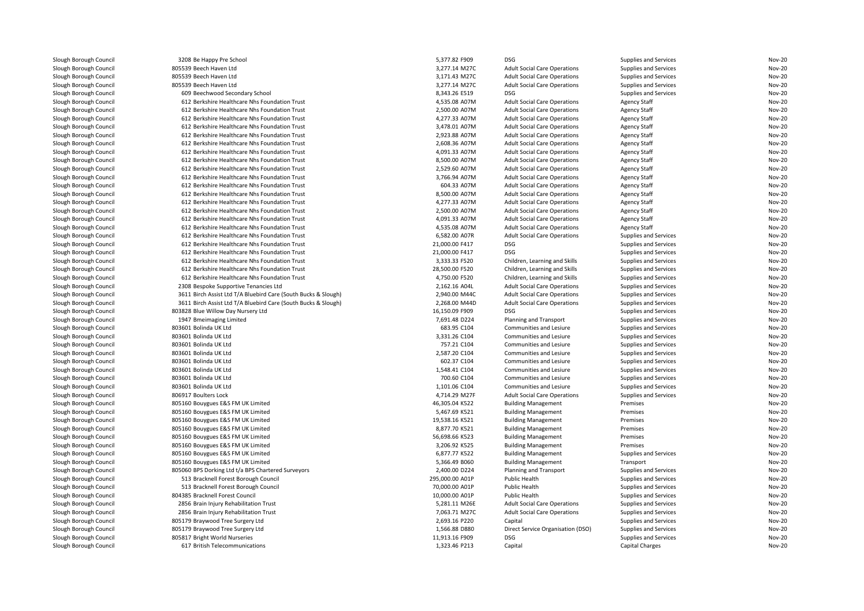| Slough Borough Council                           | 3208 Be Happy Pre School                                       | 5,377.82 F909   | <b>DSG</b>                                                        | Supplies and Services | <b>Nov-20</b> |
|--------------------------------------------------|----------------------------------------------------------------|-----------------|-------------------------------------------------------------------|-----------------------|---------------|
| Slough Borough Council                           | 805539 Beech Haven Ltd                                         | 3,277.14 M27C   | <b>Adult Social Care Operations</b>                               | Supplies and Services | <b>Nov-20</b> |
| Slough Borough Council                           | 805539 Beech Haven Ltd                                         | 3,171.43 M27C   | <b>Adult Social Care Operations</b>                               | Supplies and Services | <b>Nov-20</b> |
| Slough Borough Council                           | 805539 Beech Haven Ltd                                         | 3,277.14 M27C   | <b>Adult Social Care Operations</b>                               | Supplies and Services | <b>Nov-20</b> |
| Slough Borough Council                           | 609 Beechwood Secondary School                                 | 8,343.26 E519   | DSG                                                               | Supplies and Services | <b>Nov-20</b> |
| Slough Borough Council                           | 612 Berkshire Healthcare Nhs Foundation Trust                  | 4,535.08 A07M   | <b>Adult Social Care Operations</b>                               | <b>Agency Staff</b>   | <b>Nov-20</b> |
| Slough Borough Council                           | 612 Berkshire Healthcare Nhs Foundation Trust                  | 2,500.00 A07M   | <b>Adult Social Care Operations</b>                               | <b>Agency Staff</b>   | <b>Nov-20</b> |
| Slough Borough Council                           | 612 Berkshire Healthcare Nhs Foundation Trust                  | 4,277.33 A07M   | <b>Adult Social Care Operations</b>                               | <b>Agency Staff</b>   | <b>Nov-20</b> |
| Slough Borough Council                           | 612 Berkshire Healthcare Nhs Foundation Trust                  | 3,478.01 A07M   | <b>Adult Social Care Operations</b>                               | <b>Agency Staff</b>   | <b>Nov-20</b> |
| Slough Borough Council                           | 612 Berkshire Healthcare Nhs Foundation Trust                  | 2,923.88 A07M   | <b>Adult Social Care Operations</b>                               | <b>Agency Staff</b>   | <b>Nov-20</b> |
| Slough Borough Council                           | 612 Berkshire Healthcare Nhs Foundation Trust                  | 2,608.36 A07M   | <b>Adult Social Care Operations</b>                               | <b>Agency Staff</b>   | <b>Nov-20</b> |
| Slough Borough Council                           | 612 Berkshire Healthcare Nhs Foundation Trust                  | 4,091.33 A07M   | <b>Adult Social Care Operations</b>                               | <b>Agency Staff</b>   | <b>Nov-20</b> |
| Slough Borough Council                           | 612 Berkshire Healthcare Nhs Foundation Trust                  | 8,500.00 A07M   | <b>Adult Social Care Operations</b>                               | <b>Agency Staff</b>   | <b>Nov-20</b> |
| Slough Borough Council                           | 612 Berkshire Healthcare Nhs Foundation Trust                  | 2,529.60 A07M   | <b>Adult Social Care Operations</b>                               | <b>Agency Staff</b>   | <b>Nov-20</b> |
| Slough Borough Council                           | 612 Berkshire Healthcare Nhs Foundation Trust                  | 3,766.94 A07M   | <b>Adult Social Care Operations</b>                               | <b>Agency Staff</b>   | <b>Nov-20</b> |
| Slough Borough Council                           | 612 Berkshire Healthcare Nhs Foundation Trust                  | 604.33 A07M     | <b>Adult Social Care Operations</b>                               | <b>Agency Staff</b>   | <b>Nov-20</b> |
| Slough Borough Council                           | 612 Berkshire Healthcare Nhs Foundation Trust                  | 8,500.00 A07M   | <b>Adult Social Care Operations</b>                               | <b>Agency Staff</b>   | Nov-20        |
| Slough Borough Council                           | 612 Berkshire Healthcare Nhs Foundation Trust                  | 4,277.33 A07M   | <b>Adult Social Care Operations</b>                               | <b>Agency Staff</b>   | <b>Nov-20</b> |
| Slough Borough Council                           | 612 Berkshire Healthcare Nhs Foundation Trust                  | 2,500.00 A07M   | <b>Adult Social Care Operations</b>                               | <b>Agency Staff</b>   | <b>Nov-20</b> |
| Slough Borough Council                           | 612 Berkshire Healthcare Nhs Foundation Trust                  | 4,091.33 A07M   | <b>Adult Social Care Operations</b>                               | <b>Agency Staff</b>   | <b>Nov-20</b> |
| Slough Borough Council                           | 612 Berkshire Healthcare Nhs Foundation Trust                  | 4,535.08 A07M   | <b>Adult Social Care Operations</b>                               | Agency Staff          | <b>Nov-20</b> |
| Slough Borough Council                           | 612 Berkshire Healthcare Nhs Foundation Trust                  | 6,582.00 A07R   | <b>Adult Social Care Operations</b>                               | Supplies and Services | <b>Nov-20</b> |
| Slough Borough Council                           | 612 Berkshire Healthcare Nhs Foundation Trust                  | 21,000.00 F417  | DSG                                                               | Supplies and Services | <b>Nov-20</b> |
| Slough Borough Council                           | 612 Berkshire Healthcare Nhs Foundation Trust                  | 21,000.00 F417  | <b>DSG</b>                                                        | Supplies and Services | <b>Nov-20</b> |
| Slough Borough Council                           | 612 Berkshire Healthcare Nhs Foundation Trust                  | 3,333.33 F520   | Children, Learning and Skills                                     | Supplies and Services | <b>Nov-20</b> |
| Slough Borough Council                           | 612 Berkshire Healthcare Nhs Foundation Trust                  | 28,500.00 F520  | Children, Learning and Skills                                     | Supplies and Services | <b>Nov-20</b> |
| Slough Borough Council                           | 612 Berkshire Healthcare Nhs Foundation Trust                  | 4,750.00 F520   | Children, Learning and Skills                                     | Supplies and Services | <b>Nov-20</b> |
| Slough Borough Council                           | 2308 Bespoke Supportive Tenancies Ltd                          | 2,162.16 A04L   | <b>Adult Social Care Operations</b>                               | Supplies and Services | <b>Nov-20</b> |
| Slough Borough Council                           | 3611 Birch Assist Ltd T/A Bluebird Care (South Bucks & Slough) | 2,940.00 M44C   | <b>Adult Social Care Operations</b>                               | Supplies and Services | <b>Nov-20</b> |
| Slough Borough Council                           | 3611 Birch Assist Ltd T/A Bluebird Care (South Bucks & Slough) | 2,268.00 M44D   | <b>Adult Social Care Operations</b>                               | Supplies and Services | Nov-20        |
| Slough Borough Council                           | 803828 Blue Willow Day Nursery Ltd                             | 16,150.09 F909  | <b>DSG</b>                                                        | Supplies and Services | <b>Nov-20</b> |
| Slough Borough Council                           | 1947 Bmeimaging Limited                                        | 7,691.48 D224   | Planning and Transport                                            | Supplies and Services | <b>Nov-20</b> |
| Slough Borough Council                           | 803601 Bolinda UK Ltd                                          | 683.95 C104     | Communities and Lesiure                                           | Supplies and Services | <b>Nov-20</b> |
| Slough Borough Council                           | 803601 Bolinda UK Ltd                                          | 3,331.26 C104   | Communities and Lesiure                                           | Supplies and Services | <b>Nov-20</b> |
| Slough Borough Council                           | 803601 Bolinda UK Ltd                                          | 757.21 C104     | Communities and Lesiure                                           | Supplies and Services | <b>Nov-20</b> |
| Slough Borough Council                           | 803601 Bolinda UK Ltd                                          | 2,587.20 C104   | Communities and Lesiure                                           | Supplies and Services | <b>Nov-20</b> |
| Slough Borough Council                           | 803601 Bolinda UK Ltd                                          | 602.37 C104     | Communities and Lesiure                                           | Supplies and Services | <b>Nov-20</b> |
| Slough Borough Council                           | 803601 Bolinda UK Ltd                                          | 1,548.41 C104   | Communities and Lesiure                                           | Supplies and Services | <b>Nov-20</b> |
| Slough Borough Council                           | 803601 Bolinda UK Ltd                                          | 700.60 C104     | Communities and Lesiure                                           | Supplies and Services | <b>Nov-20</b> |
| Slough Borough Council                           | 803601 Bolinda UK Ltd                                          | 1,101.06 C104   | Communities and Lesiure                                           | Supplies and Services | <b>Nov-20</b> |
| Slough Borough Council                           | 806917 Boulters Lock                                           | 4,714.29 M27F   |                                                                   | Supplies and Services | <b>Nov-20</b> |
| Slough Borough Council                           | 805160 Bouygues E&S FM UK Limited                              | 46,305.04 K522  | <b>Adult Social Care Operations</b><br><b>Building Management</b> | Premises              | <b>Nov-20</b> |
| Slough Borough Council                           | 805160 Bouygues E&S FM UK Limited                              | 5,467.69 K521   | <b>Building Management</b>                                        | Premises              | <b>Nov-20</b> |
| Slough Borough Council                           | 805160 Bouygues E&S FM UK Limited                              | 19,538.16 K521  |                                                                   | Premises              | <b>Nov-20</b> |
| Slough Borough Council                           | 805160 Bouygues E&S FM UK Limited                              | 8,877.70 K521   | <b>Building Management</b><br><b>Building Management</b>          | Premises              | <b>Nov-20</b> |
|                                                  | 805160 Bouygues E&S FM UK Limited                              | 56,698.66 K523  |                                                                   | Premises              | <b>Nov-20</b> |
| Slough Borough Council<br>Slough Borough Council | 805160 Bouygues E&S FM UK Limited                              | 3,206.92 K525   | <b>Building Management</b><br><b>Building Management</b>          | Premises              | <b>Nov-20</b> |
|                                                  |                                                                | 6,877.77 K522   |                                                                   |                       | Nov-20        |
| Slough Borough Council                           | 805160 Bouygues E&S FM UK Limited                              | 5,366.49 B060   | <b>Building Management</b>                                        | Supplies and Services | <b>Nov-20</b> |
| Slough Borough Council                           | 805160 Bouygues E&S FM UK Limited                              |                 | <b>Building Management</b>                                        | Transport             |               |
| Slough Borough Council                           | 805060 BPS Dorking Ltd t/a BPS Chartered Surveyors             | 2,400.00 D224   | Planning and Transport                                            | Supplies and Services | <b>Nov-20</b> |
| Slough Borough Council                           | 513 Bracknell Forest Borough Council                           | 295,000.00 A01P | Public Health                                                     | Supplies and Services | <b>Nov-20</b> |
| Slough Borough Council                           | 513 Bracknell Forest Borough Council                           | 70,000.00 A01P  | Public Health                                                     | Supplies and Services | Nov-20        |
| Slough Borough Council                           | 804385 Bracknell Forest Council                                | 10,000.00 A01P  | Public Health                                                     | Supplies and Services | <b>Nov-20</b> |
| Slough Borough Council                           | 2856 Brain Injury Rehabilitation Trust                         | 5,281.11 M26E   | <b>Adult Social Care Operations</b>                               | Supplies and Services | <b>Nov-20</b> |
| Slough Borough Council                           | 2856 Brain Injury Rehabilitation Trust                         | 7,063.71 M27C   | <b>Adult Social Care Operations</b>                               | Supplies and Services | <b>Nov-20</b> |
| Slough Borough Council                           | 805179 Braywood Tree Surgery Ltd                               | 2,693.16 P220   | Capital                                                           | Supplies and Services | <b>Nov-20</b> |
| Slough Borough Council                           | 805179 Braywood Tree Surgery Ltd                               | 1,566.88 D880   | Direct Service Organisation (DSO)                                 | Supplies and Services | <b>Nov-20</b> |
| Slough Borough Council                           | 805817 Bright World Nurseries                                  | 11,913.16 F909  | <b>DSG</b>                                                        | Supplies and Services | <b>Nov-20</b> |
| Slough Borough Council                           | 617 British Telecommunications                                 | 1,323.46 P213   | Capital                                                           | Capital Charges       | <b>Nov-20</b> |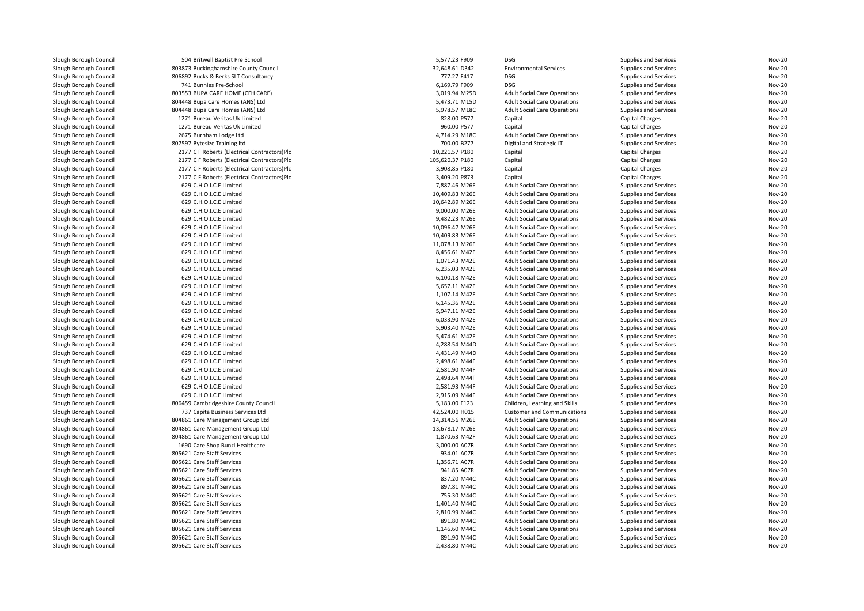| Slough Borough Council                           | 504 Britwell Baptist Pre School              | 5,577.23 F909   | <b>DSG</b>                          | Supplies and Services                          | Nov-20 |
|--------------------------------------------------|----------------------------------------------|-----------------|-------------------------------------|------------------------------------------------|--------|
| Slough Borough Council                           | 803873 Buckinghamshire County Council        | 32,648.61 D342  | <b>Environmental Services</b>       | <b>Supplies and Services</b>                   | Nov-20 |
|                                                  | 806892 Bucks & Berks SLT Consultancy         | 777.27 F417     | <b>DSG</b>                          |                                                | Nov-20 |
| Slough Borough Council<br>Slough Borough Council | 741 Bunnies Pre-School                       | 6,169.79 F909   | <b>DSG</b>                          | Supplies and Services<br>Supplies and Services | Nov-20 |
| Slough Borough Council                           | 803553 BUPA CARE HOME (CFH CARE)             | 3,019.94 M25D   | <b>Adult Social Care Operations</b> | Supplies and Services                          | Nov-20 |
| Slough Borough Council                           | 804448 Bupa Care Homes (ANS) Ltd             | 5,473.71 M15D   | <b>Adult Social Care Operations</b> | Supplies and Services                          | Nov-20 |
|                                                  |                                              |                 |                                     |                                                |        |
| Slough Borough Council                           | 804448 Bupa Care Homes (ANS) Ltd             | 5,978.57 M18C   | <b>Adult Social Care Operations</b> | Supplies and Services                          | Nov-20 |
| Slough Borough Council                           | 1271 Bureau Veritas Uk Limited               | 828.00 P577     | Capital                             | Capital Charges                                | Nov-20 |
| Slough Borough Council                           | 1271 Bureau Veritas Uk Limited               | 960.00 P577     | Capital                             | Capital Charges                                | Nov-20 |
| Slough Borough Council                           | 2675 Burnham Lodge Ltd                       | 4,714.29 M18C   | <b>Adult Social Care Operations</b> | Supplies and Services                          | Nov-20 |
| Slough Borough Council                           | 807597 Bytesize Training Itd                 | 700.00 B277     | Digital and Strategic IT            | Supplies and Services                          | Nov-20 |
| Slough Borough Council                           | 2177 C F Roberts (Electrical Contractors)Plc | 10,221.57 P180  | Capital                             | Capital Charges                                | Nov-20 |
| Slough Borough Council                           | 2177 C F Roberts (Electrical Contractors)Plc | 105,620.37 P180 | Capital                             | Capital Charges                                | Nov-20 |
| Slough Borough Council                           | 2177 C F Roberts (Electrical Contractors)Plc | 3,908.85 P180   | Capital                             | Capital Charges                                | Nov-20 |
| Slough Borough Council                           | 2177 C F Roberts (Electrical Contractors)Plc | 3,409.20 P873   | Capital                             | <b>Capital Charges</b>                         | Nov-20 |
| Slough Borough Council                           | 629 C.H.O.I.C.E Limited                      | 7,887.46 M26E   | <b>Adult Social Care Operations</b> | Supplies and Services                          | Nov-20 |
| Slough Borough Council                           | 629 C.H.O.I.C.E Limited                      | 10,409.83 M26E  | <b>Adult Social Care Operations</b> | Supplies and Services                          | Nov-20 |
| Slough Borough Council                           | 629 C.H.O.I.C.E Limited                      | 10.642.89 M26E  | <b>Adult Social Care Operations</b> | Supplies and Services                          | Nov-20 |
| Slough Borough Council                           | 629 C.H.O.I.C.E Limited                      | 9,000.00 M26E   | <b>Adult Social Care Operations</b> | Supplies and Services                          | Nov-20 |
| Slough Borough Council                           | 629 C.H.O.I.C.E Limited                      | 9,482.23 M26E   | <b>Adult Social Care Operations</b> | Supplies and Services                          | Nov-20 |
| Slough Borough Council                           | 629 C.H.O.I.C.E Limited                      | 10,096.47 M26E  | <b>Adult Social Care Operations</b> | Supplies and Services                          | Nov-20 |
| Slough Borough Council                           | 629 C.H.O.I.C.E Limited                      | 10,409.83 M26E  | <b>Adult Social Care Operations</b> | Supplies and Services                          | Nov-20 |
| Slough Borough Council                           | 629 C.H.O.I.C.E Limited                      | 11,078.13 M26E  | <b>Adult Social Care Operations</b> | Supplies and Services                          | Nov-20 |
| Slough Borough Council                           | 629 C.H.O.I.C.E Limited                      | 8,456.61 M42E   | <b>Adult Social Care Operations</b> | Supplies and Services                          | Nov-20 |
| Slough Borough Council                           | 629 C.H.O.I.C.E Limited                      | 1,071.43 M42E   | <b>Adult Social Care Operations</b> | Supplies and Services                          | Nov-20 |
| Slough Borough Council                           | 629 C.H.O.I.C.E Limited                      | 6,235.03 M42E   | <b>Adult Social Care Operations</b> | Supplies and Services                          | Nov-20 |
| Slough Borough Council                           | 629 C.H.O.I.C.E Limited                      | 6,100.18 M42E   | <b>Adult Social Care Operations</b> | Supplies and Services                          | Nov-20 |
| Slough Borough Council                           | 629 C.H.O.I.C.E Limited                      | 5,657.11 M42E   | <b>Adult Social Care Operations</b> | Supplies and Services                          | Nov-20 |
| Slough Borough Council                           | 629 C.H.O.I.C.E Limited                      | 1,107.14 M42E   | <b>Adult Social Care Operations</b> | Supplies and Services                          | Nov-20 |
| Slough Borough Council                           | 629 C.H.O.I.C.E Limited                      | 6,145.36 M42E   | <b>Adult Social Care Operations</b> | Supplies and Services                          | Nov-20 |
| Slough Borough Council                           | 629 C.H.O.I.C.E Limited                      | 5,947.11 M42E   | <b>Adult Social Care Operations</b> | Supplies and Services                          | Nov-20 |
| Slough Borough Council                           | 629 C.H.O.I.C.E Limited                      | 6.033.90 M42E   | <b>Adult Social Care Operations</b> | Supplies and Services                          | Nov-20 |
| Slough Borough Council                           | 629 C.H.O.I.C.E Limited                      | 5,903.40 M42E   | <b>Adult Social Care Operations</b> | Supplies and Services                          | Nov-20 |
| Slough Borough Council                           | 629 C.H.O.I.C.E Limited                      | 5,474.61 M42E   | <b>Adult Social Care Operations</b> | Supplies and Services                          | Nov-20 |
| Slough Borough Council                           | 629 C.H.O.I.C.E Limited                      | 4,288.54 M44D   | <b>Adult Social Care Operations</b> | Supplies and Services                          | Nov-20 |
| Slough Borough Council                           | 629 C.H.O.I.C.E Limited                      | 4,431.49 M44D   | <b>Adult Social Care Operations</b> | Supplies and Services                          | Nov-20 |
| Slough Borough Council                           | 629 C.H.O.I.C.E Limited                      | 2,498.61 M44F   | <b>Adult Social Care Operations</b> | Supplies and Services                          | Nov-20 |
| Slough Borough Council                           | 629 C.H.O.I.C.E Limited                      | 2,581.90 M44F   | <b>Adult Social Care Operations</b> | Supplies and Services                          | Nov-20 |
| Slough Borough Council                           | 629 C.H.O.I.C.E Limited                      | 2,498.64 M44F   | <b>Adult Social Care Operations</b> | Supplies and Services                          | Nov-20 |
| Slough Borough Council                           | 629 C.H.O.I.C.E Limited                      | 2,581.93 M44F   | <b>Adult Social Care Operations</b> | Supplies and Services                          | Nov-20 |
| Slough Borough Council                           | 629 C.H.O.I.C.E Limited                      | 2,915.09 M44F   | <b>Adult Social Care Operations</b> | Supplies and Services                          | Nov-20 |
| Slough Borough Council                           | 806459 Cambridgeshire County Council         | 5,183.00 F123   | Children, Learning and Skills       | Supplies and Services                          | Nov-20 |
| Slough Borough Council                           | 737 Capita Business Services Ltd             | 42,524.00 H015  | <b>Customer and Communications</b>  | Supplies and Services                          | Nov-20 |
| Slough Borough Council                           | 804861 Care Management Group Ltd             | 14,314.56 M26E  | <b>Adult Social Care Operations</b> | Supplies and Services                          | Nov-20 |
| Slough Borough Council                           | 804861 Care Management Group Ltd             | 13,678.17 M26E  | <b>Adult Social Care Operations</b> | Supplies and Services                          | Nov-20 |
| Slough Borough Council                           | 804861 Care Management Group Ltd             | 1,870.63 M42F   | <b>Adult Social Care Operations</b> | Supplies and Services                          | Nov-20 |
| Slough Borough Council                           | 1690 Care Shop Bunzl Healthcare              | 3,000.00 A07R   | <b>Adult Social Care Operations</b> | Supplies and Services                          | Nov-20 |
| Slough Borough Council                           | 805621 Care Staff Services                   | 934.01 A07R     | <b>Adult Social Care Operations</b> | Supplies and Services                          | Nov-20 |
| Slough Borough Council                           | 805621 Care Staff Services                   | 1,356.71 A07R   | <b>Adult Social Care Operations</b> | Supplies and Services                          | Nov-20 |
| Slough Borough Council                           | 805621 Care Staff Services                   | 941.85 A07R     | <b>Adult Social Care Operations</b> | Supplies and Services                          | Nov-20 |
| Slough Borough Council                           | 805621 Care Staff Services                   | 837.20 M44C     | <b>Adult Social Care Operations</b> | Supplies and Services                          | Nov-20 |
| Slough Borough Council                           | 805621 Care Staff Services                   | 897.81 M44C     | <b>Adult Social Care Operations</b> | Supplies and Services                          | Nov-20 |
| Slough Borough Council                           | 805621 Care Staff Services                   | 755.30 M44C     | <b>Adult Social Care Operations</b> | Supplies and Services                          | Nov-20 |
| Slough Borough Council                           | 805621 Care Staff Services                   | 1,401.40 M44C   | <b>Adult Social Care Operations</b> | Supplies and Services                          | Nov-20 |
| Slough Borough Council                           | 805621 Care Staff Services                   | 2,810.99 M44C   | <b>Adult Social Care Operations</b> | Supplies and Services                          | Nov-20 |
| Slough Borough Council                           | 805621 Care Staff Services                   | 891.80 M44C     | <b>Adult Social Care Operations</b> | Supplies and Services                          | Nov-20 |
| Slough Borough Council                           | 805621 Care Staff Services                   | 1,146.60 M44C   | <b>Adult Social Care Operations</b> | Supplies and Services                          | Nov-20 |
| Slough Borough Council                           | 805621 Care Staff Services                   | 891.90 M44C     | <b>Adult Social Care Operations</b> | Supplies and Services                          | Nov-20 |
| Slough Borough Council                           | 805621 Care Staff Services                   | 2,438.80 M44C   | <b>Adult Social Care Operations</b> | Supplies and Services                          | Nov-20 |
|                                                  |                                              |                 |                                     |                                                |        |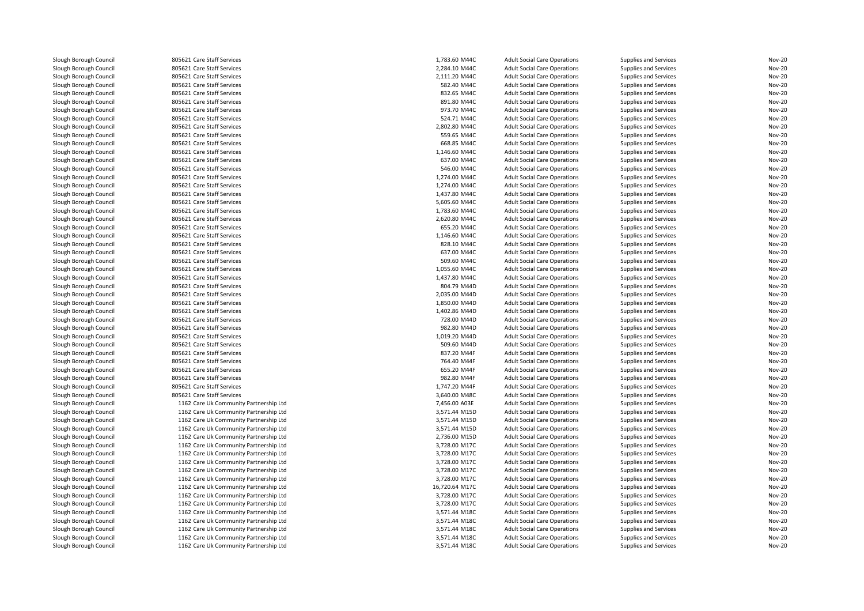| Slough Borough Council | 805621 Care Staff Services             | 1,783.60 M44C                  | <b>Adult Social Care Operations</b> | Supplies and Services | <b>Nov-20</b>                  |
|------------------------|----------------------------------------|--------------------------------|-------------------------------------|-----------------------|--------------------------------|
| Slough Borough Council | 805621 Care Staff Services             | 2,284.10 M44C                  | <b>Adult Social Care Operations</b> | Supplies and Services | <b>Nov-20</b>                  |
| Slough Borough Council | 805621 Care Staff Services             | 2,111.20 M44C                  | <b>Adult Social Care Operations</b> | Supplies and Services | <b>Nov-20</b>                  |
| Slough Borough Council | 805621 Care Staff Services             | 582.40 M44C                    | <b>Adult Social Care Operations</b> | Supplies and Services | <b>Nov-20</b>                  |
| Slough Borough Council | 805621 Care Staff Services             | 832.65 M44C                    | <b>Adult Social Care Operations</b> | Supplies and Services | <b>Nov-20</b>                  |
| Slough Borough Council | 805621 Care Staff Services             | 891.80 M44C                    | <b>Adult Social Care Operations</b> | Supplies and Services | <b>Nov-20</b>                  |
| Slough Borough Council | 805621 Care Staff Services             | 973.70 M44C                    | <b>Adult Social Care Operations</b> | Supplies and Services | <b>Nov-20</b>                  |
| Slough Borough Council | 805621 Care Staff Services             | 524.71 M44C                    | <b>Adult Social Care Operations</b> | Supplies and Services | <b>Nov-20</b>                  |
| Slough Borough Council | 805621 Care Staff Services             | 2,802.80 M44C                  | <b>Adult Social Care Operations</b> | Supplies and Services | <b>Nov-20</b>                  |
| Slough Borough Council | 805621 Care Staff Services             | 559.65 M44C                    | <b>Adult Social Care Operations</b> | Supplies and Services | <b>Nov-20</b>                  |
| Slough Borough Council | 805621 Care Staff Services             | 668.85 M44C                    | <b>Adult Social Care Operations</b> | Supplies and Services | <b>Nov-20</b>                  |
| Slough Borough Council | 805621 Care Staff Services             | 1,146.60 M44C                  | <b>Adult Social Care Operations</b> | Supplies and Services | <b>Nov-20</b>                  |
| Slough Borough Council | 805621 Care Staff Services             | 637.00 M44C                    | <b>Adult Social Care Operations</b> | Supplies and Services | <b>Nov-20</b>                  |
| Slough Borough Council | 805621 Care Staff Services             | 546.00 M44C                    | <b>Adult Social Care Operations</b> | Supplies and Services | <b>Nov-20</b>                  |
|                        |                                        |                                |                                     |                       |                                |
| Slough Borough Council | 805621 Care Staff Services             | 1,274.00 M44C                  | <b>Adult Social Care Operations</b> | Supplies and Services | <b>Nov-20</b><br><b>Nov-20</b> |
| Slough Borough Council | 805621 Care Staff Services             | 1,274.00 M44C                  | <b>Adult Social Care Operations</b> | Supplies and Services |                                |
| Slough Borough Council | 805621 Care Staff Services             | 1,437.80 M44C                  | <b>Adult Social Care Operations</b> | Supplies and Services | <b>Nov-20</b>                  |
| Slough Borough Council | 805621 Care Staff Services             | 5,605.60 M44C                  | <b>Adult Social Care Operations</b> | Supplies and Services | <b>Nov-20</b>                  |
| Slough Borough Council | 805621 Care Staff Services             | 1,783.60 M44C                  | <b>Adult Social Care Operations</b> | Supplies and Services | <b>Nov-20</b>                  |
| Slough Borough Council | 805621 Care Staff Services             | 2,620.80 M44C                  | <b>Adult Social Care Operations</b> | Supplies and Services | <b>Nov-20</b>                  |
| Slough Borough Council | 805621 Care Staff Services             | 655.20 M44C                    | <b>Adult Social Care Operations</b> | Supplies and Services | <b>Nov-20</b>                  |
| Slough Borough Council | 805621 Care Staff Services             | 1,146.60 M44C                  | <b>Adult Social Care Operations</b> | Supplies and Services | <b>Nov-20</b>                  |
| Slough Borough Council | 805621 Care Staff Services             | 828.10 M44C                    | <b>Adult Social Care Operations</b> | Supplies and Services | <b>Nov-20</b>                  |
| Slough Borough Council | 805621 Care Staff Services             | 637.00 M44C                    | <b>Adult Social Care Operations</b> | Supplies and Services | <b>Nov-20</b>                  |
| Slough Borough Council | 805621 Care Staff Services             | 509.60 M44C                    | <b>Adult Social Care Operations</b> | Supplies and Services | <b>Nov-20</b>                  |
| Slough Borough Council | 805621 Care Staff Services             | 1,055.60 M44C                  | <b>Adult Social Care Operations</b> | Supplies and Services | <b>Nov-20</b>                  |
| Slough Borough Council | 805621 Care Staff Services             | 1,437.80 M44C                  | <b>Adult Social Care Operations</b> | Supplies and Services | <b>Nov-20</b>                  |
| Slough Borough Council | 805621 Care Staff Services             | 804.79 M44D                    | <b>Adult Social Care Operations</b> | Supplies and Services | <b>Nov-20</b>                  |
| Slough Borough Council | 805621 Care Staff Services             | 2,035.00 M44D                  | <b>Adult Social Care Operations</b> | Supplies and Services | <b>Nov-20</b>                  |
| Slough Borough Council | 805621 Care Staff Services             | 1,850.00 M44D                  | <b>Adult Social Care Operations</b> | Supplies and Services | <b>Nov-20</b>                  |
| Slough Borough Council | 805621 Care Staff Services             | 1,402.86 M44D                  | <b>Adult Social Care Operations</b> | Supplies and Services | <b>Nov-20</b>                  |
| Slough Borough Council | 805621 Care Staff Services             | 728.00 M44D                    | <b>Adult Social Care Operations</b> | Supplies and Services | <b>Nov-20</b>                  |
| Slough Borough Council | 805621 Care Staff Services             | 982.80 M44D                    | <b>Adult Social Care Operations</b> | Supplies and Services | <b>Nov-20</b>                  |
| Slough Borough Council | 805621 Care Staff Services             | 1,019.20 M44D                  | <b>Adult Social Care Operations</b> | Supplies and Services | <b>Nov-20</b>                  |
| Slough Borough Council | 805621 Care Staff Services             | 509.60 M44D                    | <b>Adult Social Care Operations</b> | Supplies and Services | <b>Nov-20</b>                  |
| Slough Borough Council | 805621 Care Staff Services             | 837.20 M44F                    | <b>Adult Social Care Operations</b> | Supplies and Services | <b>Nov-20</b>                  |
| Slough Borough Council | 805621 Care Staff Services             | 764.40 M44F                    | <b>Adult Social Care Operations</b> | Supplies and Services | <b>Nov-20</b>                  |
| Slough Borough Council | 805621 Care Staff Services             | 655.20 M44F                    | <b>Adult Social Care Operations</b> | Supplies and Services | <b>Nov-20</b>                  |
| Slough Borough Council | 805621 Care Staff Services             | 982.80 M44F                    | <b>Adult Social Care Operations</b> | Supplies and Services | <b>Nov-20</b>                  |
| Slough Borough Council | 805621 Care Staff Services             | 1,747.20 M44F                  | <b>Adult Social Care Operations</b> | Supplies and Services | <b>Nov-20</b>                  |
| Slough Borough Council | 805621 Care Staff Services             | 3,640.00 M48C                  | <b>Adult Social Care Operations</b> | Supplies and Services | <b>Nov-20</b>                  |
| Slough Borough Council | 1162 Care Uk Community Partnership Ltd | 7,456.00 A03E                  | <b>Adult Social Care Operations</b> | Supplies and Services | <b>Nov-20</b>                  |
| Slough Borough Council | 1162 Care Uk Community Partnership Ltd | 3,571.44 M15D                  | <b>Adult Social Care Operations</b> | Supplies and Services | <b>Nov-20</b>                  |
| Slough Borough Council | 1162 Care Uk Community Partnership Ltd | 3,571.44 M15D                  | <b>Adult Social Care Operations</b> | Supplies and Services | <b>Nov-20</b>                  |
| Slough Borough Council | 1162 Care Uk Community Partnership Ltd | 3,571.44 M15D                  | <b>Adult Social Care Operations</b> | Supplies and Services | <b>Nov-20</b>                  |
| Slough Borough Council | 1162 Care Uk Community Partnership Ltd | 2,736.00 M15D                  | <b>Adult Social Care Operations</b> | Supplies and Services | <b>Nov-20</b>                  |
| Slough Borough Council | 1162 Care Uk Community Partnership Ltd | 3,728.00 M17C                  | <b>Adult Social Care Operations</b> | Supplies and Services | <b>Nov-20</b>                  |
| Slough Borough Council | 1162 Care Uk Community Partnership Ltd | 3,728.00 M17C                  | <b>Adult Social Care Operations</b> | Supplies and Services | <b>Nov-20</b>                  |
|                        |                                        |                                |                                     |                       |                                |
| Slough Borough Council | 1162 Care Uk Community Partnership Ltd | 3,728.00 M17C<br>3,728.00 M17C | <b>Adult Social Care Operations</b> | Supplies and Services | <b>Nov-20</b><br><b>Nov-20</b> |
| Slough Borough Council | 1162 Care Uk Community Partnership Ltd |                                | <b>Adult Social Care Operations</b> | Supplies and Services |                                |
| Slough Borough Council | 1162 Care Uk Community Partnership Ltd | 3,728.00 M17C                  | <b>Adult Social Care Operations</b> | Supplies and Services | <b>Nov-20</b>                  |
| Slough Borough Council | 1162 Care Uk Community Partnership Ltd | 16,720.64 M17C                 | <b>Adult Social Care Operations</b> | Supplies and Services | <b>Nov-20</b>                  |
| Slough Borough Council | 1162 Care Uk Community Partnership Ltd | 3,728.00 M17C                  | <b>Adult Social Care Operations</b> | Supplies and Services | <b>Nov-20</b>                  |
| Slough Borough Council | 1162 Care Uk Community Partnership Ltd | 3,728.00 M17C                  | <b>Adult Social Care Operations</b> | Supplies and Services | <b>Nov-20</b>                  |
| Slough Borough Council | 1162 Care Uk Community Partnership Ltd | 3,571.44 M18C                  | <b>Adult Social Care Operations</b> | Supplies and Services | <b>Nov-20</b>                  |
| Slough Borough Council | 1162 Care Uk Community Partnership Ltd | 3,571.44 M18C                  | <b>Adult Social Care Operations</b> | Supplies and Services | <b>Nov-20</b>                  |
| Slough Borough Council | 1162 Care Uk Community Partnership Ltd | 3,571.44 M18C                  | <b>Adult Social Care Operations</b> | Supplies and Services | <b>Nov-20</b>                  |
| Slough Borough Council | 1162 Care Uk Community Partnership Ltd | 3,571.44 M18C                  | <b>Adult Social Care Operations</b> | Supplies and Services | <b>Nov-20</b>                  |
| Slough Borough Council | 1162 Care Uk Community Partnership Ltd | 3,571.44 M18C                  | <b>Adult Social Care Operations</b> | Supplies and Services | <b>Nov-20</b>                  |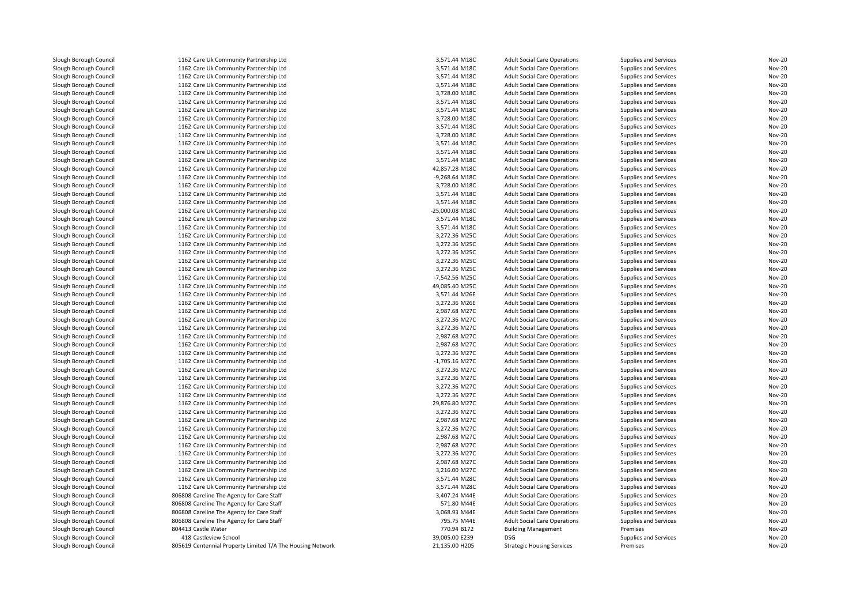| Slough Borough Council | 1162 Care Uk Community Partnership Ltd                     | 3,571.44 M18C   | <b>Adult Social Care Operations</b> | Supplies and Services | Nov-20 |
|------------------------|------------------------------------------------------------|-----------------|-------------------------------------|-----------------------|--------|
| Slough Borough Council | 1162 Care Uk Community Partnership Ltd                     | 3,571.44 M18C   | <b>Adult Social Care Operations</b> | Supplies and Services | Nov-20 |
| Slough Borough Council | 1162 Care Uk Community Partnership Ltd                     | 3,571.44 M18C   | <b>Adult Social Care Operations</b> | Supplies and Services | Nov-20 |
| Slough Borough Council | 1162 Care Uk Community Partnership Ltd                     | 3,571.44 M18C   | <b>Adult Social Care Operations</b> | Supplies and Services | Nov-20 |
| Slough Borough Council | 1162 Care Uk Community Partnership Ltd                     | 3,728.00 M18C   | <b>Adult Social Care Operations</b> | Supplies and Services | Nov-20 |
| Slough Borough Council | 1162 Care Uk Community Partnership Ltd                     | 3,571.44 M18C   | <b>Adult Social Care Operations</b> | Supplies and Services | Nov-20 |
| Slough Borough Council | 1162 Care Uk Community Partnership Ltd                     | 3,571.44 M18C   | <b>Adult Social Care Operations</b> | Supplies and Services | Nov-20 |
| Slough Borough Council | 1162 Care Uk Community Partnership Ltd                     | 3,728.00 M18C   | <b>Adult Social Care Operations</b> | Supplies and Services | Nov-20 |
| Slough Borough Council | 1162 Care Uk Community Partnership Ltd                     | 3,571.44 M18C   | <b>Adult Social Care Operations</b> | Supplies and Services | Nov-20 |
| Slough Borough Council | 1162 Care Uk Community Partnership Ltd                     | 3,728.00 M18C   | <b>Adult Social Care Operations</b> | Supplies and Services | Nov-20 |
| Slough Borough Council | 1162 Care Uk Community Partnership Ltd                     | 3,571.44 M18C   | <b>Adult Social Care Operations</b> | Supplies and Services | Nov-20 |
| Slough Borough Council | 1162 Care Uk Community Partnership Ltd                     | 3,571.44 M18C   | <b>Adult Social Care Operations</b> | Supplies and Services | Nov-20 |
| Slough Borough Council | 1162 Care Uk Community Partnership Ltd                     | 3,571.44 M18C   | <b>Adult Social Care Operations</b> | Supplies and Services | Nov-20 |
| Slough Borough Council | 1162 Care Uk Community Partnership Ltd                     | 42,857.28 M18C  | <b>Adult Social Care Operations</b> | Supplies and Services | Nov-20 |
| Slough Borough Council | 1162 Care Uk Community Partnership Ltd                     | -9,268.64 M18C  | <b>Adult Social Care Operations</b> | Supplies and Services | Nov-20 |
| Slough Borough Council | 1162 Care Uk Community Partnership Ltd                     | 3,728.00 M18C   | <b>Adult Social Care Operations</b> | Supplies and Services | Nov-20 |
| Slough Borough Council | 1162 Care Uk Community Partnership Ltd                     | 3,571.44 M18C   | <b>Adult Social Care Operations</b> | Supplies and Services | Nov-20 |
| Slough Borough Council | 1162 Care Uk Community Partnership Ltd                     | 3,571.44 M18C   | <b>Adult Social Care Operations</b> | Supplies and Services | Nov-20 |
| Slough Borough Council | 1162 Care Uk Community Partnership Ltd                     | -25,000.08 M18C | <b>Adult Social Care Operations</b> | Supplies and Services | Nov-20 |
| Slough Borough Council | 1162 Care Uk Community Partnership Ltd                     | 3,571.44 M18C   | <b>Adult Social Care Operations</b> | Supplies and Services | Nov-20 |
| Slough Borough Council | 1162 Care Uk Community Partnership Ltd                     | 3,571.44 M18C   | <b>Adult Social Care Operations</b> | Supplies and Services | Nov-20 |
| Slough Borough Council | 1162 Care Uk Community Partnership Ltd                     | 3,272.36 M25C   | <b>Adult Social Care Operations</b> | Supplies and Services | Nov-20 |
| Slough Borough Council | 1162 Care Uk Community Partnership Ltd                     | 3,272.36 M25C   | <b>Adult Social Care Operations</b> | Supplies and Services | Nov-20 |
| Slough Borough Council | 1162 Care Uk Community Partnership Ltd                     | 3,272.36 M25C   | <b>Adult Social Care Operations</b> | Supplies and Services | Nov-20 |
| Slough Borough Council | 1162 Care Uk Community Partnership Ltd                     | 3,272.36 M25C   | <b>Adult Social Care Operations</b> | Supplies and Services | Nov-20 |
| Slough Borough Council | 1162 Care Uk Community Partnership Ltd                     | 3,272.36 M25C   | <b>Adult Social Care Operations</b> | Supplies and Services | Nov-20 |
| Slough Borough Council | 1162 Care Uk Community Partnership Ltd                     | -7,542.56 M25C  | <b>Adult Social Care Operations</b> | Supplies and Services | Nov-20 |
| Slough Borough Council | 1162 Care Uk Community Partnership Ltd                     | 49,085.40 M25C  | <b>Adult Social Care Operations</b> | Supplies and Services | Nov-20 |
| Slough Borough Council | 1162 Care Uk Community Partnership Ltd                     | 3,571.44 M26E   | <b>Adult Social Care Operations</b> | Supplies and Services | Nov-20 |
| Slough Borough Council | 1162 Care Uk Community Partnership Ltd                     | 3,272.36 M26E   | <b>Adult Social Care Operations</b> | Supplies and Services | Nov-20 |
| Slough Borough Council | 1162 Care Uk Community Partnership Ltd                     | 2,987.68 M27C   | <b>Adult Social Care Operations</b> | Supplies and Services | Nov-20 |
| Slough Borough Council | 1162 Care Uk Community Partnership Ltd                     | 3,272.36 M27C   | <b>Adult Social Care Operations</b> | Supplies and Services | Nov-20 |
| Slough Borough Council | 1162 Care Uk Community Partnership Ltd                     | 3,272.36 M27C   | <b>Adult Social Care Operations</b> | Supplies and Services | Nov-20 |
| Slough Borough Council | 1162 Care Uk Community Partnership Ltd                     | 2,987.68 M27C   | <b>Adult Social Care Operations</b> | Supplies and Services | Nov-20 |
| Slough Borough Council | 1162 Care Uk Community Partnership Ltd                     | 2,987.68 M27C   | <b>Adult Social Care Operations</b> | Supplies and Services | Nov-20 |
| Slough Borough Council | 1162 Care Uk Community Partnership Ltd                     | 3,272.36 M27C   | <b>Adult Social Care Operations</b> | Supplies and Services | Nov-20 |
| Slough Borough Council | 1162 Care Uk Community Partnership Ltd                     | -1,705.16 M27C  | <b>Adult Social Care Operations</b> | Supplies and Services | Nov-20 |
| Slough Borough Council | 1162 Care Uk Community Partnership Ltd                     | 3,272.36 M27C   | <b>Adult Social Care Operations</b> | Supplies and Services | Nov-20 |
| Slough Borough Council | 1162 Care Uk Community Partnership Ltd                     | 3,272.36 M27C   | <b>Adult Social Care Operations</b> | Supplies and Services | Nov-20 |
| Slough Borough Council | 1162 Care Uk Community Partnership Ltd                     | 3,272.36 M27C   | <b>Adult Social Care Operations</b> | Supplies and Services | Nov-20 |
| Slough Borough Council | 1162 Care Uk Community Partnership Ltd                     | 3,272.36 M27C   | <b>Adult Social Care Operations</b> | Supplies and Services | Nov-20 |
| Slough Borough Council | 1162 Care Uk Community Partnership Ltd                     | 29,876.80 M27C  | <b>Adult Social Care Operations</b> | Supplies and Services | Nov-20 |
| Slough Borough Council | 1162 Care Uk Community Partnership Ltd                     | 3,272.36 M27C   | <b>Adult Social Care Operations</b> | Supplies and Services | Nov-20 |
| Slough Borough Council | 1162 Care Uk Community Partnership Ltd                     | 2,987.68 M27C   | <b>Adult Social Care Operations</b> | Supplies and Services | Nov-20 |
| Slough Borough Council | 1162 Care Uk Community Partnership Ltd                     | 3,272.36 M27C   | <b>Adult Social Care Operations</b> | Supplies and Services | Nov-20 |
| Slough Borough Council | 1162 Care Uk Community Partnership Ltd                     | 2,987.68 M27C   | <b>Adult Social Care Operations</b> | Supplies and Services | Nov-20 |
| Slough Borough Council | 1162 Care Uk Community Partnership Ltd                     | 2,987.68 M27C   | <b>Adult Social Care Operations</b> | Supplies and Services | Nov-20 |
| Slough Borough Council | 1162 Care Uk Community Partnership Ltd                     | 3,272.36 M27C   | <b>Adult Social Care Operations</b> | Supplies and Services | Nov-20 |
| Slough Borough Council | 1162 Care Uk Community Partnership Ltd                     | 2,987.68 M27C   | <b>Adult Social Care Operations</b> | Supplies and Services | Nov-20 |
| Slough Borough Council | 1162 Care Uk Community Partnership Ltd                     | 3,216.00 M27C   | <b>Adult Social Care Operations</b> | Supplies and Services | Nov-20 |
| Slough Borough Council | 1162 Care Uk Community Partnership Ltd                     | 3,571.44 M28C   | <b>Adult Social Care Operations</b> | Supplies and Services | Nov-20 |
| Slough Borough Council | 1162 Care Uk Community Partnership Ltd                     | 3,571.44 M28C   | <b>Adult Social Care Operations</b> | Supplies and Services | Nov-20 |
| Slough Borough Council | 806808 Careline The Agency for Care Staff                  | 3,407.24 M44E   | <b>Adult Social Care Operations</b> | Supplies and Services | Nov-20 |
| Slough Borough Council | 806808 Careline The Agency for Care Staff                  | 571.80 M44E     | <b>Adult Social Care Operations</b> | Supplies and Services | Nov-20 |
| Slough Borough Council | 806808 Careline The Agency for Care Staff                  | 3,068.93 M44E   | <b>Adult Social Care Operations</b> | Supplies and Services | Nov-20 |
| Slough Borough Council | 806808 Careline The Agency for Care Staff                  | 795.75 M44E     | <b>Adult Social Care Operations</b> | Supplies and Services | Nov-20 |
| Slough Borough Council | 804413 Castle Water                                        | 770.94 B172     | <b>Building Management</b>          | Premises              | Nov-20 |
| Slough Borough Council | 418 Castleview School                                      | 39,005.00 E239  | <b>DSG</b>                          | Supplies and Services | Nov-20 |
| Slough Borough Council | 805619 Centennial Property Limited T/A The Housing Network | 21,135.00 H205  | <b>Strategic Housing Services</b>   | Premises              | Nov-20 |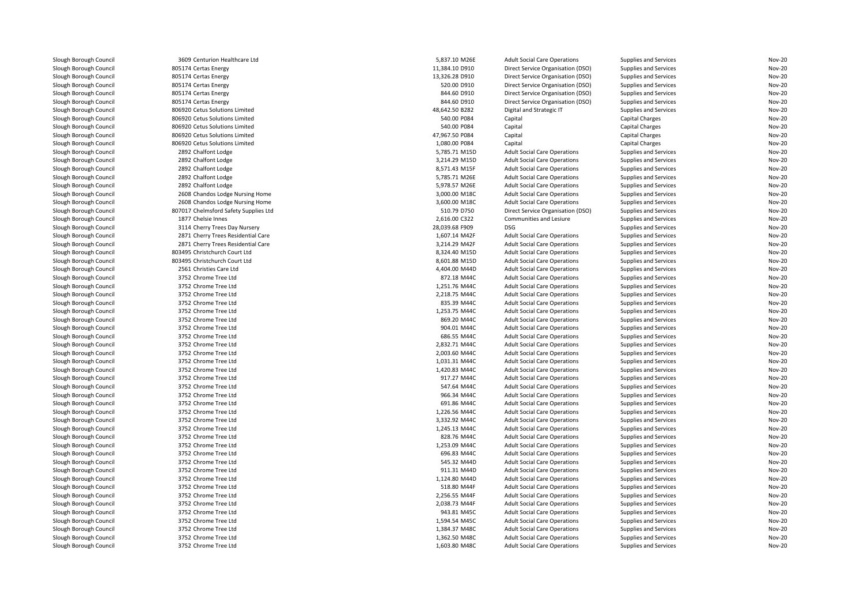| Slough Borough Council                           | 3609 Centurion Healthcare Ltd         | 5,837.10 M26E  | <b>Adult Social Care Operations</b> | Supplies and Services  | <b>Nov-20</b> |
|--------------------------------------------------|---------------------------------------|----------------|-------------------------------------|------------------------|---------------|
| Slough Borough Council                           | 805174 Certas Energy                  | 11,384.10 D910 | Direct Service Organisation (DSO)   | Supplies and Services  | <b>Nov-20</b> |
| Slough Borough Council                           | 805174 Certas Energy                  | 13,326.28 D910 | Direct Service Organisation (DSO)   | Supplies and Services  | <b>Nov-20</b> |
| Slough Borough Council                           | 805174 Certas Energy                  | 520.00 D910    | Direct Service Organisation (DSO)   | Supplies and Services  | <b>Nov-20</b> |
| Slough Borough Council                           | 805174 Certas Energy                  | 844.60 D910    | Direct Service Organisation (DSO)   | Supplies and Services  | <b>Nov-20</b> |
| Slough Borough Council                           | 805174 Certas Energy                  | 844.60 D910    | Direct Service Organisation (DSO)   | Supplies and Services  | <b>Nov-20</b> |
| Slough Borough Council                           | 806920 Cetus Solutions Limited        | 48,642.50 B282 | Digital and Strategic IT            | Supplies and Services  | Nov-20        |
| Slough Borough Council                           | 806920 Cetus Solutions Limited        | 540.00 P084    | Capital                             | <b>Capital Charges</b> | <b>Nov-20</b> |
| Slough Borough Council                           | 806920 Cetus Solutions Limited        | 540.00 P084    | Capital                             | <b>Capital Charges</b> | <b>Nov-20</b> |
| Slough Borough Council                           | 806920 Cetus Solutions Limited        | 47,967.50 P084 | Capital                             | Capital Charges        | <b>Nov-20</b> |
| Slough Borough Council                           | 806920 Cetus Solutions Limited        | 1,080.00 P084  | Capital                             | <b>Capital Charges</b> | <b>Nov-20</b> |
| Slough Borough Council                           | 2892 Chalfont Lodge                   | 5,785.71 M15D  | <b>Adult Social Care Operations</b> | Supplies and Services  | <b>Nov-20</b> |
| Slough Borough Council                           | 2892 Chalfont Lodge                   | 3,214.29 M15D  | <b>Adult Social Care Operations</b> | Supplies and Services  | <b>Nov-20</b> |
| Slough Borough Council                           | 2892 Chalfont Lodge                   | 8,571.43 M15F  | <b>Adult Social Care Operations</b> | Supplies and Services  | <b>Nov-20</b> |
| Slough Borough Council                           | 2892 Chalfont Lodge                   | 5,785.71 M26E  | <b>Adult Social Care Operations</b> | Supplies and Services  | <b>Nov-20</b> |
| Slough Borough Council                           | 2892 Chalfont Lodge                   | 5,978.57 M26E  | <b>Adult Social Care Operations</b> | Supplies and Services  | <b>Nov-20</b> |
| Slough Borough Council                           | 2608 Chandos Lodge Nursing Home       | 3,000.00 M18C  | <b>Adult Social Care Operations</b> | Supplies and Services  | <b>Nov-20</b> |
| Slough Borough Council                           | 2608 Chandos Lodge Nursing Home       | 3,600.00 M18C  | <b>Adult Social Care Operations</b> | Supplies and Services  | <b>Nov-20</b> |
| Slough Borough Council                           | 807017 Chelmsford Safety Supplies Ltd | 510.79 D750    | Direct Service Organisation (DSO)   | Supplies and Services  | <b>Nov-20</b> |
| Slough Borough Council                           | 1877 Chelsie Innes                    | 2,616.00 C322  | Communities and Lesiure             | Supplies and Services  | <b>Nov-20</b> |
| Slough Borough Council                           | 3114 Cherry Trees Day Nursery         | 28,039.68 F909 | <b>DSG</b>                          | Supplies and Services  | <b>Nov-20</b> |
| Slough Borough Council                           | 2871 Cherry Trees Residential Care    | 1,607.14 M42F  | <b>Adult Social Care Operations</b> | Supplies and Services  | <b>Nov-20</b> |
| Slough Borough Council                           | 2871 Cherry Trees Residential Care    | 3,214.29 M42F  | <b>Adult Social Care Operations</b> | Supplies and Services  | <b>Nov-20</b> |
| Slough Borough Council                           | 803495 Christchurch Court Ltd         | 8,324.40 M15D  | <b>Adult Social Care Operations</b> | Supplies and Services  | <b>Nov-20</b> |
| Slough Borough Council                           | 803495 Christchurch Court Ltd         | 8,601.88 M15D  | <b>Adult Social Care Operations</b> | Supplies and Services  | <b>Nov-20</b> |
| Slough Borough Council                           | 2561 Christies Care Ltd               | 4,404.00 M44D  | <b>Adult Social Care Operations</b> | Supplies and Services  | <b>Nov-20</b> |
| Slough Borough Council                           | 3752 Chrome Tree Ltd                  | 872.18 M44C    | <b>Adult Social Care Operations</b> | Supplies and Services  | <b>Nov-20</b> |
| Slough Borough Council                           | 3752 Chrome Tree Ltd                  | 1,251.76 M44C  | <b>Adult Social Care Operations</b> | Supplies and Services  | <b>Nov-20</b> |
| Slough Borough Council                           | 3752 Chrome Tree Ltd                  | 2,218.75 M44C  | <b>Adult Social Care Operations</b> | Supplies and Services  | <b>Nov-20</b> |
| Slough Borough Council                           | 3752 Chrome Tree Ltd                  | 835.39 M44C    | <b>Adult Social Care Operations</b> | Supplies and Services  | <b>Nov-20</b> |
| Slough Borough Council                           | 3752 Chrome Tree Ltd                  | 1,253.75 M44C  | <b>Adult Social Care Operations</b> | Supplies and Services  | <b>Nov-20</b> |
|                                                  | 3752 Chrome Tree Ltd                  | 869.20 M44C    | <b>Adult Social Care Operations</b> | Supplies and Services  | <b>Nov-20</b> |
| Slough Borough Council<br>Slough Borough Council | 3752 Chrome Tree Ltd                  | 904.01 M44C    | <b>Adult Social Care Operations</b> | Supplies and Services  | <b>Nov-20</b> |
| Slough Borough Council                           | 3752 Chrome Tree Ltd                  | 686.55 M44C    | <b>Adult Social Care Operations</b> | Supplies and Services  | <b>Nov-20</b> |
|                                                  |                                       | 2,832.71 M44C  |                                     |                        | <b>Nov-20</b> |
| Slough Borough Council                           | 3752 Chrome Tree Ltd                  |                | <b>Adult Social Care Operations</b> | Supplies and Services  |               |
| Slough Borough Council                           | 3752 Chrome Tree Ltd                  | 2,003.60 M44C  | <b>Adult Social Care Operations</b> | Supplies and Services  | <b>Nov-20</b> |
| Slough Borough Council                           | 3752 Chrome Tree Ltd                  | 1,031.31 M44C  | <b>Adult Social Care Operations</b> | Supplies and Services  | <b>Nov-20</b> |
| Slough Borough Council                           | 3752 Chrome Tree Ltd                  | 1,420.83 M44C  | <b>Adult Social Care Operations</b> | Supplies and Services  | <b>Nov-20</b> |
| Slough Borough Council                           | 3752 Chrome Tree Ltd                  | 917.27 M44C    | <b>Adult Social Care Operations</b> | Supplies and Services  | <b>Nov-20</b> |
| Slough Borough Council                           | 3752 Chrome Tree Ltd                  | 547.64 M44C    | <b>Adult Social Care Operations</b> | Supplies and Services  | <b>Nov-20</b> |
| Slough Borough Council                           | 3752 Chrome Tree Ltd                  | 966.34 M44C    | <b>Adult Social Care Operations</b> | Supplies and Services  | <b>Nov-20</b> |
| Slough Borough Council                           | 3752 Chrome Tree Ltd                  | 691.86 M44C    | <b>Adult Social Care Operations</b> | Supplies and Services  | <b>Nov-20</b> |
| Slough Borough Council                           | 3752 Chrome Tree Ltd                  | 1,226.56 M44C  | <b>Adult Social Care Operations</b> | Supplies and Services  | <b>Nov-20</b> |
| Slough Borough Council                           | 3752 Chrome Tree Ltd                  | 3,332.92 M44C  | <b>Adult Social Care Operations</b> | Supplies and Services  | <b>Nov-20</b> |
| Slough Borough Council                           | 3752 Chrome Tree Ltd                  | 1,245.13 M44C  | <b>Adult Social Care Operations</b> | Supplies and Services  | <b>Nov-20</b> |
| Slough Borough Council                           | 3752 Chrome Tree Ltd                  | 828.76 M44C    | <b>Adult Social Care Operations</b> | Supplies and Services  | <b>Nov-20</b> |
| Slough Borough Council                           | 3752 Chrome Tree Ltd                  | 1,253.09 M44C  | <b>Adult Social Care Operations</b> | Supplies and Services  | <b>Nov-20</b> |
| Slough Borough Council                           | 3752 Chrome Tree Ltd                  | 696.83 M44C    | <b>Adult Social Care Operations</b> | Supplies and Services  | <b>Nov-20</b> |
| Slough Borough Council                           | 3752 Chrome Tree Ltd                  | 545.32 M44D    | <b>Adult Social Care Operations</b> | Supplies and Services  | <b>Nov-20</b> |
| Slough Borough Council                           | 3752 Chrome Tree Ltd                  | 911.31 M44D    | <b>Adult Social Care Operations</b> | Supplies and Services  | <b>Nov-20</b> |
| Slough Borough Council                           | 3752 Chrome Tree Ltd                  | 1,124.80 M44D  | <b>Adult Social Care Operations</b> | Supplies and Services  | <b>Nov-20</b> |
| Slough Borough Council                           | 3752 Chrome Tree Ltd                  | 518.80 M44F    | <b>Adult Social Care Operations</b> | Supplies and Services  | <b>Nov-20</b> |
| Slough Borough Council                           | 3752 Chrome Tree Ltd                  | 2,256.55 M44F  | <b>Adult Social Care Operations</b> | Supplies and Services  | <b>Nov-20</b> |
| Slough Borough Council                           | 3752 Chrome Tree Ltd                  | 2,038.73 M44F  | <b>Adult Social Care Operations</b> | Supplies and Services  | <b>Nov-20</b> |
| Slough Borough Council                           | 3752 Chrome Tree Ltd                  | 943.81 M45C    | <b>Adult Social Care Operations</b> | Supplies and Services  | <b>Nov-20</b> |
| Slough Borough Council                           | 3752 Chrome Tree Ltd                  | 1,594.54 M45C  | <b>Adult Social Care Operations</b> | Supplies and Services  | <b>Nov-20</b> |
| Slough Borough Council                           | 3752 Chrome Tree Ltd                  | 1,384.37 M48C  | <b>Adult Social Care Operations</b> | Supplies and Services  | <b>Nov-20</b> |
| Slough Borough Council                           | 3752 Chrome Tree Ltd                  | 1,362.50 M48C  | <b>Adult Social Care Operations</b> | Supplies and Services  | <b>Nov-20</b> |
| Slough Borough Council                           | 3752 Chrome Tree Ltd                  | 1,603.80 M48C  | <b>Adult Social Care Operations</b> | Supplies and Services  | <b>Nov-20</b> |
|                                                  |                                       |                |                                     |                        |               |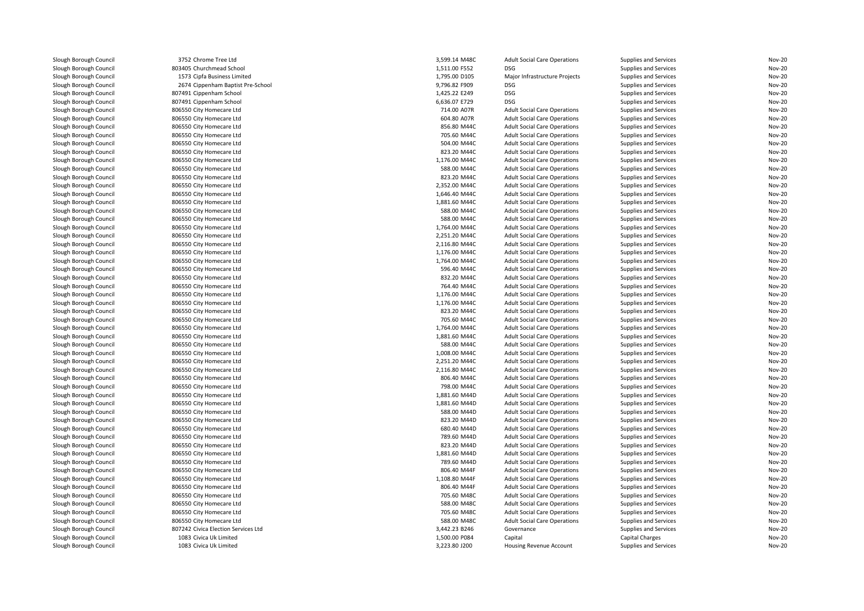Slough Borough Council<br>Slough Borough Council Slough Borough Council<br>Slough Borough Council Slough Borough Council<br>Slough Borough Council Slough Borough Council<br>Slough Borough Council Slough Borough Council<br>Slough Borough Council Slough Borough Council<br>Slough Borough Council Slough Borough Council 1083 Civica Uk Limited<br>1083 Civica Uk Limited<br>1083 Civica Uk Limited Slough Borough Council

Slough Borough Council <sup>3752</sup> Chrome Tree LtdSlough Borough Council **803405** Churchmead School **1,511.00 F552** DSG Slough Borough Council <sup>1573</sup> Cipfa Business LimitedSlough Borough Council 2674 Cippenham Baptist Pre-School<br>Slough Borough Council 2007491 Cippenham School Slough Borough Council and the Supersection of the Supersection of the Supersection of the Supersection 1,425.<br>1,425.22 E207491 Cippenham School 1,425.22 E207491 Cippenham School Slough Borough Council and Souncil 807491 Cippenham School<br>Slough Borough Council and 806550 City Homecare Ltd Slough Borough Council **806550 City Homecare Ltd**<br>Slough Borough Council **806550 City Homecare Ltd** 806550 City Homecare Ltd<br>806550 City Homecare Ltd Slough Borough Council **806550 City Homecare Ltd**<br>806550 City Homecare Ltd Slough Borough Council <sup>806550</sup> City Homecare LtdSlough Borough Council **806550 City Homecare Ltd**<br>806550 City Homecare Ltd Slough Borough Council **806550 City Homecare Ltd**<br>806550 City Homecare Ltd Slough Borough Council **806550 City Homecare Ltd**<br>806550 City Homecare Ltd Slough Borough Council **806550 City Homecare Ltd**<br>806550 City Homecare Ltd Slough Borough Council **806550 City Homecare Ltd**<br>Slough Borough Council **806550 City Homecare Ltd** Slough Borough Council and Superinte Council and Slough Borough Council and Slough Borough Council and Slough Borough Council and Slove Borough Slove Council and Slove Borough Slove Borough Slove Council and Slove Slove Bo Slough Borough Council **806550 City Homecare Ltd**<br>Slough Borough Council **806550 City Homecare Ltd** Slough Borough Council **806550 City Homecare Ltd**<br>806550 City Homecare Ltd Slough Borough Council **806550 City Homecare Ltd**<br>806550 City Homecare Ltd Slough Borough Council and the Superson City Homecare Ltd<br>Slough Borough Council and Superson City Homecare Ltd Slough Borough Council and the Superson City Homecare Ltd<br>Slough Borough Council and Superson City Homecare Ltd Slough Borough Council and the Superson City Homecare Ltd<br>Slough Borough Council and Superson City Homecare Ltd Slough Borough Council **806550 City Homecare Ltd**<br>806550 City Homecare Ltd Slough Borough Council **806550 City Homecare Ltd**<br>806550 City Homecare Ltd 806550 City Homecare Ltd<br>806550 City Homecare Ltd 806550 City Homecare Ltd<br>806550 City Homecare Ltd Slough Borough Council **806550 City Homecare Ltd**<br>806550 City Homecare Ltd Slough Borough Council **806550 City Homecare Ltd**<br>806550 City Homecare Ltd Slough Borough Council **806550 City Homecare Ltd**<br>806550 City Homecare Ltd 806550 City Homecare Ltd<br>806550 City Homecare Ltd Slough Borough Council **806550 City Homecare Ltd**<br>806550 City Homecare Ltd Slough Borough Council and Souncil and Souncil and Souncil and Souncil and Souncil and Souncil and Souncil and Souncil and Souncil and Souncil and Souncil and Souncil and Souncil and Souncil and Souncil and Souncil and Sou Slough Borough Council **806550 City Homecare Ltd**<br>Slough Borough Council **806550** City Homecare Ltd Slough Borough Council **806550 City Homecare Ltd**<br>806550 City Homecare Ltd Slough Borough Council and the Superson City Homecare Ltd<br>Slough Borough Council and Superson City Homecare Ltd Slough Borough Council **806550 City Homecare Ltd**<br>806550 City Homecare Ltd Slough Borough Council **806550 City Homecare Ltd**<br>806550 City Homecare Ltd 806550 City Homecare Ltd<br>806550 City Homecare Ltd Slough Borough Council **806550 City Homecare Ltd**<br>806550 City Homecare Ltd 806550 City Homecare Ltd<br>806550 City Homecare Ltd Slough Borough Council **806550 City Homecare Ltd**<br>806550 City Homecare Ltd Slough Borough Council **806550 City Homecare Ltd**<br>806550 City Homecare Ltd Slough Borough Council **806550 City Homecare Ltd**<br>806550 City Homecare Ltd Slough Borough Council and the Superson City Homecare Ltd<br>806550 City Homecare Ltd<br>806550 City Homecare Ltd Slough Borough Council **806550 City Homecare Ltd**<br>Slough Borough Council **806550 City Homecare Ltd** Slough Borough Council and Superinte Council and Slough Borough Council and Slough Borough Council and Slough Borough Council and Slove Borough Slove Council and Slove Borough Slove Borough Slove Council and Slove Council Slough Borough Council **806550 City Homecare Ltd**<br>Slough Borough Council **806550 City Homecare Ltd** Slough Borough Council **806550 City Homecare Ltd**<br>Slough Borough Council **806550** City Homecare Ltd Slough Borough Council and Souncil and Sound Borough Council and Sound Borough Council and Sound Borough Council and Sound Borough Council and Sound Borough Sound Borough Sound Borough Sound Borough Sound Borough Sound Bor Slough Borough Council **806550 City Homecare Ltd**<br>807242 Civica Election Server 807242 Civica Election Services Ltd<br>1083 Civica Uk Limited

| d               | 3,599.14 M48C | <b>Adult Social Care Operations</b> | Supplies and Services        | Nov-20 |
|-----------------|---------------|-------------------------------------|------------------------------|--------|
| hool            | 1,511.00 F552 | <b>DSG</b>                          | Supplies and Services        | Nov-20 |
| .imited         | 1,795.00 D105 | Major Infrastructure Projects       | Supplies and Services        | Nov-20 |
| tist Pre-School | 9,796.82 F909 | <b>DSG</b>                          | Supplies and Services        | Nov-20 |
| ool             | 1,425.22 E249 | <b>DSG</b>                          | Supplies and Services        | Nov-20 |
| ool             | 6,636.07 E729 | <b>DSG</b>                          | Supplies and Services        | Nov-20 |
| Ltd             | 714.00 A07R   | <b>Adult Social Care Operations</b> | Supplies and Services        | Nov-20 |
| Ltd             | 604.80 A07R   | <b>Adult Social Care Operations</b> | Supplies and Services        | Nov-20 |
| Ltd             | 856.80 M44C   | <b>Adult Social Care Operations</b> | Supplies and Services        | Nov-20 |
| Ltd             | 705.60 M44C   | <b>Adult Social Care Operations</b> | Supplies and Services        | Nov-20 |
| Ltd             | 504.00 M44C   | <b>Adult Social Care Operations</b> | Supplies and Services        | Nov-20 |
| Ltd             | 823.20 M44C   | <b>Adult Social Care Operations</b> | Supplies and Services        | Nov-20 |
| Ltd             | 1,176.00 M44C | <b>Adult Social Care Operations</b> | Supplies and Services        | Nov-20 |
| Ltd             | 588.00 M44C   | <b>Adult Social Care Operations</b> | Supplies and Services        | Nov-20 |
| Ltd             | 823.20 M44C   | <b>Adult Social Care Operations</b> | Supplies and Services        | Nov-20 |
|                 | 2,352.00 M44C | <b>Adult Social Care Operations</b> |                              | Nov-20 |
| Ltd             |               |                                     | Supplies and Services        |        |
| Ltd             | 1,646.40 M44C | <b>Adult Social Care Operations</b> | Supplies and Services        | Nov-20 |
| Ltd             | 1,881.60 M44C | <b>Adult Social Care Operations</b> | Supplies and Services        | Nov-20 |
| Ltd             | 588.00 M44C   | <b>Adult Social Care Operations</b> | Supplies and Services        | Nov-20 |
| Ltd             | 588.00 M44C   | <b>Adult Social Care Operations</b> | Supplies and Services        | Nov-20 |
| Ltd             | 1,764.00 M44C | <b>Adult Social Care Operations</b> | Supplies and Services        | Nov-20 |
| Ltd             | 2,251.20 M44C | <b>Adult Social Care Operations</b> | Supplies and Services        | Nov-20 |
| Ltd             | 2,116.80 M44C | <b>Adult Social Care Operations</b> | Supplies and Services        | Nov-20 |
| Ltd             | 1,176.00 M44C | <b>Adult Social Care Operations</b> | Supplies and Services        | Nov-20 |
| Ltd             | 1,764.00 M44C | <b>Adult Social Care Operations</b> | Supplies and Services        | Nov-20 |
| Ltd             | 596.40 M44C   | <b>Adult Social Care Operations</b> | Supplies and Services        | Nov-20 |
| Ltd             | 832.20 M44C   | <b>Adult Social Care Operations</b> | Supplies and Services        | Nov-20 |
| Ltd             | 764.40 M44C   | <b>Adult Social Care Operations</b> | Supplies and Services        | Nov-20 |
| Ltd             | 1,176.00 M44C | <b>Adult Social Care Operations</b> | Supplies and Services        | Nov-20 |
| Ltd             | 1,176.00 M44C | <b>Adult Social Care Operations</b> | Supplies and Services        | Nov-20 |
| Ltd             | 823.20 M44C   | <b>Adult Social Care Operations</b> | Supplies and Services        | Nov-20 |
| Ltd             | 705.60 M44C   | <b>Adult Social Care Operations</b> | Supplies and Services        | Nov-20 |
| Ltd             | 1,764.00 M44C | <b>Adult Social Care Operations</b> | Supplies and Services        | Nov-20 |
| Ltd             | 1,881.60 M44C | <b>Adult Social Care Operations</b> | Supplies and Services        | Nov-20 |
| Ltd             | 588.00 M44C   | <b>Adult Social Care Operations</b> | Supplies and Services        | Nov-20 |
| Ltd             | 1,008.00 M44C | <b>Adult Social Care Operations</b> | Supplies and Services        | Nov-20 |
| Ltd             | 2,251.20 M44C | <b>Adult Social Care Operations</b> | Supplies and Services        | Nov-20 |
| Ltd             | 2,116.80 M44C | <b>Adult Social Care Operations</b> | Supplies and Services        | Nov-20 |
|                 |               |                                     |                              |        |
| Ltd             | 806.40 M44C   | <b>Adult Social Care Operations</b> | Supplies and Services        | Nov-20 |
| Ltd             | 798.00 M44C   | <b>Adult Social Care Operations</b> | Supplies and Services        | Nov-20 |
| Ltd             | 1,881.60 M44D | <b>Adult Social Care Operations</b> | Supplies and Services        | Nov-20 |
| Ltd             | 1,881.60 M44D | <b>Adult Social Care Operations</b> | Supplies and Services        | Nov-20 |
| Ltd             | 588.00 M44D   | <b>Adult Social Care Operations</b> | Supplies and Services        | Nov-20 |
| Ltd             | 823.20 M44D   | <b>Adult Social Care Operations</b> | Supplies and Services        | Nov-20 |
| Ltd             | 680.40 M44D   | <b>Adult Social Care Operations</b> | Supplies and Services        | Nov-20 |
| Ltd             | 789.60 M44D   | <b>Adult Social Care Operations</b> | Supplies and Services        | Nov-20 |
| Ltd             | 823.20 M44D   | <b>Adult Social Care Operations</b> | Supplies and Services        | Nov-20 |
| Ltd             | 1,881.60 M44D | <b>Adult Social Care Operations</b> | Supplies and Services        | Nov-20 |
| Ltd             | 789.60 M44D   | <b>Adult Social Care Operations</b> | Supplies and Services        | Nov-20 |
| Ltd             | 806.40 M44F   | <b>Adult Social Care Operations</b> | Supplies and Services        | Nov-20 |
| Ltd             | 1,108.80 M44F | <b>Adult Social Care Operations</b> | Supplies and Services        | Nov-20 |
| Ltd             | 806.40 M44F   | <b>Adult Social Care Operations</b> | Supplies and Services        | Nov-20 |
| Ltd             | 705.60 M48C   | <b>Adult Social Care Operations</b> | Supplies and Services        | Nov-20 |
| Ltd             | 588.00 M48C   | <b>Adult Social Care Operations</b> | Supplies and Services        | Nov-20 |
| Ltd             | 705.60 M48C   | <b>Adult Social Care Operations</b> | Supplies and Services        | Nov-20 |
| Ltd             | 588.00 M48C   | <b>Adult Social Care Operations</b> | Supplies and Services        | Nov-20 |
| Services Ltd    | 3,442.23 B246 | Governance                          | Supplies and Services        | Nov-20 |
| ٠d              | 1,500.00 P084 | Capital                             | Capital Charges              | Nov-20 |
| ٠d              | 3,223.80 J200 | Housing Revenue Account             | <b>Supplies and Services</b> | Nov-20 |
|                 |               |                                     |                              |        |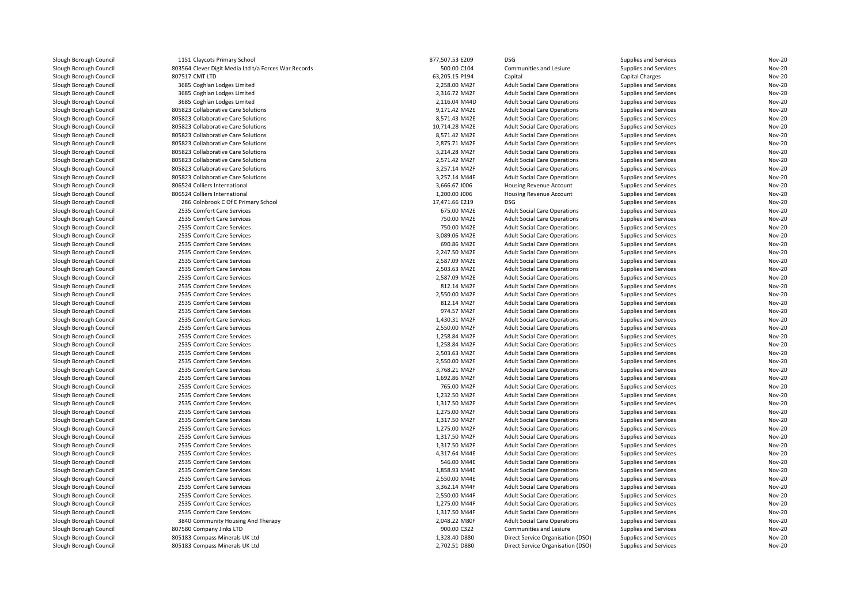| Slough Borough Council | 1151 Claycots Primary School                         | 877,507.53 E209 | <b>DSG</b>                          | Supplies and Services        | <b>Nov-20</b> |
|------------------------|------------------------------------------------------|-----------------|-------------------------------------|------------------------------|---------------|
| Slough Borough Council | 803564 Clever Digit Media Ltd t/a Forces War Records | 500.00 C104     | Communities and Lesiure             | Supplies and Services        | <b>Nov-20</b> |
| Slough Borough Council | 807517 CMT LTD                                       | 63,205.15 P194  | Capital                             | <b>Capital Charges</b>       | <b>Nov-20</b> |
| Slough Borough Council | 3685 Coghlan Lodges Limited                          | 2,258.00 M42F   | <b>Adult Social Care Operations</b> | Supplies and Services        | <b>Nov-20</b> |
| Slough Borough Council | 3685 Coghlan Lodges Limited                          | 2,316.72 M42F   | <b>Adult Social Care Operations</b> | Supplies and Services        | <b>Nov-20</b> |
| Slough Borough Council | 3685 Coghlan Lodges Limited                          | 2,116.04 M44D   | <b>Adult Social Care Operations</b> | <b>Supplies and Services</b> | <b>Nov-20</b> |
| Slough Borough Council | 805823 Collaborative Care Solutions                  | 9,171.42 M42E   | <b>Adult Social Care Operations</b> | Supplies and Services        | <b>Nov-20</b> |
| Slough Borough Council | 805823 Collaborative Care Solutions                  | 8,571.43 M42E   | <b>Adult Social Care Operations</b> | Supplies and Services        | <b>Nov-20</b> |
| Slough Borough Council | 805823 Collaborative Care Solutions                  | 10,714.28 M42E  | <b>Adult Social Care Operations</b> | Supplies and Services        | <b>Nov-20</b> |
| Slough Borough Council | 805823 Collaborative Care Solutions                  | 8,571.42 M42E   | <b>Adult Social Care Operations</b> | Supplies and Services        | <b>Nov-20</b> |
| Slough Borough Council | 805823 Collaborative Care Solutions                  | 2,875.71 M42F   | <b>Adult Social Care Operations</b> | Supplies and Services        | <b>Nov-20</b> |
| Slough Borough Council | 805823 Collaborative Care Solutions                  | 3,214.28 M42F   | <b>Adult Social Care Operations</b> | Supplies and Services        | <b>Nov-20</b> |
| Slough Borough Council | 805823 Collaborative Care Solutions                  | 2,571.42 M42F   | <b>Adult Social Care Operations</b> | Supplies and Services        | <b>Nov-20</b> |
| Slough Borough Council | 805823 Collaborative Care Solutions                  | 3,257.14 M42F   | <b>Adult Social Care Operations</b> | Supplies and Services        | <b>Nov-20</b> |
| Slough Borough Council | 805823 Collaborative Care Solutions                  | 3,257.14 M44F   | <b>Adult Social Care Operations</b> | Supplies and Services        | <b>Nov-20</b> |
| Slough Borough Council | 806524 Colliers International                        | 3,666.67 J006   | Housing Revenue Account             | Supplies and Services        | <b>Nov-20</b> |
| Slough Borough Council | 806524 Colliers International                        | 1,200.00 J006   | Housing Revenue Account             | Supplies and Services        | <b>Nov-20</b> |
| Slough Borough Council | 286 Colnbrook C Of E Primary School                  | 17.471.66 E219  | <b>DSG</b>                          | Supplies and Services        | <b>Nov-20</b> |
| Slough Borough Council | 2535 Comfort Care Services                           | 675.00 M42E     | <b>Adult Social Care Operations</b> | Supplies and Services        | <b>Nov-20</b> |
| Slough Borough Council | 2535 Comfort Care Services                           | 750.00 M42E     | <b>Adult Social Care Operations</b> | Supplies and Services        | <b>Nov-20</b> |
| Slough Borough Council | 2535 Comfort Care Services                           | 750.00 M42E     | <b>Adult Social Care Operations</b> | Supplies and Services        | <b>Nov-20</b> |
| Slough Borough Council | 2535 Comfort Care Services                           | 3,089.06 M42E   | <b>Adult Social Care Operations</b> | Supplies and Services        | <b>Nov-20</b> |
| Slough Borough Council | 2535 Comfort Care Services                           | 690.86 M42E     | <b>Adult Social Care Operations</b> | Supplies and Services        | <b>Nov-20</b> |
| Slough Borough Council | 2535 Comfort Care Services                           | 2,247.50 M42E   | <b>Adult Social Care Operations</b> | Supplies and Services        | <b>Nov-20</b> |
| Slough Borough Council | 2535 Comfort Care Services                           | 2,587.09 M42E   | <b>Adult Social Care Operations</b> | Supplies and Services        | <b>Nov-20</b> |
| Slough Borough Council | 2535 Comfort Care Services                           | 2,503.63 M42E   | <b>Adult Social Care Operations</b> | Supplies and Services        | <b>Nov-20</b> |
| Slough Borough Council | 2535 Comfort Care Services                           | 2,587.09 M42E   | <b>Adult Social Care Operations</b> | Supplies and Services        | <b>Nov-20</b> |
| Slough Borough Council | 2535 Comfort Care Services                           | 812.14 M42F     | <b>Adult Social Care Operations</b> | Supplies and Services        | <b>Nov-20</b> |
| Slough Borough Council | 2535 Comfort Care Services                           | 2,550.00 M42F   | <b>Adult Social Care Operations</b> | Supplies and Services        | <b>Nov-20</b> |
| Slough Borough Council | 2535 Comfort Care Services                           | 812.14 M42F     | <b>Adult Social Care Operations</b> | Supplies and Services        | <b>Nov-20</b> |
| Slough Borough Council | 2535 Comfort Care Services                           | 974.57 M42F     | <b>Adult Social Care Operations</b> | Supplies and Services        | <b>Nov-20</b> |
| Slough Borough Council | 2535 Comfort Care Services                           | 1.430.31 M42F   | <b>Adult Social Care Operations</b> | Supplies and Services        | <b>Nov-20</b> |
| Slough Borough Council | 2535 Comfort Care Services                           | 2,550.00 M42F   | <b>Adult Social Care Operations</b> | Supplies and Services        | <b>Nov-20</b> |
| Slough Borough Council | 2535 Comfort Care Services                           | 1,258.84 M42F   | <b>Adult Social Care Operations</b> | Supplies and Services        | <b>Nov-20</b> |
| Slough Borough Council | 2535 Comfort Care Services                           | 1,258.84 M42F   | <b>Adult Social Care Operations</b> | Supplies and Services        | <b>Nov-20</b> |
| Slough Borough Council | 2535 Comfort Care Services                           | 2,503.63 M42F   | <b>Adult Social Care Operations</b> | Supplies and Services        | <b>Nov-20</b> |
| Slough Borough Council | 2535 Comfort Care Services                           | 2,550.00 M42F   | <b>Adult Social Care Operations</b> | Supplies and Services        | <b>Nov-20</b> |
| Slough Borough Council | 2535 Comfort Care Services                           | 3,768.21 M42F   | <b>Adult Social Care Operations</b> | Supplies and Services        | <b>Nov-20</b> |
| Slough Borough Council | 2535 Comfort Care Services                           | 1,692.86 M42F   | <b>Adult Social Care Operations</b> | Supplies and Services        | <b>Nov-20</b> |
| Slough Borough Council | 2535 Comfort Care Services                           | 765.00 M42F     | <b>Adult Social Care Operations</b> | Supplies and Services        | <b>Nov-20</b> |
| Slough Borough Council | 2535 Comfort Care Services                           | 1,232.50 M42F   | <b>Adult Social Care Operations</b> | Supplies and Services        | <b>Nov-20</b> |
| Slough Borough Council | 2535 Comfort Care Services                           | 1,317.50 M42F   | <b>Adult Social Care Operations</b> | Supplies and Services        | <b>Nov-20</b> |
| Slough Borough Council | 2535 Comfort Care Services                           | 1,275.00 M42F   | <b>Adult Social Care Operations</b> | Supplies and Services        | <b>Nov-20</b> |
| Slough Borough Council | 2535 Comfort Care Services                           | 1,317.50 M42F   | <b>Adult Social Care Operations</b> | Supplies and Services        | <b>Nov-20</b> |
| Slough Borough Council | 2535 Comfort Care Services                           | 1,275.00 M42F   | <b>Adult Social Care Operations</b> | Supplies and Services        | <b>Nov-20</b> |
| Slough Borough Council | 2535 Comfort Care Services                           | 1,317.50 M42F   | <b>Adult Social Care Operations</b> | Supplies and Services        | <b>Nov-20</b> |
| Slough Borough Council | 2535 Comfort Care Services                           | 1,317.50 M42F   | <b>Adult Social Care Operations</b> | Supplies and Services        | <b>Nov-20</b> |
| Slough Borough Council | 2535 Comfort Care Services                           | 4.317.64 M44E   | <b>Adult Social Care Operations</b> | Supplies and Services        | <b>Nov-20</b> |
| Slough Borough Council | 2535 Comfort Care Services                           | 546.00 M44E     | <b>Adult Social Care Operations</b> | Supplies and Services        | <b>Nov-20</b> |
| Slough Borough Council | 2535 Comfort Care Services                           | 1,858.93 M44E   | <b>Adult Social Care Operations</b> | Supplies and Services        | <b>Nov-20</b> |
| Slough Borough Council | 2535 Comfort Care Services                           | 2,550.00 M44E   | <b>Adult Social Care Operations</b> | Supplies and Services        | <b>Nov-20</b> |
| Slough Borough Council | 2535 Comfort Care Services                           | 3,362.14 M44F   | <b>Adult Social Care Operations</b> | Supplies and Services        | <b>Nov-20</b> |
| Slough Borough Council | 2535 Comfort Care Services                           | 2,550.00 M44F   | <b>Adult Social Care Operations</b> | Supplies and Services        | <b>Nov-20</b> |
| Slough Borough Council | 2535 Comfort Care Services                           | 1,275.00 M44F   | <b>Adult Social Care Operations</b> | Supplies and Services        | <b>Nov-20</b> |
| Slough Borough Council | 2535 Comfort Care Services                           | 1,317.50 M44F   | <b>Adult Social Care Operations</b> | Supplies and Services        | <b>Nov-20</b> |
| Slough Borough Council | 3840 Community Housing And Therapy                   | 2,048.22 M80F   | <b>Adult Social Care Operations</b> | Supplies and Services        | <b>Nov-20</b> |
| Slough Borough Council | 807580 Company Jinks LTD                             | 900.00 C322     | Communities and Lesiure             | Supplies and Services        | <b>Nov-20</b> |
| Slough Borough Council | 805183 Compass Minerals UK Ltd                       | 1,328.40 D880   | Direct Service Organisation (DSO)   | Supplies and Services        | <b>Nov-20</b> |
| Slough Borough Council | 805183 Compass Minerals UK Ltd                       | 2,702.51 D880   | Direct Service Organisation (DSO)   | Supplies and Services        | <b>Nov-20</b> |
|                        |                                                      |                 |                                     |                              |               |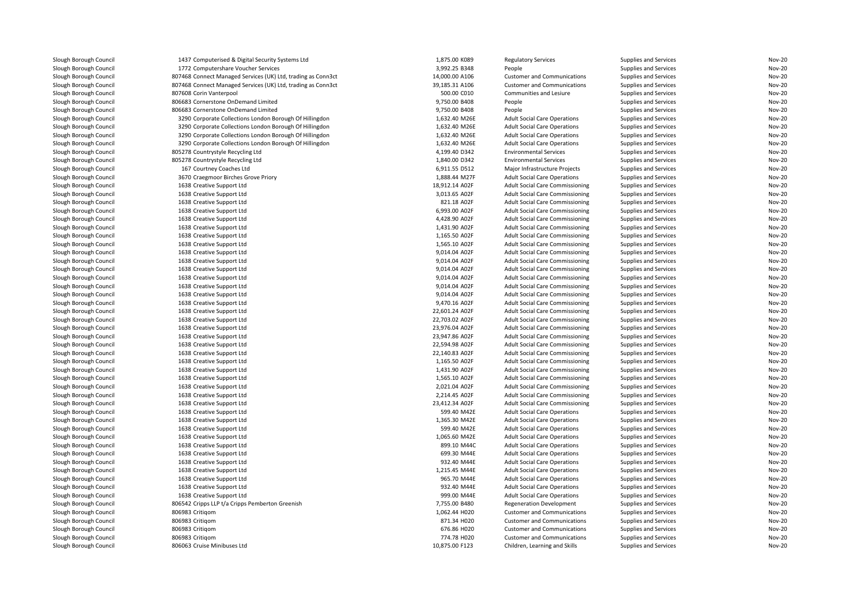| Slough Borough Council                           | 1437 Computerised & Digital Security Systems Ltd                             | 1,875.00 K089                    | <b>Regulatory Services</b>                                                 | Supplies and Services                          | Nov-20                         |
|--------------------------------------------------|------------------------------------------------------------------------------|----------------------------------|----------------------------------------------------------------------------|------------------------------------------------|--------------------------------|
| Slough Borough Council                           | 1772 Computershare Voucher Services                                          | 3,992.25 B348                    | People                                                                     | Supplies and Services                          | <b>Nov-20</b>                  |
| Slough Borough Council                           | 807468 Connect Managed Services (UK) Ltd, trading as Conn3ct                 | 14,000.00 A106                   | <b>Customer and Communications</b>                                         | Supplies and Services                          | <b>Nov-20</b>                  |
| Slough Borough Council                           | 807468 Connect Managed Services (UK) Ltd, trading as Conn3ct                 | 39,185.31 A106                   | <b>Customer and Communications</b>                                         | Supplies and Services                          | <b>Nov-20</b>                  |
| Slough Borough Council                           | 807608 Corin Vanterpool                                                      | 500.00 C010                      | Communities and Lesiure                                                    | Supplies and Services                          | <b>Nov-20</b>                  |
| Slough Borough Council                           | 806683 Cornerstone OnDemand Limited                                          | 9,750.00 B408                    | People                                                                     | Supplies and Services                          | <b>Nov-20</b>                  |
| Slough Borough Council                           | 806683 Cornerstone OnDemand Limited                                          | 9,750.00 B408                    | People                                                                     | Supplies and Services                          | <b>Nov-20</b>                  |
| Slough Borough Council                           | 3290 Corporate Collections London Borough Of Hillingdon                      | 1,632.40 M26E                    | <b>Adult Social Care Operations</b>                                        | Supplies and Services                          | <b>Nov-20</b>                  |
| Slough Borough Council                           | 3290 Corporate Collections London Borough Of Hillingdon                      | 1,632.40 M26E                    | <b>Adult Social Care Operations</b>                                        | Supplies and Services                          | <b>Nov-20</b>                  |
| Slough Borough Council                           | 3290 Corporate Collections London Borough Of Hillingdon                      | 1,632.40 M26E                    | <b>Adult Social Care Operations</b>                                        | Supplies and Services                          | Nov-20                         |
| Slough Borough Council                           | 3290 Corporate Collections London Borough Of Hillingdon                      | 1,632.40 M26E                    | <b>Adult Social Care Operations</b>                                        | Supplies and Services                          | <b>Nov-20</b>                  |
| Slough Borough Council                           | 805278 Countrystyle Recycling Ltd                                            | 4,199.40 D342                    | <b>Environmental Services</b>                                              | Supplies and Services                          | Nov-20                         |
| Slough Borough Council                           | 805278 Countrystyle Recycling Ltd                                            | 1,840.00 D342                    | <b>Environmental Services</b>                                              | Supplies and Services                          | Nov-20                         |
| Slough Borough Council                           | 167 Courtney Coaches Ltd                                                     | 6,911.55 D512                    | Major Infrastructure Projects                                              | Supplies and Services                          | Nov-20                         |
| Slough Borough Council                           | 3670 Craegmoor Birches Grove Priory                                          | 1,888.44 M27F                    | <b>Adult Social Care Operations</b>                                        | Supplies and Services                          | <b>Nov-20</b>                  |
| Slough Borough Council                           |                                                                              | 18,912.14 A02F                   | <b>Adult Social Care Commissioning</b>                                     |                                                | <b>Nov-20</b>                  |
| Slough Borough Council                           | 1638 Creative Support Ltd<br>1638 Creative Support Ltd                       | 3,013.65 A02F                    | <b>Adult Social Care Commissioning</b>                                     | Supplies and Services<br>Supplies and Services | <b>Nov-20</b>                  |
|                                                  |                                                                              |                                  |                                                                            |                                                |                                |
| Slough Borough Council                           | 1638 Creative Support Ltd                                                    | 821.18 A02F                      | <b>Adult Social Care Commissioning</b>                                     | Supplies and Services                          | <b>Nov-20</b>                  |
| Slough Borough Council                           | 1638 Creative Support Ltd                                                    | 6,993.00 A02F                    | <b>Adult Social Care Commissioning</b>                                     | Supplies and Services                          | <b>Nov-20</b>                  |
| Slough Borough Council                           | 1638 Creative Support Ltd                                                    | 4,428.90 A02F                    | Adult Social Care Commissioning                                            | Supplies and Services                          | <b>Nov-20</b>                  |
| Slough Borough Council                           | 1638 Creative Support Ltd                                                    | 1,431.90 A02F                    | <b>Adult Social Care Commissioning</b>                                     | Supplies and Services                          | <b>Nov-20</b>                  |
| Slough Borough Council                           | 1638 Creative Support Ltd                                                    | 1,165.50 A02F                    | <b>Adult Social Care Commissioning</b>                                     | Supplies and Services                          | <b>Nov-20</b>                  |
| Slough Borough Council                           | 1638 Creative Support Ltd                                                    | 1,565.10 A02F                    | <b>Adult Social Care Commissioning</b>                                     | Supplies and Services                          | <b>Nov-20</b>                  |
| Slough Borough Council                           | 1638 Creative Support Ltd                                                    | 9,014.04 A02F                    | <b>Adult Social Care Commissioning</b>                                     | Supplies and Services                          | <b>Nov-20</b><br><b>Nov-20</b> |
| Slough Borough Council                           | 1638 Creative Support Ltd                                                    | 9,014.04 A02F                    | <b>Adult Social Care Commissioning</b>                                     | Supplies and Services                          |                                |
| Slough Borough Council                           | 1638 Creative Support Ltd                                                    | 9,014.04 A02F                    | <b>Adult Social Care Commissioning</b>                                     | Supplies and Services                          | <b>Nov-20</b><br><b>Nov-20</b> |
| Slough Borough Council                           | 1638 Creative Support Ltd                                                    | 9,014.04 A02F                    | <b>Adult Social Care Commissioning</b>                                     | Supplies and Services                          |                                |
| Slough Borough Council                           | 1638 Creative Support Ltd                                                    | 9,014.04 A02F<br>9,014.04 A02F   | <b>Adult Social Care Commissioning</b>                                     | Supplies and Services                          | <b>Nov-20</b>                  |
| Slough Borough Council                           | 1638 Creative Support Ltd                                                    |                                  | <b>Adult Social Care Commissioning</b>                                     | Supplies and Services                          | <b>Nov-20</b>                  |
| Slough Borough Council                           | 1638 Creative Support Ltd                                                    | 9,470.16 A02F                    | <b>Adult Social Care Commissioning</b>                                     | Supplies and Services                          | <b>Nov-20</b>                  |
| Slough Borough Council                           | 1638 Creative Support Ltd                                                    | 22,601.24 A02F                   | Adult Social Care Commissioning                                            | Supplies and Services                          | <b>Nov-20</b>                  |
| Slough Borough Council                           | 1638 Creative Support Ltd                                                    | 22,703.02 A02F<br>23,976.04 A02F | <b>Adult Social Care Commissioning</b>                                     | Supplies and Services                          | <b>Nov-20</b>                  |
| Slough Borough Council                           | 1638 Creative Support Ltd                                                    |                                  | <b>Adult Social Care Commissioning</b>                                     | Supplies and Services                          | <b>Nov-20</b>                  |
| Slough Borough Council                           | 1638 Creative Support Ltd                                                    | 23,947.86 A02F                   | <b>Adult Social Care Commissioning</b>                                     | Supplies and Services                          | <b>Nov-20</b>                  |
| Slough Borough Council                           | 1638 Creative Support Ltd                                                    | 22,594.98 A02F                   | <b>Adult Social Care Commissioning</b>                                     | Supplies and Services                          | <b>Nov-20</b>                  |
| Slough Borough Council                           | 1638 Creative Support Ltd                                                    | 22,140.83 A02F                   | <b>Adult Social Care Commissioning</b>                                     | Supplies and Services                          | <b>Nov-20</b>                  |
| Slough Borough Council                           | 1638 Creative Support Ltd                                                    | 1.165.50 A02F                    | Adult Social Care Commissioning                                            | Supplies and Services                          | <b>Nov-20</b>                  |
| Slough Borough Council                           | 1638 Creative Support Ltd                                                    | 1,431.90 A02F                    | <b>Adult Social Care Commissioning</b>                                     | Supplies and Services                          | <b>Nov-20</b>                  |
| Slough Borough Council                           | 1638 Creative Support Ltd                                                    | 1,565.10 A02F                    | <b>Adult Social Care Commissioning</b>                                     | Supplies and Services                          | <b>Nov-20</b>                  |
| Slough Borough Council                           | 1638 Creative Support Ltd                                                    | 2,021.04 A02F                    | <b>Adult Social Care Commissioning</b>                                     | Supplies and Services                          | <b>Nov-20</b>                  |
| Slough Borough Council                           | 1638 Creative Support Ltd                                                    | 2,214.45 A02F                    | <b>Adult Social Care Commissioning</b>                                     | Supplies and Services                          | <b>Nov-20</b>                  |
| Slough Borough Council                           | 1638 Creative Support Ltd                                                    | 23,412.34 A02F                   | <b>Adult Social Care Commissioning</b>                                     | Supplies and Services                          | <b>Nov-20</b>                  |
| Slough Borough Council                           | 1638 Creative Support Ltd                                                    | 599.40 M42E<br>1,365.30 M42E     | <b>Adult Social Care Operations</b>                                        | Supplies and Services                          | <b>Nov-20</b>                  |
| Slough Borough Council                           | 1638 Creative Support Ltd                                                    |                                  | <b>Adult Social Care Operations</b>                                        | Supplies and Services                          | <b>Nov-20</b>                  |
| Slough Borough Council                           | 1638 Creative Support Ltd                                                    | 599.40 M42E                      | <b>Adult Social Care Operations</b>                                        | Supplies and Services                          | Nov-20                         |
| Slough Borough Council                           | 1638 Creative Support Ltd                                                    | 1,065.60 M42E                    | <b>Adult Social Care Operations</b>                                        | Supplies and Services                          | Nov-20                         |
| Slough Borough Council                           | 1638 Creative Support Ltd                                                    | 899.10 M44C                      | <b>Adult Social Care Operations</b>                                        | Supplies and Services                          | <b>Nov-20</b>                  |
| Slough Borough Council                           | 1638 Creative Support Ltd                                                    | 699.30 M44E                      | <b>Adult Social Care Operations</b>                                        | Supplies and Services                          | <b>Nov-20</b>                  |
| Slough Borough Council                           | 1638 Creative Support Ltd                                                    | 932.40 M44E<br>1,215.45 M44E     | <b>Adult Social Care Operations</b>                                        | Supplies and Services                          | <b>Nov-20</b><br><b>Nov-20</b> |
| Slough Borough Council                           | 1638 Creative Support Ltd                                                    | 965.70 M44E                      | <b>Adult Social Care Operations</b>                                        | Supplies and Services                          | <b>Nov-20</b>                  |
| Slough Borough Council<br>Slough Borough Council | 1638 Creative Support Ltd<br>1638 Creative Support Ltd                       | 932.40 M44E                      | <b>Adult Social Care Operations</b><br><b>Adult Social Care Operations</b> | Supplies and Services<br>Supplies and Services | <b>Nov-20</b>                  |
|                                                  |                                                                              |                                  |                                                                            |                                                |                                |
| Slough Borough Council<br>Slough Borough Council | 1638 Creative Support Ltd<br>806542 Cripps LLP t/a Cripps Pemberton Greenish | 999.00 M44E<br>7.755.00 B480     | <b>Adult Social Care Operations</b><br><b>Regeneration Development</b>     | Supplies and Services<br>Supplies and Services | <b>Nov-20</b><br><b>Nov-20</b> |
| Slough Borough Council                           | 806983 Critigom                                                              | 1,062.44 H020                    | <b>Customer and Communications</b>                                         | Supplies and Services                          | <b>Nov-20</b>                  |
| Slough Borough Council                           | 806983 Critigom                                                              | 871.34 H020                      | <b>Customer and Communications</b>                                         | Supplies and Services                          | <b>Nov-20</b>                  |
| Slough Borough Council                           | 806983 Critigom                                                              | 676.86 H020                      | <b>Customer and Communications</b>                                         | Supplies and Services                          | <b>Nov-20</b>                  |
| Slough Borough Council                           | 806983 Critigom                                                              | 774.78 H020                      | <b>Customer and Communications</b>                                         | Supplies and Services                          | <b>Nov-20</b>                  |
| Slough Borough Council                           | 806063 Cruise Minibuses Ltd                                                  | 10,875.00 F123                   | Children, Learning and Skills                                              | Supplies and Services                          | <b>Nov-20</b>                  |
|                                                  |                                                                              |                                  |                                                                            |                                                |                                |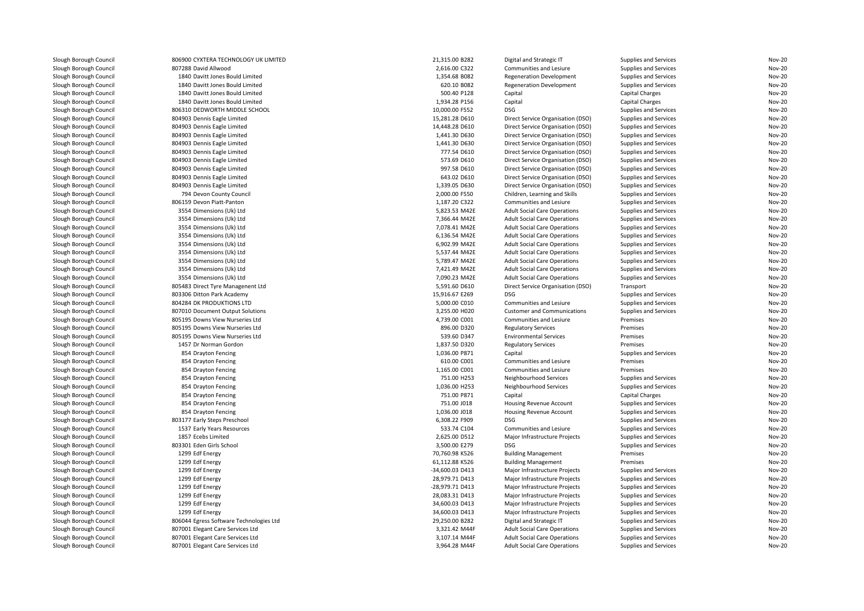| Slough Borough Council | 806900 CYXTERA TECHNOLOGY UK LIMITED                    | 21,315.00 B282  | Digital and Strategic IT            | Supplies and Services                          | Nov-20           |
|------------------------|---------------------------------------------------------|-----------------|-------------------------------------|------------------------------------------------|------------------|
| Slough Borough Council | 807288 David Allwood                                    | 2,616.00 C322   | Communities and Lesiure             | Supplies and Services                          | Nov-20           |
| Slough Borough Council | 1840 Davitt Jones Bould Limited                         | 1,354.68 B082   | <b>Regeneration Development</b>     | Supplies and Services                          | Nov-20           |
| Slough Borough Council | 1840 Davitt Jones Bould Limited                         | 620.10 B082     | <b>Regeneration Development</b>     | Supplies and Services                          | Nov-20           |
| Slough Borough Council | 1840 Davitt Jones Bould Limited                         | 500.40 P128     | Capital                             | Capital Charges                                | Nov-20           |
| Slough Borough Council | 1840 Davitt Jones Bould Limited                         | 1,934.28 P156   | Capital                             | <b>Capital Charges</b>                         | Nov-20           |
| Slough Borough Council | 806310 DEDWORTH MIDDLE SCHOOL                           | 10,000.00 F552  | <b>DSG</b>                          | Supplies and Services                          | Nov-20           |
| Slough Borough Council | 804903 Dennis Eagle Limited                             | 15,281.28 D610  | Direct Service Organisation (DSO)   | Supplies and Services                          | Nov-20           |
| Slough Borough Council | 804903 Dennis Eagle Limited                             | 14,448.28 D610  | Direct Service Organisation (DSO)   | Supplies and Services                          | Nov-20           |
| Slough Borough Council | 804903 Dennis Eagle Limited                             | 1,441.30 D630   | Direct Service Organisation (DSO)   | Supplies and Services                          | Nov-20           |
| Slough Borough Council | 804903 Dennis Eagle Limited                             | 1,441.30 D630   | Direct Service Organisation (DSO)   | Supplies and Services                          | Nov-20           |
| Slough Borough Council | 804903 Dennis Eagle Limited                             | 777.54 D610     | Direct Service Organisation (DSO)   | Supplies and Services                          | Nov-20           |
| Slough Borough Council | 804903 Dennis Eagle Limited                             | 573.69 D610     | Direct Service Organisation (DSO)   | Supplies and Services                          | Nov-20           |
| Slough Borough Council | 804903 Dennis Eagle Limited                             | 997.58 D610     | Direct Service Organisation (DSO)   | Supplies and Services                          | Nov-20           |
| Slough Borough Council | 804903 Dennis Eagle Limited                             | 643.02 D610     | Direct Service Organisation (DSO)   | Supplies and Services                          | Nov-20           |
| Slough Borough Council | 804903 Dennis Eagle Limited                             | 1,339.05 D630   | Direct Service Organisation (DSO)   | Supplies and Services                          | Nov-20           |
| Slough Borough Council | 794 Devon County Council                                | 2,000.00 F550   | Children, Learning and Skills       | Supplies and Services                          | Nov-20           |
| Slough Borough Council | 806159 Devon Piatt-Panton                               | 1,187.20 C322   | Communities and Lesiure             | Supplies and Services                          | Nov-20           |
| Slough Borough Council | 3554 Dimensions (Uk) Ltd                                | 5,823.53 M42E   | <b>Adult Social Care Operations</b> | Supplies and Services                          | Nov-20           |
| Slough Borough Council | 3554 Dimensions (Uk) Ltd                                | 7,366.44 M42E   | <b>Adult Social Care Operations</b> | Supplies and Services                          | Nov-20           |
| Slough Borough Council | 3554 Dimensions (Uk) Ltd                                | 7,078.41 M42E   | <b>Adult Social Care Operations</b> | Supplies and Services                          | Nov-20           |
| Slough Borough Council | 3554 Dimensions (Uk) Ltd                                | 6,136.54 M42E   | <b>Adult Social Care Operations</b> | Supplies and Services                          | Nov-20           |
| Slough Borough Council | 3554 Dimensions (Uk) Ltd                                | 6,902.99 M42E   | <b>Adult Social Care Operations</b> | Supplies and Services                          | Nov-20           |
| Slough Borough Council | 3554 Dimensions (Uk) Ltd                                | 5,537.44 M42E   | <b>Adult Social Care Operations</b> |                                                | Nov-20           |
| Slough Borough Council | 3554 Dimensions (Uk) Ltd                                | 5,789.47 M42E   | <b>Adult Social Care Operations</b> | Supplies and Services<br>Supplies and Services | Nov-20           |
| Slough Borough Council | 3554 Dimensions (Uk) Ltd                                | 7,421.49 M42E   | <b>Adult Social Care Operations</b> | Supplies and Services                          | Nov-20           |
| Slough Borough Council | 3554 Dimensions (Uk) Ltd                                | 7,090.23 M42E   | <b>Adult Social Care Operations</b> | Supplies and Services                          | Nov-20           |
| Slough Borough Council | 805483 Direct Tyre Managenent Ltd                       | 5.591.60 D610   | Direct Service Organisation (DSO)   |                                                | Nov-20           |
|                        |                                                         | 15,916.67 E269  | <b>DSG</b>                          | Transport                                      |                  |
| Slough Borough Council | 803306 Ditton Park Academy<br>804284 DK PRODUKTIONS LTD | 5,000.00 C010   |                                     | Supplies and Services                          | Nov-20<br>Nov-20 |
| Slough Borough Council |                                                         |                 | Communities and Lesiure             | Supplies and Services                          |                  |
| Slough Borough Council | 807010 Document Output Solutions                        | 3,255.00 H020   | <b>Customer and Communications</b>  | Supplies and Services                          | Nov-20           |
| Slough Borough Council | 805195 Downs View Nurseries Ltd                         | 4,739.00 C001   | Communities and Lesiure             | Premises                                       | Nov-20           |
| Slough Borough Council | 805195 Downs View Nurseries Ltd                         | 896.00 D320     | <b>Regulatory Services</b>          | Premises                                       | Nov-20           |
| Slough Borough Council | 805195 Downs View Nurseries Ltd                         | 539.60 D347     | <b>Environmental Services</b>       | Premises                                       | Nov-20           |
| Slough Borough Council | 1457 Dr Norman Gordon                                   | 1,837.50 D320   | <b>Regulatory Services</b>          | Premises                                       | Nov-20           |
| Slough Borough Council | 854 Drayton Fencing                                     | 1,036.00 P871   | Capital                             | <b>Supplies and Services</b>                   | Nov-20           |
| Slough Borough Council | 854 Drayton Fencing                                     | 610.00 C001     | Communities and Lesiure             | Premises                                       | Nov-20           |
| Slough Borough Council | 854 Drayton Fencing                                     | 1,165.00 C001   | Communities and Lesiure             | Premises                                       | Nov-20           |
| Slough Borough Council | 854 Drayton Fencing                                     | 751.00 H253     | Neighbourhood Services              | Supplies and Services                          | Nov-20           |
| Slough Borough Council | 854 Drayton Fencing                                     | 1,036.00 H253   | Neighbourhood Services              | Supplies and Services                          | Nov-20           |
| Slough Borough Council | 854 Drayton Fencing                                     | 751.00 P871     | Capital                             | Capital Charges                                | Nov-20           |
| Slough Borough Council | 854 Drayton Fencing                                     | 751.00 J018     | Housing Revenue Account             | Supplies and Services                          | Nov-20           |
| Slough Borough Council | 854 Drayton Fencing                                     | 1,036.00 J018   | Housing Revenue Account             | Supplies and Services                          | Nov-20           |
| Slough Borough Council | 803177 Early Steps Preschool                            | 6,308.22 F909   | <b>DSG</b>                          | Supplies and Services                          | Nov-20           |
| Slough Borough Council | 1537 Early Years Resources                              | 533.74 C104     | Communities and Lesiure             | Supplies and Services                          | Nov-20           |
| Slough Borough Council | 1857 Ecebs Limited                                      | 2,625.00 D512   | Major Infrastructure Projects       | Supplies and Services                          | Nov-20           |
| Slough Borough Council | 803301 Eden Girls School                                | 3,500.00 E279   | <b>DSG</b>                          | Supplies and Services                          | Nov-20           |
| Slough Borough Council | 1299 Edf Energy                                         | 70,760.98 K526  | <b>Building Management</b>          | Premises                                       | Nov-20           |
| Slough Borough Council | 1299 Edf Energy                                         | 61,112.88 K526  | <b>Building Management</b>          | Premises                                       | Nov-20           |
| Slough Borough Council | 1299 Edf Energy                                         | -34,600.03 D413 | Major Infrastructure Projects       | Supplies and Services                          | Nov-20           |
| Slough Borough Council | 1299 Edf Energy                                         | 28,979.71 D413  | Major Infrastructure Projects       | Supplies and Services                          | Nov-20           |
| Slough Borough Council | 1299 Edf Energy                                         | -28,979.71 D413 | Major Infrastructure Projects       | Supplies and Services                          | Nov-20           |
| Slough Borough Council | 1299 Edf Energy                                         | 28,083.31 D413  | Major Infrastructure Projects       | Supplies and Services                          | Nov-20           |
| Slough Borough Council | 1299 Edf Energy                                         | 34,600.03 D413  | Major Infrastructure Projects       | Supplies and Services                          | Nov-20           |
| Slough Borough Council | 1299 Edf Energy                                         | 34,600.03 D413  | Major Infrastructure Projects       | Supplies and Services                          | Nov-20           |
| Slough Borough Council | 806044 Egress Software Technologies Ltd                 | 29,250.00 B282  | Digital and Strategic IT            | Supplies and Services                          | Nov-20           |
| Slough Borough Council | 807001 Elegant Care Services Ltd                        | 3,321.42 M44F   | <b>Adult Social Care Operations</b> | Supplies and Services                          | Nov-20           |
| Slough Borough Council | 807001 Elegant Care Services Ltd                        | 3,107.14 M44F   | <b>Adult Social Care Operations</b> | Supplies and Services                          | Nov-20           |
| Slough Borough Council | 807001 Elegant Care Services Ltd                        | 3,964.28 M44F   | <b>Adult Social Care Operations</b> | Supplies and Services                          | Nov-20           |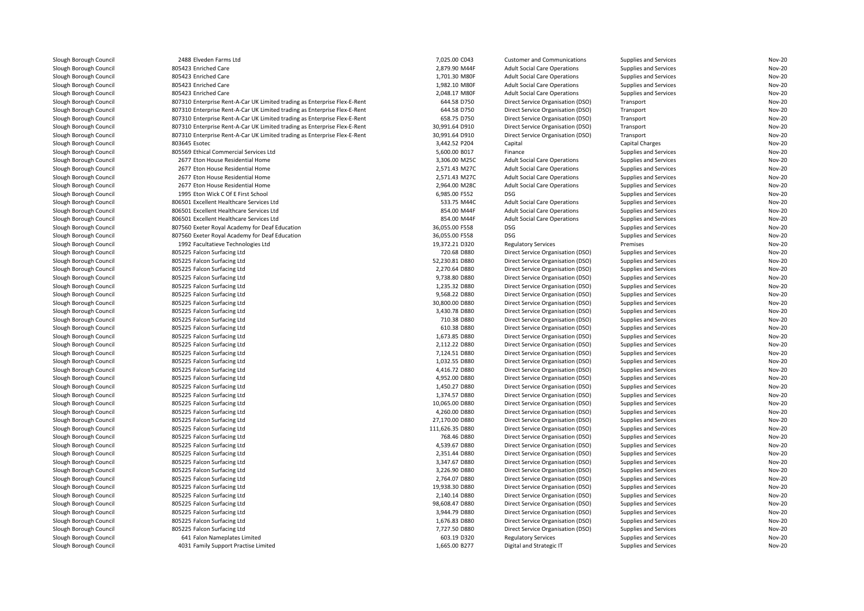| Slough Borough Council                           | 2488 Elveden Farms Ltd                                                    | 7,025.00 C043                   | <b>Customer and Communications</b>                                     | Supplies and Services                          | <b>Nov-20</b> |
|--------------------------------------------------|---------------------------------------------------------------------------|---------------------------------|------------------------------------------------------------------------|------------------------------------------------|---------------|
| Slough Borough Council                           | 805423 Enriched Care                                                      | 2,879.90 M44F                   | <b>Adult Social Care Operations</b>                                    | Supplies and Services                          | <b>Nov-20</b> |
| Slough Borough Council                           | 805423 Enriched Care                                                      | 1,701.30 M80F                   | <b>Adult Social Care Operations</b>                                    | Supplies and Services                          | <b>Nov-20</b> |
| Slough Borough Council                           | 805423 Enriched Care                                                      | 1,982.10 M80F                   | <b>Adult Social Care Operations</b>                                    | Supplies and Services                          | <b>Nov-20</b> |
| Slough Borough Council                           | 805423 Enriched Care                                                      | 2,048.17 M80F                   | <b>Adult Social Care Operations</b>                                    | Supplies and Services                          | <b>Nov-20</b> |
| Slough Borough Council                           | 807310 Enterprise Rent-A-Car UK Limited trading as Enterprise Flex-E-Rent | 644.58 D750                     | Direct Service Organisation (DSO)                                      | Transport                                      | <b>Nov-20</b> |
| Slough Borough Council                           | 807310 Enterprise Rent-A-Car UK Limited trading as Enterprise Flex-E-Rent | 644.58 D750                     | Direct Service Organisation (DSO)                                      | Transport                                      | <b>Nov-20</b> |
| Slough Borough Council                           | 807310 Enterprise Rent-A-Car UK Limited trading as Enterprise Flex-E-Rent | 658.75 D750                     | Direct Service Organisation (DSO)                                      | Transport                                      | <b>Nov-20</b> |
| Slough Borough Council                           | 807310 Enterprise Rent-A-Car UK Limited trading as Enterprise Flex-E-Rent | 30,991.64 D910                  | Direct Service Organisation (DSO)                                      | Transport                                      | <b>Nov-20</b> |
| Slough Borough Council                           | 807310 Enterprise Rent-A-Car UK Limited trading as Enterprise Flex-E-Rent | 30,991.64 D910                  | Direct Service Organisation (DSO)                                      | Transport                                      | <b>Nov-20</b> |
| Slough Borough Council                           | 803645 Esotec                                                             | 3,442.52 P204                   | Capital                                                                | Capital Charges                                | <b>Nov-20</b> |
| Slough Borough Council                           | 805569 Ethical Commercial Services Ltd                                    | 5,600.00 B017                   | Finance                                                                | Supplies and Services                          | <b>Nov-20</b> |
| Slough Borough Council                           | 2677 Eton House Residential Home                                          | 3,306.00 M25C                   | <b>Adult Social Care Operations</b>                                    | Supplies and Services                          | <b>Nov-20</b> |
| Slough Borough Council                           | 2677 Eton House Residential Home                                          | 2,571.43 M27C                   | <b>Adult Social Care Operations</b>                                    | Supplies and Services                          | <b>Nov-20</b> |
| Slough Borough Council                           | 2677 Eton House Residential Home                                          | 2,571.43 M27C                   | <b>Adult Social Care Operations</b>                                    | Supplies and Services                          | <b>Nov-20</b> |
| Slough Borough Council                           | 2677 Eton House Residential Home                                          | 2,964.00 M28C                   | <b>Adult Social Care Operations</b>                                    | Supplies and Services                          | <b>Nov-20</b> |
|                                                  | 1995 Eton Wick C Of E First School                                        | 6,985.00 F552                   | <b>DSG</b>                                                             | Supplies and Services                          | <b>Nov-20</b> |
| Slough Borough Council                           |                                                                           |                                 |                                                                        |                                                | <b>Nov-20</b> |
| Slough Borough Council                           | 806501 Excellent Healthcare Services Ltd                                  | 533.75 M44C                     | <b>Adult Social Care Operations</b>                                    | Supplies and Services                          |               |
| Slough Borough Council                           | 806501 Excellent Healthcare Services Ltd                                  | 854.00 M44F                     | <b>Adult Social Care Operations</b>                                    | Supplies and Services                          | <b>Nov-20</b> |
| Slough Borough Council                           | 806501 Excellent Healthcare Services Ltd                                  | 854.00 M44F                     | <b>Adult Social Care Operations</b>                                    | Supplies and Services                          | Nov-20        |
| Slough Borough Council                           | 807560 Exeter Royal Academy for Deaf Education                            | 36,055.00 F558                  | <b>DSG</b>                                                             | Supplies and Services                          | <b>Nov-20</b> |
| Slough Borough Council                           | 807560 Exeter Royal Academy for Deaf Education                            | 36,055.00 F558                  | <b>DSG</b>                                                             | Supplies and Services                          | Nov-20        |
| Slough Borough Council                           | 1992 Facultatieve Technologies Ltd                                        | 19,372.21 D320                  | <b>Regulatory Services</b>                                             | Premises                                       | <b>Nov-20</b> |
| Slough Borough Council                           | 805225 Falcon Surfacing Ltd                                               | 720.68 D880                     | Direct Service Organisation (DSO)                                      | Supplies and Services                          | <b>Nov-20</b> |
| Slough Borough Council                           | 805225 Falcon Surfacing Ltd                                               | 52,230.81 D880                  | Direct Service Organisation (DSO)                                      | Supplies and Services                          | <b>Nov-20</b> |
| Slough Borough Council                           | 805225 Falcon Surfacing Ltd                                               | 2,270.64 D880                   | Direct Service Organisation (DSO)                                      | Supplies and Services                          | <b>Nov-20</b> |
| Slough Borough Council                           | 805225 Falcon Surfacing Ltd                                               | 9,738.80 D880                   | Direct Service Organisation (DSO)                                      | Supplies and Services                          | <b>Nov-20</b> |
| Slough Borough Council                           | 805225 Falcon Surfacing Ltd                                               | 1,235.32 D880                   | Direct Service Organisation (DSO)                                      | Supplies and Services                          | <b>Nov-20</b> |
| Slough Borough Council                           | 805225 Falcon Surfacing Ltd                                               | 9,568.22 D880                   | Direct Service Organisation (DSO)                                      | Supplies and Services                          | Nov-20        |
| Slough Borough Council                           | 805225 Falcon Surfacing Ltd                                               | 30,800.00 D880                  | Direct Service Organisation (DSO)                                      | Supplies and Services                          | <b>Nov-20</b> |
| Slough Borough Council                           | 805225 Falcon Surfacing Ltd                                               | 3,430.78 D880                   | Direct Service Organisation (DSO)                                      | Supplies and Services                          | Nov-20        |
| Slough Borough Council                           | 805225 Falcon Surfacing Ltd                                               | 710.38 D880                     | Direct Service Organisation (DSO)                                      | Supplies and Services                          | <b>Nov-20</b> |
| Slough Borough Council                           | 805225 Falcon Surfacing Ltd                                               | 610.38 D880                     | Direct Service Organisation (DSO)                                      | Supplies and Services                          | <b>Nov-20</b> |
| Slough Borough Council                           | 805225 Falcon Surfacing Ltd                                               | 1,673.85 D880                   | Direct Service Organisation (DSO)                                      | Supplies and Services                          | <b>Nov-20</b> |
| Slough Borough Council                           | 805225 Falcon Surfacing Ltd                                               | 2,112.22 D880                   | Direct Service Organisation (DSO)                                      | Supplies and Services                          | <b>Nov-20</b> |
| Slough Borough Council                           | 805225 Falcon Surfacing Ltd                                               | 7,124.51 D880                   | Direct Service Organisation (DSO)                                      | Supplies and Services                          | <b>Nov-20</b> |
| Slough Borough Council                           | 805225 Falcon Surfacing Ltd                                               | 1,032.55 D880                   | Direct Service Organisation (DSO)                                      | Supplies and Services                          | <b>Nov-20</b> |
| Slough Borough Council                           | 805225 Falcon Surfacing Ltd                                               | 4,416.72 D880                   | Direct Service Organisation (DSO)                                      | Supplies and Services                          | Nov-20        |
| Slough Borough Council                           | 805225 Falcon Surfacing Ltd                                               | 4,952.00 D880                   | Direct Service Organisation (DSO)                                      | Supplies and Services                          | Nov-20        |
| Slough Borough Council                           | 805225 Falcon Surfacing Ltd                                               | 1,450.27 D880                   | Direct Service Organisation (DSO)                                      | Supplies and Services                          | Nov-20        |
| Slough Borough Council                           | 805225 Falcon Surfacing Ltd                                               | 1,374.57 D880                   | Direct Service Organisation (DSO)                                      | Supplies and Services                          | <b>Nov-20</b> |
| Slough Borough Council                           | 805225 Falcon Surfacing Ltd                                               | 10,065.00 D880                  | Direct Service Organisation (DSO)                                      | Supplies and Services                          | <b>Nov-20</b> |
| Slough Borough Council                           | 805225 Falcon Surfacing Ltd                                               | 4,260.00 D880                   | Direct Service Organisation (DSO)                                      | Supplies and Services                          | <b>Nov-20</b> |
| Slough Borough Council                           | 805225 Falcon Surfacing Ltd                                               | 27,170.00 D880                  | Direct Service Organisation (DSO)                                      | Supplies and Services                          | Nov-20        |
| Slough Borough Council                           | 805225 Falcon Surfacing Ltd                                               | 111,626.35 D880                 | Direct Service Organisation (DSO)                                      | Supplies and Services                          | <b>Nov-20</b> |
| Slough Borough Council                           | 805225 Falcon Surfacing Ltd                                               | 768.46 D880                     | Direct Service Organisation (DSO)                                      | Supplies and Services                          | <b>Nov-20</b> |
| Slough Borough Council                           | 805225 Falcon Surfacing Ltd                                               | 4,539.67 D880                   | Direct Service Organisation (DSO)                                      | Supplies and Services                          | <b>Nov-20</b> |
| Slough Borough Council                           | 805225 Falcon Surfacing Ltd                                               | 2,351.44 D880                   | Direct Service Organisation (DSO)                                      | Supplies and Services                          | <b>Nov-20</b> |
| Slough Borough Council                           | 805225 Falcon Surfacing Ltd                                               | 3,347.67 D880                   | Direct Service Organisation (DSO)                                      | Supplies and Services                          | Nov-20        |
| Slough Borough Council                           | 805225 Falcon Surfacing Ltd                                               | 3,226.90 D880                   | Direct Service Organisation (DSO)                                      | Supplies and Services                          | Nov-20        |
| Slough Borough Council                           | 805225 Falcon Surfacing Ltd                                               | 2,764.07 D880                   | Direct Service Organisation (DSO)                                      | Supplies and Services                          | <b>Nov-20</b> |
| Slough Borough Council                           | 805225 Falcon Surfacing Ltd                                               | 19,938.30 D880                  | Direct Service Organisation (DSO)                                      | Supplies and Services                          | <b>Nov-20</b> |
| Slough Borough Council                           | 805225 Falcon Surfacing Ltd                                               | 2,140.14 D880                   | Direct Service Organisation (DSO)                                      | Supplies and Services                          | <b>Nov-20</b> |
|                                                  | 805225 Falcon Surfacing Ltd                                               |                                 |                                                                        |                                                | <b>Nov-20</b> |
| Slough Borough Council<br>Slough Borough Council | 805225 Falcon Surfacing Ltd                                               | 98,608.47 D880<br>3,944.79 D880 | Direct Service Organisation (DSO)<br>Direct Service Organisation (DSO) | Supplies and Services<br>Supplies and Services | <b>Nov-20</b> |
|                                                  |                                                                           |                                 |                                                                        |                                                | <b>Nov-20</b> |
| Slough Borough Council                           | 805225 Falcon Surfacing Ltd                                               | 1,676.83 D880                   | Direct Service Organisation (DSO)                                      | Supplies and Services                          |               |
| Slough Borough Council                           | 805225 Falcon Surfacing Ltd                                               | 7,727.50 D880                   | Direct Service Organisation (DSO)                                      | Supplies and Services                          | <b>Nov-20</b> |
| Slough Borough Council                           | 641 Falon Nameplates Limited                                              | 603.19 D320                     | <b>Regulatory Services</b>                                             | Supplies and Services                          | <b>Nov-20</b> |
| Slough Borough Council                           | 4031 Family Support Practise Limited                                      | 1,665.00 B277                   | Digital and Strategic IT                                               | Supplies and Services                          | <b>Nov-20</b> |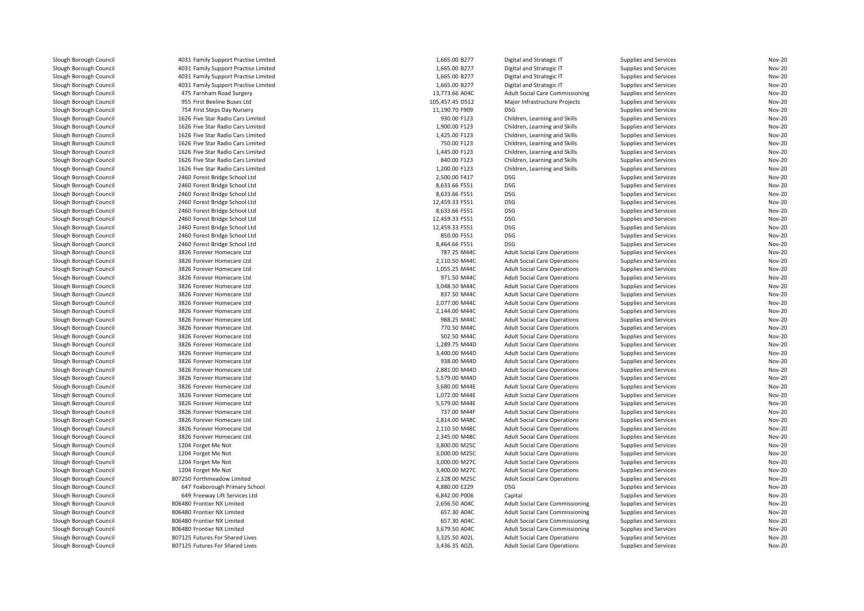| Slough Borough Council | 4031 Family Support Practise Limited | 1,665.00 B277              | Digital and Strategic IT               | Supplies and Services | <b>Nov-20</b> |
|------------------------|--------------------------------------|----------------------------|----------------------------------------|-----------------------|---------------|
| Slough Borough Council | 4031 Family Support Practise Limited | 1,665.00 B277              | Digital and Strategic IT               | Supplies and Services | <b>Nov-20</b> |
| Slough Borough Council | 4031 Family Support Practise Limited | 1,665.00 B277              | Digital and Strategic IT               | Supplies and Services | <b>Nov-20</b> |
| Slough Borough Council | 4031 Family Support Practise Limited | 1,665.00 B277              | Digital and Strategic IT               | Supplies and Services | <b>Nov-20</b> |
| Slough Borough Council | 475 Farnham Road Surgery             | 13,773.66 A04C             | Adult Social Care Commissioning        | Supplies and Services | <b>Nov-20</b> |
| Slough Borough Council | 955 First Beeline Buses Ltd          | 105,457.45 D512            | Major Infrastructure Projects          | Supplies and Services | <b>Nov-20</b> |
| Slough Borough Council | 754 First Steps Day Nursery          | 11,190.70 F909             | <b>DSG</b>                             | Supplies and Services | <b>Nov-20</b> |
| Slough Borough Council | 1626 Five Star Radio Cars Limited    | 930.00 F123                | Children, Learning and Skills          | Supplies and Services | <b>Nov-20</b> |
| Slough Borough Council | 1626 Five Star Radio Cars Limited    | 1,900.00 F123              | Children, Learning and Skills          | Supplies and Services | <b>Nov-20</b> |
| Slough Borough Council | 1626 Five Star Radio Cars Limited    | 1,425.00 F123              | Children, Learning and Skills          | Supplies and Services | <b>Nov-20</b> |
| Slough Borough Council | 1626 Five Star Radio Cars Limited    | 750.00 F123                | Children, Learning and Skills          | Supplies and Services | <b>Nov-20</b> |
| Slough Borough Council | 1626 Five Star Radio Cars Limited    | 1,445.00 F123              | Children, Learning and Skills          | Supplies and Services | <b>Nov-20</b> |
| Slough Borough Council | 1626 Five Star Radio Cars Limited    | 840.00 F123                | Children, Learning and Skills          | Supplies and Services | <b>Nov-20</b> |
| Slough Borough Council | 1626 Five Star Radio Cars Limited    | 1,200.00 F123              | Children, Learning and Skills          | Supplies and Services | <b>Nov-20</b> |
| Slough Borough Council | 2460 Forest Bridge School Ltd        | 2,500.00 F417              | <b>DSG</b>                             | Supplies and Services | <b>Nov-20</b> |
| Slough Borough Council | 2460 Forest Bridge School Ltd        | 8,633.66 F551              | <b>DSG</b>                             | Supplies and Services | <b>Nov-20</b> |
| Slough Borough Council | 2460 Forest Bridge School Ltd        | 8,633.66 F551              | <b>DSG</b>                             | Supplies and Services | <b>Nov-20</b> |
| Slough Borough Council | 2460 Forest Bridge School Ltd        | 12,459.33 F551             | <b>DSG</b>                             | Supplies and Services | <b>Nov-20</b> |
| Slough Borough Council | 2460 Forest Bridge School Ltd        | 8,633.66 F551              | <b>DSG</b>                             | Supplies and Services | <b>Nov-20</b> |
| Slough Borough Council | 2460 Forest Bridge School Ltd        | 12,459.33 F551             | <b>DSG</b>                             | Supplies and Services | <b>Nov-20</b> |
| Slough Borough Council | 2460 Forest Bridge School Ltd        | 12,459.33 F551             | <b>DSG</b>                             | Supplies and Services | <b>Nov-20</b> |
| Slough Borough Council | 2460 Forest Bridge School Ltd        | 850.00 F551                | <b>DSG</b>                             | Supplies and Services | <b>Nov-20</b> |
| Slough Borough Council | 2460 Forest Bridge School Ltd        | 8,464.66 F551              | <b>DSG</b>                             | Supplies and Services | <b>Nov-20</b> |
| Slough Borough Council | 3826 Forever Homecare Ltd            | 787.25 M44C                | <b>Adult Social Care Operations</b>    | Supplies and Services | <b>Nov-20</b> |
| Slough Borough Council | 3826 Forever Homecare Ltd            | 2,110.50 M44C              | <b>Adult Social Care Operations</b>    | Supplies and Services | <b>Nov-20</b> |
| Slough Borough Council | 3826 Forever Homecare Ltd            | 1,055.25 M44C              | <b>Adult Social Care Operations</b>    | Supplies and Services | <b>Nov-20</b> |
| Slough Borough Council | 3826 Forever Homecare Ltd            | 971.50 M44C                | <b>Adult Social Care Operations</b>    | Supplies and Services | <b>Nov-20</b> |
| Slough Borough Council | 3826 Forever Homecare Ltd            | 3,048.50 M44C              | <b>Adult Social Care Operations</b>    | Supplies and Services | <b>Nov-20</b> |
| Slough Borough Council | 3826 Forever Homecare Ltd            | 837.50 M44C                | <b>Adult Social Care Operations</b>    | Supplies and Services | <b>Nov-20</b> |
| Slough Borough Council | 3826 Forever Homecare Ltd            | 2,077.00 M44C              | <b>Adult Social Care Operations</b>    | Supplies and Services | <b>Nov-20</b> |
| Slough Borough Council |                                      |                            |                                        |                       | <b>Nov-20</b> |
| Slough Borough Council | 3826 Forever Homecare Ltd            | 2,144.00 M44C              | <b>Adult Social Care Operations</b>    | Supplies and Services | <b>Nov-20</b> |
|                        | 3826 Forever Homecare Ltd            | 988.25 M44C<br>770.50 M44C | <b>Adult Social Care Operations</b>    | Supplies and Services |               |
| Slough Borough Council | 3826 Forever Homecare Ltd            |                            | <b>Adult Social Care Operations</b>    | Supplies and Services | <b>Nov-20</b> |
| Slough Borough Council | 3826 Forever Homecare Ltd            | 502.50 M44C                | <b>Adult Social Care Operations</b>    | Supplies and Services | <b>Nov-20</b> |
| Slough Borough Council | 3826 Forever Homecare Ltd            | 1,289.75 M44D              | <b>Adult Social Care Operations</b>    | Supplies and Services | <b>Nov-20</b> |
| Slough Borough Council | 3826 Forever Homecare Ltd            | 3,400.00 M44D              | <b>Adult Social Care Operations</b>    | Supplies and Services | <b>Nov-20</b> |
| Slough Borough Council | 3826 Forever Homecare Ltd            | 938.00 M44D                | <b>Adult Social Care Operations</b>    | Supplies and Services | <b>Nov-20</b> |
| Slough Borough Council | 3826 Forever Homecare Ltd            | 2,881.00 M44D              | <b>Adult Social Care Operations</b>    | Supplies and Services | <b>Nov-20</b> |
| Slough Borough Council | 3826 Forever Homecare Ltd            | 5,579.00 M44D              | <b>Adult Social Care Operations</b>    | Supplies and Services | <b>Nov-20</b> |
| Slough Borough Council | 3826 Forever Homecare Ltd            | 3,680.00 M44E              | <b>Adult Social Care Operations</b>    | Supplies and Services | <b>Nov-20</b> |
| Slough Borough Council | 3826 Forever Homecare Ltd            | 1,072.00 M44E              | <b>Adult Social Care Operations</b>    | Supplies and Services | <b>Nov-20</b> |
| Slough Borough Council | 3826 Forever Homecare Ltd            | 5,579.00 M44E              | <b>Adult Social Care Operations</b>    | Supplies and Services | <b>Nov-20</b> |
| Slough Borough Council | 3826 Forever Homecare Ltd            | 737.00 M44F                | <b>Adult Social Care Operations</b>    | Supplies and Services | <b>Nov-20</b> |
| Slough Borough Council | 3826 Forever Homecare Ltd            | 2,814.00 M48C              | <b>Adult Social Care Operations</b>    | Supplies and Services | <b>Nov-20</b> |
| Slough Borough Council | 3826 Forever Homecare Ltd            | 2,110.50 M48C              | <b>Adult Social Care Operations</b>    | Supplies and Services | <b>Nov-20</b> |
| Slough Borough Council | 3826 Forever Homecare Ltd            | 2,345.00 M48C              | <b>Adult Social Care Operations</b>    | Supplies and Services | <b>Nov-20</b> |
| Slough Borough Council | 1204 Forget Me Not                   | 3,800.00 M25C              | <b>Adult Social Care Operations</b>    | Supplies and Services | <b>Nov-20</b> |
| Slough Borough Council | 1204 Forget Me Not                   | 3,000.00 M25C              | <b>Adult Social Care Operations</b>    | Supplies and Services | <b>Nov-20</b> |
| Slough Borough Council | 1204 Forget Me Not                   | 3,000.00 M27C              | <b>Adult Social Care Operations</b>    | Supplies and Services | <b>Nov-20</b> |
| Slough Borough Council | 1204 Forget Me Not                   | 3,400.00 M27C              | <b>Adult Social Care Operations</b>    | Supplies and Services | <b>Nov-20</b> |
| Slough Borough Council | 807250 Forthmeadow Limited           | 2,328.00 M25C              | <b>Adult Social Care Operations</b>    | Supplies and Services | <b>Nov-20</b> |
| Slough Borough Council | 647 Foxborough Primary School        | 4,880.00 E229              | <b>DSG</b>                             | Supplies and Services | <b>Nov-20</b> |
| Slough Borough Council | 649 Freeway Lift Services Ltd        | 6,842.00 P006              | Capital                                | Supplies and Services | <b>Nov-20</b> |
| Slough Borough Council | 806480 Frontier NX Limited           | 2,656.50 A04C              | <b>Adult Social Care Commissioning</b> | Supplies and Services | <b>Nov-20</b> |
| Slough Borough Council | 806480 Frontier NX Limited           | 657.30 A04C                | <b>Adult Social Care Commissioning</b> | Supplies and Services | <b>Nov-20</b> |
| Slough Borough Council | 806480 Frontier NX Limited           | 657.30 A04C                | <b>Adult Social Care Commissioning</b> | Supplies and Services | <b>Nov-20</b> |
| Slough Borough Council | 806480 Frontier NX Limited           | 3,679.50 A04C              | Adult Social Care Commissioning        | Supplies and Services | <b>Nov-20</b> |
| Slough Borough Council | 807125 Futures For Shared Lives      | 3,325.50 A02L              | <b>Adult Social Care Operations</b>    | Supplies and Services | <b>Nov-20</b> |
| Slough Borough Council | 807125 Futures For Shared Lives      | 3,436.35 A02L              | <b>Adult Social Care Operations</b>    | Supplies and Services | <b>Nov-20</b> |
|                        |                                      |                            |                                        |                       |               |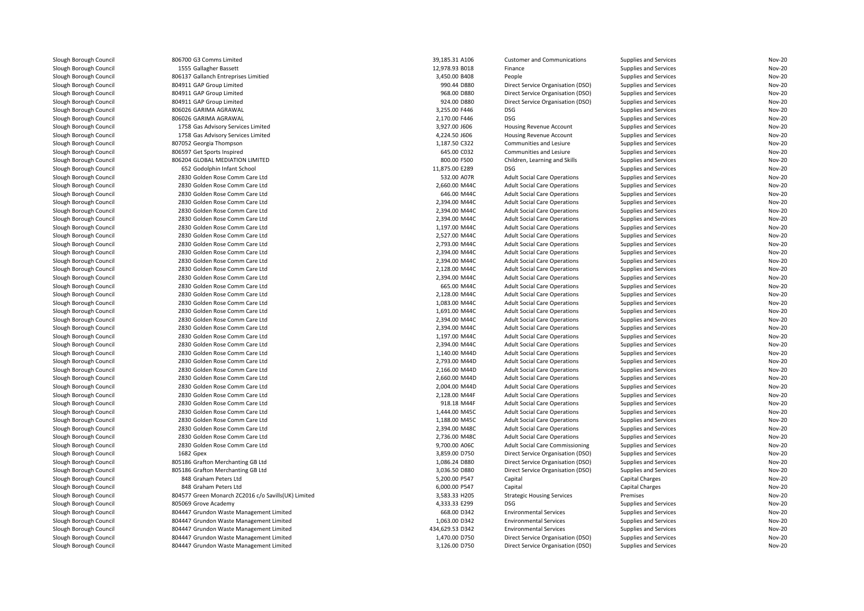| Slough Borough Council | 806700 G3 Comms Limited                             | 39,185.31 A106  | <b>Customer and Communications</b>     | Supplies and Services        | <b>Nov-20</b> |
|------------------------|-----------------------------------------------------|-----------------|----------------------------------------|------------------------------|---------------|
| Slough Borough Council | 1555 Gallagher Bassett                              | 12,978.93 B018  | Finance                                | <b>Supplies and Services</b> | <b>Nov-20</b> |
| Slough Borough Council | 806137 Gallanch Entreprises Limitied                | 3,450.00 B408   | People                                 | Supplies and Services        | <b>Nov-20</b> |
| Slough Borough Council | 804911 GAP Group Limited                            | 990.44 D880     | Direct Service Organisation (DSO)      | Supplies and Services        | <b>Nov-20</b> |
| Slough Borough Council | 804911 GAP Group Limited                            | 968.00 D880     | Direct Service Organisation (DSO)      | Supplies and Services        | <b>Nov-20</b> |
| Slough Borough Council | 804911 GAP Group Limited                            | 924.00 D880     | Direct Service Organisation (DSO)      | Supplies and Services        | <b>Nov-20</b> |
| Slough Borough Council | 806026 GARIMA AGRAWAL                               | 3,255.00 F446   | <b>DSG</b>                             | Supplies and Services        | <b>Nov-20</b> |
| Slough Borough Council | 806026 GARIMA AGRAWAL                               | 2,170.00 F446   | <b>DSG</b>                             | Supplies and Services        | <b>Nov-20</b> |
| Slough Borough Council | 1758 Gas Advisory Services Limited                  | 3,927.00 J606   | <b>Housing Revenue Account</b>         | Supplies and Services        | <b>Nov-20</b> |
| Slough Borough Council | 1758 Gas Advisory Services Limited                  | 4,224.50 J606   | <b>Housing Revenue Account</b>         | Supplies and Services        | <b>Nov-20</b> |
| Slough Borough Council | 807052 Georgia Thompson                             | 1,187.50 C322   | Communities and Lesiure                | Supplies and Services        | <b>Nov-20</b> |
| Slough Borough Council | 806597 Get Sports Inspired                          | 645.00 C032     | Communities and Lesiure                | Supplies and Services        | <b>Nov-20</b> |
| Slough Borough Council | 806204 GLOBAL MEDIATION LIMITED                     | 800.00 F500     | Children, Learning and Skills          | Supplies and Services        | <b>Nov-20</b> |
| Slough Borough Council | 652 Godolphin Infant School                         | 11,875.00 E289  | <b>DSG</b>                             | Supplies and Services        | <b>Nov-20</b> |
| Slough Borough Council | 2830 Golden Rose Comm Care Ltd                      | 532.00 A07R     | <b>Adult Social Care Operations</b>    | Supplies and Services        | <b>Nov-20</b> |
| Slough Borough Council | 2830 Golden Rose Comm Care Ltd                      | 2,660.00 M44C   | <b>Adult Social Care Operations</b>    | Supplies and Services        | <b>Nov-20</b> |
| Slough Borough Council | 2830 Golden Rose Comm Care Ltd                      | 646.00 M44C     | <b>Adult Social Care Operations</b>    | Supplies and Services        | <b>Nov-20</b> |
| Slough Borough Council | 2830 Golden Rose Comm Care Ltd                      | 2,394.00 M44C   | <b>Adult Social Care Operations</b>    | Supplies and Services        | <b>Nov-20</b> |
| Slough Borough Council | 2830 Golden Rose Comm Care Ltd                      | 2.394.00 M44C   | <b>Adult Social Care Operations</b>    | Supplies and Services        | <b>Nov-20</b> |
| Slough Borough Council | 2830 Golden Rose Comm Care Ltd                      | 2,394.00 M44C   | <b>Adult Social Care Operations</b>    | Supplies and Services        | <b>Nov-20</b> |
| Slough Borough Council | 2830 Golden Rose Comm Care Ltd                      | 1,197.00 M44C   | <b>Adult Social Care Operations</b>    | Supplies and Services        | <b>Nov-20</b> |
| Slough Borough Council | 2830 Golden Rose Comm Care Ltd                      | 2,527.00 M44C   | <b>Adult Social Care Operations</b>    | Supplies and Services        | <b>Nov-20</b> |
| Slough Borough Council | 2830 Golden Rose Comm Care Ltd                      | 2,793.00 M44C   | <b>Adult Social Care Operations</b>    | Supplies and Services        | <b>Nov-20</b> |
| Slough Borough Council | 2830 Golden Rose Comm Care Ltd                      | 2,394.00 M44C   | <b>Adult Social Care Operations</b>    | Supplies and Services        | <b>Nov-20</b> |
| Slough Borough Council | 2830 Golden Rose Comm Care Ltd                      | 2,394.00 M44C   | <b>Adult Social Care Operations</b>    | Supplies and Services        | <b>Nov-20</b> |
| Slough Borough Council | 2830 Golden Rose Comm Care Ltd                      | 2,128.00 M44C   | <b>Adult Social Care Operations</b>    | Supplies and Services        | <b>Nov-20</b> |
| Slough Borough Council | 2830 Golden Rose Comm Care Ltd                      | 2,394.00 M44C   | <b>Adult Social Care Operations</b>    | Supplies and Services        | <b>Nov-20</b> |
| Slough Borough Council | 2830 Golden Rose Comm Care Ltd                      | 665.00 M44C     | <b>Adult Social Care Operations</b>    | Supplies and Services        | <b>Nov-20</b> |
| Slough Borough Council | 2830 Golden Rose Comm Care Ltd                      | 2,128.00 M44C   | <b>Adult Social Care Operations</b>    | Supplies and Services        | <b>Nov-20</b> |
| Slough Borough Council | 2830 Golden Rose Comm Care Ltd                      | 1,083.00 M44C   | <b>Adult Social Care Operations</b>    | Supplies and Services        | <b>Nov-20</b> |
| Slough Borough Council | 2830 Golden Rose Comm Care Ltd                      | 1,691.00 M44C   | <b>Adult Social Care Operations</b>    | Supplies and Services        | <b>Nov-20</b> |
| Slough Borough Council | 2830 Golden Rose Comm Care Ltd                      | 2,394.00 M44C   | <b>Adult Social Care Operations</b>    | Supplies and Services        | <b>Nov-20</b> |
| Slough Borough Council | 2830 Golden Rose Comm Care Ltd                      | 2,394.00 M44C   | <b>Adult Social Care Operations</b>    | Supplies and Services        | <b>Nov-20</b> |
| Slough Borough Council | 2830 Golden Rose Comm Care Ltd                      | 1,197.00 M44C   | <b>Adult Social Care Operations</b>    | Supplies and Services        | <b>Nov-20</b> |
| Slough Borough Council | 2830 Golden Rose Comm Care Ltd                      | 2,394.00 M44C   | <b>Adult Social Care Operations</b>    | Supplies and Services        | <b>Nov-20</b> |
| Slough Borough Council | 2830 Golden Rose Comm Care Ltd                      | 1,140.00 M44D   | <b>Adult Social Care Operations</b>    | Supplies and Services        | <b>Nov-20</b> |
| Slough Borough Council | 2830 Golden Rose Comm Care Ltd                      | 2.793.00 M44D   | <b>Adult Social Care Operations</b>    | Supplies and Services        | <b>Nov-20</b> |
| Slough Borough Council | 2830 Golden Rose Comm Care Ltd                      | 2,166.00 M44D   | <b>Adult Social Care Operations</b>    | Supplies and Services        | <b>Nov-20</b> |
| Slough Borough Council | 2830 Golden Rose Comm Care Ltd                      | 2,660.00 M44D   | <b>Adult Social Care Operations</b>    | Supplies and Services        | <b>Nov-20</b> |
| Slough Borough Council | 2830 Golden Rose Comm Care Ltd                      | 2,004.00 M44D   | <b>Adult Social Care Operations</b>    | Supplies and Services        | <b>Nov-20</b> |
| Slough Borough Council | 2830 Golden Rose Comm Care Ltd                      | 2,128.00 M44F   | <b>Adult Social Care Operations</b>    | Supplies and Services        | <b>Nov-20</b> |
| Slough Borough Council | 2830 Golden Rose Comm Care Ltd                      | 918.18 M44F     | <b>Adult Social Care Operations</b>    | Supplies and Services        | <b>Nov-20</b> |
| Slough Borough Council | 2830 Golden Rose Comm Care Ltd                      | 1,444.00 M45C   | <b>Adult Social Care Operations</b>    | Supplies and Services        | <b>Nov-20</b> |
| Slough Borough Council | 2830 Golden Rose Comm Care Ltd                      | 1,188.00 M45C   | <b>Adult Social Care Operations</b>    | Supplies and Services        | <b>Nov-20</b> |
| Slough Borough Council | 2830 Golden Rose Comm Care Ltd                      | 2,394.00 M48C   | <b>Adult Social Care Operations</b>    | Supplies and Services        | <b>Nov-20</b> |
| Slough Borough Council | 2830 Golden Rose Comm Care Ltd                      | 2,736.00 M48C   | <b>Adult Social Care Operations</b>    | Supplies and Services        | <b>Nov-20</b> |
| Slough Borough Council | 2830 Golden Rose Comm Care Ltd                      | 9,700.00 A06C   | <b>Adult Social Care Commissioning</b> | Supplies and Services        | <b>Nov-20</b> |
| Slough Borough Council | 1682 Gpex                                           | 3,859.00 D750   | Direct Service Organisation (DSO)      | Supplies and Services        | <b>Nov-20</b> |
| Slough Borough Council | 805186 Grafton Merchanting GB Ltd                   | 1,086.24 D880   | Direct Service Organisation (DSO)      | Supplies and Services        | <b>Nov-20</b> |
| Slough Borough Council | 805186 Grafton Merchanting GB Ltd                   | 3,036.50 D880   | Direct Service Organisation (DSO)      | Supplies and Services        | <b>Nov-20</b> |
| Slough Borough Council | 848 Graham Peters Ltd                               | 5,200.00 P547   | Capital                                | Capital Charges              | <b>Nov-20</b> |
| Slough Borough Council | 848 Graham Peters Ltd                               | 6,000.00 P547   | Capital                                | <b>Capital Charges</b>       | <b>Nov-20</b> |
| Slough Borough Council | 804577 Green Monarch ZC2016 c/o Savills(UK) Limited | 3,583.33 H205   | <b>Strategic Housing Services</b>      | Premises                     | <b>Nov-20</b> |
| Slough Borough Council | 805069 Grove Academy                                | 4,333.33 E299   | <b>DSG</b>                             | Supplies and Services        | <b>Nov-20</b> |
| Slough Borough Council | 804447 Grundon Waste Management Limited             | 668.00 D342     | <b>Environmental Services</b>          | Supplies and Services        | <b>Nov-20</b> |
| Slough Borough Council | 804447 Grundon Waste Management Limited             | 1,063.00 D342   | <b>Environmental Services</b>          | Supplies and Services        | <b>Nov-20</b> |
| Slough Borough Council | 804447 Grundon Waste Management Limited             | 434,629.53 D342 | <b>Environmental Services</b>          | Supplies and Services        | <b>Nov-20</b> |
| Slough Borough Council | 804447 Grundon Waste Management Limited             | 1,470.00 D750   | Direct Service Organisation (DSO)      | Supplies and Services        | <b>Nov-20</b> |
| Slough Borough Council | 804447 Grundon Waste Management Limited             | 3,126.00 D750   | Direct Service Organisation (DSO)      | Supplies and Services        | <b>Nov-20</b> |
|                        |                                                     |                 |                                        |                              |               |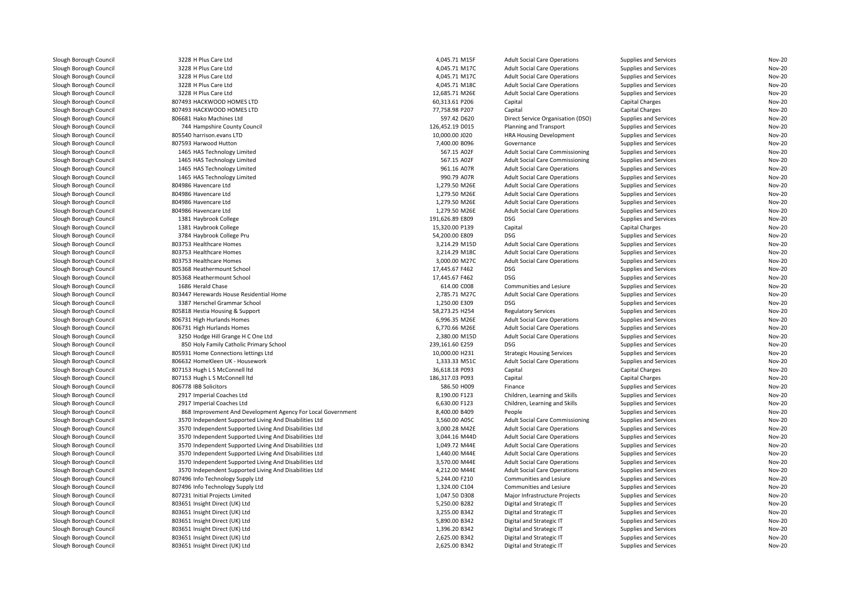| Slough Borough Council | 3228 H Plus Care Ltd                                        | 4,045.71 M15F                     | <b>Adult Social Care Operations</b>    | Supplies and Services | <b>Nov-20</b> |
|------------------------|-------------------------------------------------------------|-----------------------------------|----------------------------------------|-----------------------|---------------|
| Slough Borough Council | 3228 H Plus Care Ltd                                        | 4,045.71 M17C                     | <b>Adult Social Care Operations</b>    | Supplies and Services | <b>Nov-20</b> |
| Slough Borough Council | 3228 H Plus Care Ltd                                        | 4,045.71 M17C                     | <b>Adult Social Care Operations</b>    | Supplies and Services | <b>Nov-20</b> |
| Slough Borough Council | 3228 H Plus Care Ltd                                        | 4,045.71 M18C                     | <b>Adult Social Care Operations</b>    | Supplies and Services | <b>Nov-20</b> |
| Slough Borough Council | 3228 H Plus Care Ltd                                        | 12,685.71 M26E                    | <b>Adult Social Care Operations</b>    | Supplies and Services | <b>Nov-20</b> |
| Slough Borough Council | 807493 HACKWOOD HOMES LTD                                   | 60,313.61 P206                    | Capital                                | Capital Charges       | <b>Nov-20</b> |
| Slough Borough Council | 807493 HACKWOOD HOMES LTD                                   | 77,758.98 P207                    | Capital                                | Capital Charges       | <b>Nov-20</b> |
| Slough Borough Council | 806681 Hako Machines Ltd                                    | 597.42 D620                       | Direct Service Organisation (DSO)      | Supplies and Services | <b>Nov-20</b> |
| Slough Borough Council | 744 Hampshire County Council                                | 126,452.19 D015                   | Planning and Transport                 | Supplies and Services | <b>Nov-20</b> |
| Slough Borough Council | 805540 harrison.evans LTD                                   | 10,000.00 J020                    | HRA Housing Development                | Supplies and Services | <b>Nov-20</b> |
| Slough Borough Council | 807593 Harwood Hutton                                       | 7,400.00 B096                     | Governance                             | Supplies and Services | <b>Nov-20</b> |
| Slough Borough Council | 1465 HAS Technology Limited                                 | 567.15 A02F                       | <b>Adult Social Care Commissioning</b> | Supplies and Services | <b>Nov-20</b> |
| Slough Borough Council | 1465 HAS Technology Limited                                 | 567.15 A02F                       | <b>Adult Social Care Commissioning</b> | Supplies and Services | <b>Nov-20</b> |
| Slough Borough Council | 1465 HAS Technology Limited                                 | 961.16 A07R                       | <b>Adult Social Care Operations</b>    | Supplies and Services | <b>Nov-20</b> |
| Slough Borough Council | 1465 HAS Technology Limited                                 | 990.79 A07R                       | <b>Adult Social Care Operations</b>    | Supplies and Services | <b>Nov-20</b> |
| Slough Borough Council | 804986 Havencare Ltd                                        | 1,279.50 M26E                     | <b>Adult Social Care Operations</b>    | Supplies and Services | <b>Nov-20</b> |
| Slough Borough Council | 804986 Havencare Ltd                                        | 1,279.50 M26E                     | <b>Adult Social Care Operations</b>    | Supplies and Services | <b>Nov-20</b> |
| Slough Borough Council | 804986 Havencare Ltd                                        | 1,279.50 M26E                     | <b>Adult Social Care Operations</b>    | Supplies and Services | <b>Nov-20</b> |
| Slough Borough Council | 804986 Havencare Ltd                                        | 1,279.50 M26E                     | <b>Adult Social Care Operations</b>    | Supplies and Services | <b>Nov-20</b> |
| Slough Borough Council | 1381 Haybrook College                                       | 191,626.89 E809                   | <b>DSG</b>                             | Supplies and Services | Nov-20        |
| Slough Borough Council | 1381 Haybrook College                                       | 15,320.00 P139                    | Capital                                | Capital Charges       | <b>Nov-20</b> |
| Slough Borough Council | 3784 Haybrook College Pru                                   | 54,200.00 E809                    | <b>DSG</b>                             | Supplies and Services | Nov-20        |
| Slough Borough Council | 803753 Healthcare Homes                                     | 3,214.29 M15D                     | <b>Adult Social Care Operations</b>    | Supplies and Services | <b>Nov-20</b> |
| Slough Borough Council | 803753 Healthcare Homes                                     | 3,214.29 M18C                     | <b>Adult Social Care Operations</b>    | Supplies and Services | <b>Nov-20</b> |
| Slough Borough Council | 803753 Healthcare Homes                                     | 3,000.00 M27C                     | <b>Adult Social Care Operations</b>    | Supplies and Services | <b>Nov-20</b> |
| Slough Borough Council | 805368 Heathermount School                                  | 17,445.67 F462                    | <b>DSG</b>                             | Supplies and Services | Nov-20        |
| Slough Borough Council | 805368 Heathermount School                                  | 17,445.67 F462                    | <b>DSG</b>                             | Supplies and Services | <b>Nov-20</b> |
| Slough Borough Council | 1686 Herald Chase                                           | 614.00 C008                       | Communities and Lesiure                | Supplies and Services | <b>Nov-20</b> |
| Slough Borough Council | 803447 Herewards House Residential Home                     | 2,785.71 M27C                     | <b>Adult Social Care Operations</b>    | Supplies and Services | <b>Nov-20</b> |
| Slough Borough Council | 3387 Herschel Grammar School                                | 1,250.00 E309                     | <b>DSG</b>                             | Supplies and Services | <b>Nov-20</b> |
| Slough Borough Council | 805818 Hestia Housing & Support                             | 58,273.25 H254                    | <b>Regulatory Services</b>             | Supplies and Services | <b>Nov-20</b> |
| Slough Borough Council | 806731 High Hurlands Homes                                  | 6,996.35 M26E                     | <b>Adult Social Care Operations</b>    | Supplies and Services | <b>Nov-20</b> |
| Slough Borough Council | 806731 High Hurlands Homes                                  | 6,770.66 M26E                     | <b>Adult Social Care Operations</b>    | Supplies and Services | <b>Nov-20</b> |
| Slough Borough Council | 3250 Hodge Hill Grange H C One Ltd                          | 2,380.00 M15D                     | <b>Adult Social Care Operations</b>    | Supplies and Services | <b>Nov-20</b> |
|                        |                                                             |                                   | <b>DSG</b>                             |                       | Nov-20        |
| Slough Borough Council | 850 Holy Family Catholic Primary School                     | 239,161.60 E259<br>10,000.00 H231 |                                        | Supplies and Services | <b>Nov-20</b> |
| Slough Borough Council | 805931 Home Connections lettings Ltd                        |                                   | <b>Strategic Housing Services</b>      | Supplies and Services |               |
| Slough Borough Council | 806632 HomeKleen UK - Housework                             | 1,333.33 M51C                     | <b>Adult Social Care Operations</b>    | Supplies and Services | <b>Nov-20</b> |
| Slough Borough Council | 807153 Hugh L S McConnell Itd                               | 36,618.18 P093                    | Capital                                | Capital Charges       | <b>Nov-20</b> |
| Slough Borough Council | 807153 Hugh L S McConnell ltd                               | 186,317.03 P093                   | Capital                                | Capital Charges       | <b>Nov-20</b> |
| Slough Borough Council | 806778 IBB Solicitors                                       | 586.50 H009                       | Finance                                | Supplies and Services | <b>Nov-20</b> |
| Slough Borough Council | 2917 Imperial Coaches Ltd                                   | 8,190.00 F123                     | Children, Learning and Skills          | Supplies and Services | <b>Nov-20</b> |
| Slough Borough Council | 2917 Imperial Coaches Ltd                                   | 6,630.00 F123                     | Children, Learning and Skills          | Supplies and Services | <b>Nov-20</b> |
| Slough Borough Council | 868 Improvement And Development Agency For Local Government | 8,400.00 B409                     | People                                 | Supplies and Services | <b>Nov-20</b> |
| Slough Borough Council | 3570 Independent Supported Living And Disabilities Ltd      | 3,560.00 A05C                     | <b>Adult Social Care Commissioning</b> | Supplies and Services | <b>Nov-20</b> |
| Slough Borough Council | 3570 Independent Supported Living And Disabilities Ltd      | 3,000.28 M42E                     | <b>Adult Social Care Operations</b>    | Supplies and Services | <b>Nov-20</b> |
| Slough Borough Council | 3570 Independent Supported Living And Disabilities Ltd      | 3,044.16 M44D                     | <b>Adult Social Care Operations</b>    | Supplies and Services | <b>Nov-20</b> |
| Slough Borough Council | 3570 Independent Supported Living And Disabilities Ltd      | 1,049.72 M44E                     | <b>Adult Social Care Operations</b>    | Supplies and Services | <b>Nov-20</b> |
| Slough Borough Council | 3570 Independent Supported Living And Disabilities Ltd      | 1,440.00 M44E                     | <b>Adult Social Care Operations</b>    | Supplies and Services | <b>Nov-20</b> |
| Slough Borough Council | 3570 Independent Supported Living And Disabilities Ltd      | 3,570.00 M44E                     | <b>Adult Social Care Operations</b>    | Supplies and Services | <b>Nov-20</b> |
| Slough Borough Council | 3570 Independent Supported Living And Disabilities Ltd      | 4,212.00 M44E                     | <b>Adult Social Care Operations</b>    | Supplies and Services | <b>Nov-20</b> |
| Slough Borough Council | 807496 Info Technology Supply Ltd                           | 5,244.00 F210                     | Communities and Lesiure                | Supplies and Services | <b>Nov-20</b> |
| Slough Borough Council | 807496 Info Technology Supply Ltd                           | 1,324.00 C104                     | Communities and Lesiure                | Supplies and Services | <b>Nov-20</b> |
| Slough Borough Council | 807231 Initial Projects Limited                             | 1,047.50 D308                     | Major Infrastructure Projects          | Supplies and Services | <b>Nov-20</b> |
| Slough Borough Council | 803651 Insight Direct (UK) Ltd                              | 5,250.00 B282                     | Digital and Strategic IT               | Supplies and Services | <b>Nov-20</b> |
| Slough Borough Council | 803651 Insight Direct (UK) Ltd                              | 3,255.00 B342                     | Digital and Strategic IT               | Supplies and Services | <b>Nov-20</b> |
| Slough Borough Council | 803651 Insight Direct (UK) Ltd                              | 5,890.00 B342                     | Digital and Strategic IT               | Supplies and Services | <b>Nov-20</b> |
| Slough Borough Council | 803651 Insight Direct (UK) Ltd                              | 1,396.20 B342                     | Digital and Strategic IT               | Supplies and Services | Nov-20        |
| Slough Borough Council | 803651 Insight Direct (UK) Ltd                              | 2,625.00 B342                     | Digital and Strategic IT               | Supplies and Services | <b>Nov-20</b> |
| Slough Borough Council | 803651 Insight Direct (UK) Ltd                              | 2,625.00 B342                     | Digital and Strategic IT               | Supplies and Services | <b>Nov-20</b> |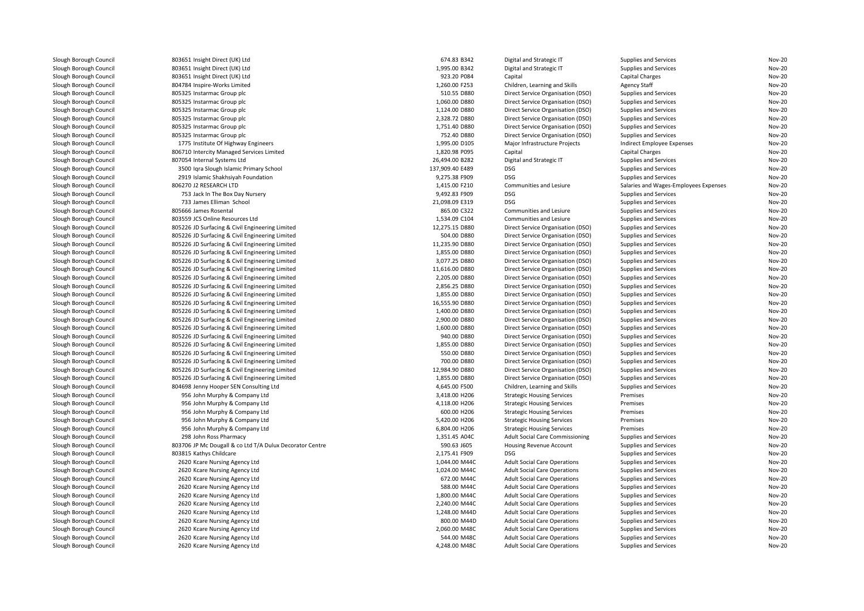| Slough Borough Council                           | 803651 Insight Direct (UK) Ltd                           | 674.83 B342     | Digital and Strategic IT            | Supplies and Services                 | <b>Nov-20</b> |
|--------------------------------------------------|----------------------------------------------------------|-----------------|-------------------------------------|---------------------------------------|---------------|
| Slough Borough Council                           | 803651 Insight Direct (UK) Ltd                           | 1,995.00 B342   | Digital and Strategic IT            | Supplies and Services                 | <b>Nov-20</b> |
| Slough Borough Council                           | 803651 Insight Direct (UK) Ltd                           | 923.20 P084     | Capital                             | Capital Charges                       | <b>Nov-20</b> |
| Slough Borough Council                           | 804784 Inspire-Works Limited                             | 1,260.00 F253   | Children, Learning and Skills       | <b>Agency Staff</b>                   | <b>Nov-20</b> |
| Slough Borough Council                           | 805325 Instarmac Group plc                               | 510.55 D880     | Direct Service Organisation (DSO)   | Supplies and Services                 | <b>Nov-20</b> |
| Slough Borough Council                           | 805325 Instarmac Group plc                               | 1,060.00 D880   | Direct Service Organisation (DSO)   | Supplies and Services                 | <b>Nov-20</b> |
| Slough Borough Council                           | 805325 Instarmac Group plc                               | 1,124.00 D880   | Direct Service Organisation (DSO)   | Supplies and Services                 | <b>Nov-20</b> |
| Slough Borough Council                           | 805325 Instarmac Group plc                               | 2,328.72 D880   | Direct Service Organisation (DSO)   | Supplies and Services                 | <b>Nov-20</b> |
| Slough Borough Council                           | 805325 Instarmac Group plc                               | 1,751.40 D880   | Direct Service Organisation (DSO)   | Supplies and Services                 | <b>Nov-20</b> |
| Slough Borough Council                           | 805325 Instarmac Group plc                               | 752.40 D880     | Direct Service Organisation (DSO)   | Supplies and Services                 | <b>Nov-20</b> |
| Slough Borough Council                           | 1775 Institute Of Highway Engineers                      | 1,995.00 D105   | Major Infrastructure Projects       | Indirect Employee Expenses            | <b>Nov-20</b> |
| Slough Borough Council                           | 806710 Intercity Managed Services Limited                | 1,820.98 P095   | Capital                             | Capital Charges                       | <b>Nov-20</b> |
| Slough Borough Council                           | 807054 Internal Systems Ltd                              | 26,494.00 B282  | Digital and Strategic IT            | Supplies and Services                 | <b>Nov-20</b> |
| Slough Borough Council                           | 3500 Iqra Slough Islamic Primary School                  | 137,909.40 E489 | <b>DSG</b>                          | Supplies and Services                 | <b>Nov-20</b> |
| Slough Borough Council                           | 2919 Islamic Shakhsiyah Foundation                       | 9,275.38 F909   | <b>DSG</b>                          | Supplies and Services                 | <b>Nov-20</b> |
| Slough Borough Council                           | 806270 J2 RESEARCH LTD                                   | 1,415.00 F210   | Communities and Lesiure             | Salaries and Wages-Employees Expenses | Nov-20        |
| Slough Borough Council                           | 753 Jack In The Box Day Nursery                          | 9,492.83 F909   | DSG                                 | Supplies and Services                 | Nov-20        |
| Slough Borough Council                           | 733 James Elliman School                                 | 21,098.09 E319  | <b>DSG</b>                          | Supplies and Services                 | <b>Nov-20</b> |
| Slough Borough Council                           | 805666 James Rosental                                    | 865.00 C322     | Communities and Lesiure             | Supplies and Services                 | <b>Nov-20</b> |
| Slough Borough Council                           | 803559 JCS Online Resources Ltd                          | 1,534.09 C104   | Communities and Lesiure             | Supplies and Services                 | <b>Nov-20</b> |
| Slough Borough Council                           | 805226 JD Surfacing & Civil Engineering Limited          | 12,275.15 D880  | Direct Service Organisation (DSO)   | Supplies and Services                 | <b>Nov-20</b> |
| Slough Borough Council                           | 805226 JD Surfacing & Civil Engineering Limited          | 504.00 D880     | Direct Service Organisation (DSO)   | Supplies and Services                 | <b>Nov-20</b> |
| Slough Borough Council                           | 805226 JD Surfacing & Civil Engineering Limited          | 11,235.90 D880  | Direct Service Organisation (DSO)   | Supplies and Services                 | <b>Nov-20</b> |
| Slough Borough Council                           | 805226 JD Surfacing & Civil Engineering Limited          | 1,855.00 D880   | Direct Service Organisation (DSO)   | Supplies and Services                 | <b>Nov-20</b> |
| Slough Borough Council                           | 805226 JD Surfacing & Civil Engineering Limited          | 3,077.25 D880   | Direct Service Organisation (DSO)   | Supplies and Services                 | Nov-20        |
| Slough Borough Council                           | 805226 JD Surfacing & Civil Engineering Limited          | 11,616.00 D880  | Direct Service Organisation (DSO)   | Supplies and Services                 | <b>Nov-20</b> |
| Slough Borough Council                           | 805226 JD Surfacing & Civil Engineering Limited          | 2,205.00 D880   | Direct Service Organisation (DSO)   | Supplies and Services                 | Nov-20        |
| Slough Borough Council                           | 805226 JD Surfacing & Civil Engineering Limited          | 2.856.25 D880   | Direct Service Organisation (DSO)   | Supplies and Services                 | Nov-20        |
| Slough Borough Council                           | 805226 JD Surfacing & Civil Engineering Limited          | 1,855.00 D880   | Direct Service Organisation (DSO)   | Supplies and Services                 | Nov-20        |
| Slough Borough Council                           | 805226 JD Surfacing & Civil Engineering Limited          | 16,555.90 D880  | Direct Service Organisation (DSO)   | Supplies and Services                 | <b>Nov-20</b> |
| Slough Borough Council                           | 805226 JD Surfacing & Civil Engineering Limited          | 1,400.00 D880   | Direct Service Organisation (DSO)   | Supplies and Services                 | <b>Nov-20</b> |
| Slough Borough Council                           | 805226 JD Surfacing & Civil Engineering Limited          | 2,900.00 D880   | Direct Service Organisation (DSO)   | Supplies and Services                 | Nov-20        |
| Slough Borough Council                           | 805226 JD Surfacing & Civil Engineering Limited          | 1,600.00 D880   | Direct Service Organisation (DSO)   | Supplies and Services                 | <b>Nov-20</b> |
| Slough Borough Council                           | 805226 JD Surfacing & Civil Engineering Limited          | 940.00 D880     | Direct Service Organisation (DSO)   | Supplies and Services                 | <b>Nov-20</b> |
| Slough Borough Council                           | 805226 JD Surfacing & Civil Engineering Limited          | 1,855.00 D880   | Direct Service Organisation (DSO)   | Supplies and Services                 | <b>Nov-20</b> |
|                                                  | 805226 JD Surfacing & Civil Engineering Limited          | 550.00 D880     | Direct Service Organisation (DSO)   |                                       | <b>Nov-20</b> |
| Slough Borough Council<br>Slough Borough Council | 805226 JD Surfacing & Civil Engineering Limited          | 700.00 D880     | Direct Service Organisation (DSO)   | Supplies and Services                 | <b>Nov-20</b> |
| Slough Borough Council                           | 805226 JD Surfacing & Civil Engineering Limited          | 12,984.90 D880  |                                     | Supplies and Services                 | <b>Nov-20</b> |
|                                                  |                                                          |                 | Direct Service Organisation (DSO)   | Supplies and Services                 | <b>Nov-20</b> |
| Slough Borough Council                           | 805226 JD Surfacing & Civil Engineering Limited          | 1,855.00 D880   | Direct Service Organisation (DSO)   | Supplies and Services                 |               |
| Slough Borough Council                           | 804698 Jenny Hooper SEN Consulting Ltd                   | 4,645.00 F500   | Children, Learning and Skills       | Supplies and Services                 | <b>Nov-20</b> |
| Slough Borough Council                           | 956 John Murphy & Company Ltd                            | 3,418.00 H206   | <b>Strategic Housing Services</b>   | Premises                              | <b>Nov-20</b> |
| Slough Borough Council                           | 956 John Murphy & Company Ltd                            | 4,118.00 H206   | <b>Strategic Housing Services</b>   | Premises                              | <b>Nov-20</b> |
| Slough Borough Council                           | 956 John Murphy & Company Ltd                            | 600.00 H206     | <b>Strategic Housing Services</b>   | Premises                              | <b>Nov-20</b> |
| Slough Borough Council                           | 956 John Murphy & Company Ltd                            | 5,420.00 H206   | <b>Strategic Housing Services</b>   | Premises                              | <b>Nov-20</b> |
| Slough Borough Council                           | 956 John Murphy & Company Ltd                            | 6,804.00 H206   | <b>Strategic Housing Services</b>   | Premises                              | <b>Nov-20</b> |
| Slough Borough Council                           | 298 John Ross Pharmacy                                   | 1,351.45 A04C   | Adult Social Care Commissioning     | Supplies and Services                 | <b>Nov-20</b> |
| Slough Borough Council                           | 803706 JP Mc Dougall & co Ltd T/A Dulux Decorator Centre | 590.63 J605     | Housing Revenue Account             | Supplies and Services                 | <b>Nov-20</b> |
| Slough Borough Council                           | 803815 Kathys Childcare                                  | 2,175.41 F909   | <b>DSG</b>                          | Supplies and Services                 | <b>Nov-20</b> |
| Slough Borough Council                           | 2620 Kcare Nursing Agency Ltd                            | 1,044.00 M44C   | <b>Adult Social Care Operations</b> | Supplies and Services                 | <b>Nov-20</b> |
| Slough Borough Council                           | 2620 Kcare Nursing Agency Ltd                            | 1,024.00 M44C   | <b>Adult Social Care Operations</b> | Supplies and Services                 | <b>Nov-20</b> |
| Slough Borough Council                           | 2620 Kcare Nursing Agency Ltd                            | 672.00 M44C     | <b>Adult Social Care Operations</b> | Supplies and Services                 | <b>Nov-20</b> |
| Slough Borough Council                           | 2620 Kcare Nursing Agency Ltd                            | 588.00 M44C     | <b>Adult Social Care Operations</b> | Supplies and Services                 | <b>Nov-20</b> |
| Slough Borough Council                           | 2620 Kcare Nursing Agency Ltd                            | 1,800.00 M44C   | <b>Adult Social Care Operations</b> | Supplies and Services                 | <b>Nov-20</b> |
| Slough Borough Council                           | 2620 Kcare Nursing Agency Ltd                            | 2,240.00 M44C   | <b>Adult Social Care Operations</b> | Supplies and Services                 | <b>Nov-20</b> |
| Slough Borough Council                           | 2620 Kcare Nursing Agency Ltd                            | 1,248.00 M44D   | <b>Adult Social Care Operations</b> | Supplies and Services                 | <b>Nov-20</b> |
| Slough Borough Council                           | 2620 Kcare Nursing Agency Ltd                            | 800.00 M44D     | <b>Adult Social Care Operations</b> | Supplies and Services                 | <b>Nov-20</b> |
| Slough Borough Council                           | 2620 Kcare Nursing Agency Ltd                            | 2,060.00 M48C   | <b>Adult Social Care Operations</b> | Supplies and Services                 | <b>Nov-20</b> |
| Slough Borough Council                           | 2620 Kcare Nursing Agency Ltd                            | 544.00 M48C     | <b>Adult Social Care Operations</b> | Supplies and Services                 | <b>Nov-20</b> |
| Slough Borough Council                           | 2620 Kcare Nursing Agency Ltd                            | 4,248.00 M48C   | <b>Adult Social Care Operations</b> | Supplies and Services                 | <b>Nov-20</b> |
|                                                  |                                                          |                 |                                     |                                       |               |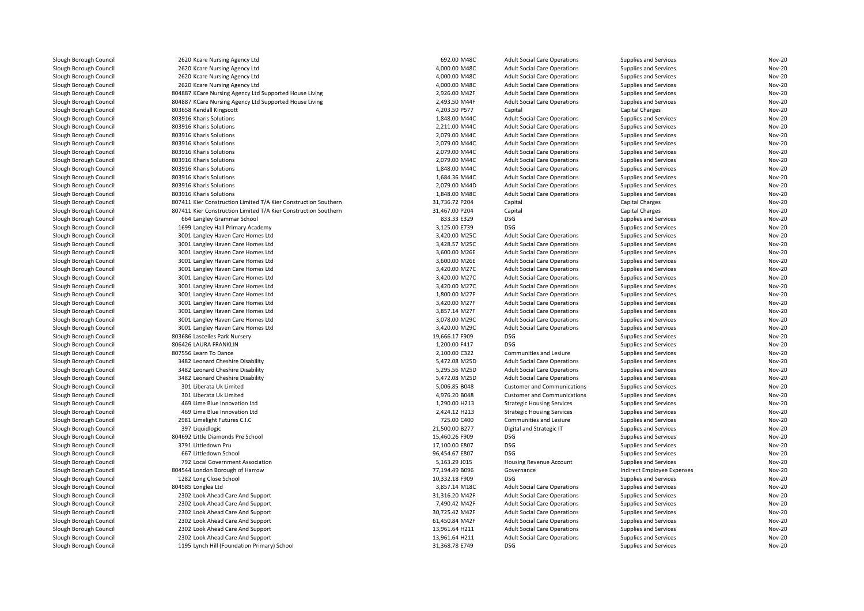| Slough Borough Council | 2620 Kcare Nursing Agency Ltd                                   | 692.00 M48C                    | <b>Adult Social Care Operations</b> | Supplies and Services      | <b>Nov-20</b>                  |
|------------------------|-----------------------------------------------------------------|--------------------------------|-------------------------------------|----------------------------|--------------------------------|
| Slough Borough Council | 2620 Kcare Nursing Agency Ltd                                   | 4,000.00 M48C                  | <b>Adult Social Care Operations</b> | Supplies and Services      | <b>Nov-20</b>                  |
| Slough Borough Council | 2620 Kcare Nursing Agency Ltd                                   | 4,000.00 M48C                  | <b>Adult Social Care Operations</b> | Supplies and Services      | <b>Nov-20</b>                  |
| Slough Borough Council | 2620 Kcare Nursing Agency Ltd                                   | 4,000.00 M48C                  | <b>Adult Social Care Operations</b> | Supplies and Services      | <b>Nov-20</b>                  |
| Slough Borough Council | 804887 KCare Nursing Agency Ltd Supported House Living          | 2,926.00 M42F                  | <b>Adult Social Care Operations</b> | Supplies and Services      | <b>Nov-20</b>                  |
| Slough Borough Council | 804887 KCare Nursing Agency Ltd Supported House Living          | 2,493.50 M44F                  | <b>Adult Social Care Operations</b> | Supplies and Services      | <b>Nov-20</b>                  |
| Slough Borough Council | 803658 Kendall Kingscott                                        | 4,203.50 P577                  | Capital                             | Capital Charges            | <b>Nov-20</b>                  |
| Slough Borough Council | 803916 Kharis Solutions                                         | 1,848.00 M44C                  | <b>Adult Social Care Operations</b> | Supplies and Services      | <b>Nov-20</b>                  |
| Slough Borough Council | 803916 Kharis Solutions                                         | 2,211.00 M44C                  | <b>Adult Social Care Operations</b> | Supplies and Services      | <b>Nov-20</b>                  |
| Slough Borough Council | 803916 Kharis Solutions                                         | 2,079.00 M44C                  | <b>Adult Social Care Operations</b> | Supplies and Services      | <b>Nov-20</b>                  |
| Slough Borough Council | 803916 Kharis Solutions                                         | 2,079.00 M44C                  | <b>Adult Social Care Operations</b> | Supplies and Services      | <b>Nov-20</b>                  |
| Slough Borough Council | 803916 Kharis Solutions                                         | 2,079.00 M44C                  | <b>Adult Social Care Operations</b> | Supplies and Services      | <b>Nov-20</b>                  |
| Slough Borough Council | 803916 Kharis Solutions                                         | 2,079.00 M44C                  | <b>Adult Social Care Operations</b> | Supplies and Services      | <b>Nov-20</b>                  |
| Slough Borough Council | 803916 Kharis Solutions                                         | 1,848.00 M44C                  | <b>Adult Social Care Operations</b> | Supplies and Services      | <b>Nov-20</b>                  |
| Slough Borough Council | 803916 Kharis Solutions                                         | 1,684.36 M44C                  | <b>Adult Social Care Operations</b> | Supplies and Services      | <b>Nov-20</b>                  |
| Slough Borough Council | 803916 Kharis Solutions                                         | 2,079.00 M44D                  | <b>Adult Social Care Operations</b> | Supplies and Services      | <b>Nov-20</b>                  |
| Slough Borough Council | 803916 Kharis Solutions                                         | 1,848.00 M48C                  | <b>Adult Social Care Operations</b> | Supplies and Services      | <b>Nov-20</b>                  |
| Slough Borough Council | 807411 Kier Construction Limited T/A Kier Construction Southern | 31,736.72 P204                 | Capital                             | Capital Charges            | <b>Nov-20</b>                  |
| Slough Borough Council | 807411 Kier Construction Limited T/A Kier Construction Southern | 31,467.00 P204                 | Capital                             | <b>Capital Charges</b>     | <b>Nov-20</b>                  |
| Slough Borough Council | 664 Langley Grammar School                                      | 833.33 E329                    | <b>DSG</b>                          | Supplies and Services      | <b>Nov-20</b>                  |
| Slough Borough Council | 1699 Langley Hall Primary Academy                               | 3,125.00 E739                  | <b>DSG</b>                          | Supplies and Services      | <b>Nov-20</b>                  |
|                        |                                                                 |                                |                                     |                            | <b>Nov-20</b>                  |
| Slough Borough Council | 3001 Langley Haven Care Homes Ltd                               | 3,420.00 M25C<br>3,428.57 M25C | <b>Adult Social Care Operations</b> | Supplies and Services      | <b>Nov-20</b>                  |
| Slough Borough Council | 3001 Langley Haven Care Homes Ltd                               |                                | <b>Adult Social Care Operations</b> | Supplies and Services      |                                |
| Slough Borough Council | 3001 Langley Haven Care Homes Ltd                               | 3,600.00 M26E                  | <b>Adult Social Care Operations</b> | Supplies and Services      | <b>Nov-20</b><br><b>Nov-20</b> |
| Slough Borough Council | 3001 Langley Haven Care Homes Ltd                               | 3,600.00 M26E                  | <b>Adult Social Care Operations</b> | Supplies and Services      |                                |
| Slough Borough Council | 3001 Langley Haven Care Homes Ltd                               | 3,420.00 M27C                  | <b>Adult Social Care Operations</b> | Supplies and Services      | <b>Nov-20</b>                  |
| Slough Borough Council | 3001 Langley Haven Care Homes Ltd                               | 3,420.00 M27C                  | <b>Adult Social Care Operations</b> | Supplies and Services      | <b>Nov-20</b>                  |
| Slough Borough Council | 3001 Langley Haven Care Homes Ltd                               | 3,420.00 M27C                  | <b>Adult Social Care Operations</b> | Supplies and Services      | <b>Nov-20</b>                  |
| Slough Borough Council | 3001 Langley Haven Care Homes Ltd                               | 1,800.00 M27F                  | <b>Adult Social Care Operations</b> | Supplies and Services      | <b>Nov-20</b>                  |
| Slough Borough Council | 3001 Langley Haven Care Homes Ltd                               | 3,420.00 M27F                  | <b>Adult Social Care Operations</b> | Supplies and Services      | <b>Nov-20</b>                  |
| Slough Borough Council | 3001 Langley Haven Care Homes Ltd                               | 3,857.14 M27F                  | <b>Adult Social Care Operations</b> | Supplies and Services      | <b>Nov-20</b>                  |
| Slough Borough Council | 3001 Langley Haven Care Homes Ltd                               | 3,078.00 M29C                  | <b>Adult Social Care Operations</b> | Supplies and Services      | <b>Nov-20</b>                  |
| Slough Borough Council | 3001 Langley Haven Care Homes Ltd                               | 3,420.00 M29C                  | <b>Adult Social Care Operations</b> | Supplies and Services      | <b>Nov-20</b>                  |
| Slough Borough Council | 803686 Lascelles Park Nursery                                   | 19,666.17 F909                 | DSG                                 | Supplies and Services      | <b>Nov-20</b>                  |
| Slough Borough Council | 806426 LAURA FRANKLIN                                           | 1,200.00 F417                  | <b>DSG</b>                          | Supplies and Services      | <b>Nov-20</b>                  |
| Slough Borough Council | 807556 Learn To Dance                                           | 2,100.00 C322                  | <b>Communities and Lesiure</b>      | Supplies and Services      | <b>Nov-20</b>                  |
| Slough Borough Council | 3482 Leonard Cheshire Disability                                | 5,472.08 M25D                  | <b>Adult Social Care Operations</b> | Supplies and Services      | <b>Nov-20</b>                  |
| Slough Borough Council | 3482 Leonard Cheshire Disability                                | 5,295.56 M25D                  | <b>Adult Social Care Operations</b> | Supplies and Services      | <b>Nov-20</b>                  |
| Slough Borough Council | 3482 Leonard Cheshire Disability                                | 5,472.08 M25D                  | <b>Adult Social Care Operations</b> | Supplies and Services      | <b>Nov-20</b>                  |
| Slough Borough Council | 301 Liberata Uk Limited                                         | 5,006.85 B048                  | <b>Customer and Communications</b>  | Supplies and Services      | <b>Nov-20</b>                  |
| Slough Borough Council | 301 Liberata Uk Limited                                         | 4,976.20 B048                  | <b>Customer and Communications</b>  | Supplies and Services      | <b>Nov-20</b>                  |
| Slough Borough Council | 469 Lime Blue Innovation Ltd                                    | 1,290.00 H213                  | <b>Strategic Housing Services</b>   | Supplies and Services      | <b>Nov-20</b>                  |
| Slough Borough Council | 469 Lime Blue Innovation Ltd                                    | 2,424.12 H213                  | <b>Strategic Housing Services</b>   | Supplies and Services      | <b>Nov-20</b>                  |
| Slough Borough Council | 2981 Limelight Futures C.I.C                                    | 725.00 C400                    | Communities and Lesiure             | Supplies and Services      | <b>Nov-20</b>                  |
| Slough Borough Council | 397 Liquidlogic                                                 | 21,500.00 B277                 | Digital and Strategic IT            | Supplies and Services      | <b>Nov-20</b>                  |
| Slough Borough Council | 804692 Little Diamonds Pre School                               | 15,460.26 F909                 | <b>DSG</b>                          | Supplies and Services      | <b>Nov-20</b>                  |
| Slough Borough Council | 3791 Littledown Pru                                             | 17,100.00 E807                 | DSG                                 | Supplies and Services      | <b>Nov-20</b>                  |
| Slough Borough Council | 667 Littledown School                                           | 96,454.67 E807                 | <b>DSG</b>                          | Supplies and Services      | <b>Nov-20</b>                  |
| Slough Borough Council | 792 Local Government Association                                | 5,163.29 J015                  | Housing Revenue Account             | Supplies and Services      | Nov-20                         |
| Slough Borough Council | 804544 London Borough of Harrow                                 | 77,194.49 B096                 | Governance                          | Indirect Employee Expenses | <b>Nov-20</b>                  |
| Slough Borough Council | 1282 Long Close School                                          | 10,332.18 F909                 | <b>DSG</b>                          | Supplies and Services      | <b>Nov-20</b>                  |
| Slough Borough Council | 804585 Longlea Ltd                                              | 3,857.14 M18C                  | <b>Adult Social Care Operations</b> | Supplies and Services      | <b>Nov-20</b>                  |
| Slough Borough Council | 2302 Look Ahead Care And Support                                | 31,316.20 M42F                 | <b>Adult Social Care Operations</b> | Supplies and Services      | <b>Nov-20</b>                  |
| Slough Borough Council | 2302 Look Ahead Care And Support                                | 7,490.42 M42F                  | <b>Adult Social Care Operations</b> | Supplies and Services      | <b>Nov-20</b>                  |
| Slough Borough Council | 2302 Look Ahead Care And Support                                | 30,725.42 M42F                 | <b>Adult Social Care Operations</b> | Supplies and Services      | <b>Nov-20</b>                  |
| Slough Borough Council | 2302 Look Ahead Care And Support                                | 61,450.84 M42F                 | <b>Adult Social Care Operations</b> | Supplies and Services      | <b>Nov-20</b>                  |
| Slough Borough Council | 2302 Look Ahead Care And Support                                | 13,961.64 H211                 | <b>Adult Social Care Operations</b> | Supplies and Services      | <b>Nov-20</b>                  |
| Slough Borough Council | 2302 Look Ahead Care And Support                                | 13,961.64 H211                 | <b>Adult Social Care Operations</b> | Supplies and Services      | <b>Nov-20</b>                  |
| Slough Borough Council | 1195 Lynch Hill (Foundation Primary) School                     | 31,368.78 E749                 | DSG                                 | Supplies and Services      | <b>Nov-20</b>                  |
|                        |                                                                 |                                |                                     |                            |                                |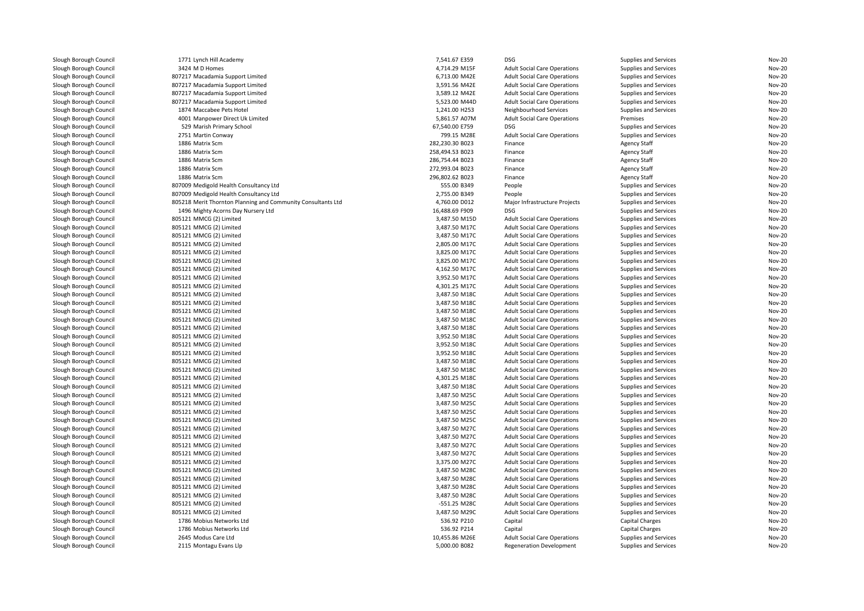| Slough Borough Council | 1771 Lynch Hill Academy                                      | 7,541.67 E359   | <b>DSG</b>                          | Supplies and Services | <b>Nov-20</b> |
|------------------------|--------------------------------------------------------------|-----------------|-------------------------------------|-----------------------|---------------|
| Slough Borough Council | 3424 M D Homes                                               | 4,714.29 M15F   | <b>Adult Social Care Operations</b> | Supplies and Services | <b>Nov-20</b> |
| Slough Borough Council | 807217 Macadamia Support Limited                             | 6,713.00 M42E   | <b>Adult Social Care Operations</b> | Supplies and Services | <b>Nov-20</b> |
| Slough Borough Council | 807217 Macadamia Support Limited                             | 3,591.56 M42E   | <b>Adult Social Care Operations</b> | Supplies and Services | <b>Nov-20</b> |
| Slough Borough Council | 807217 Macadamia Support Limited                             | 3,589.12 M42E   | <b>Adult Social Care Operations</b> | Supplies and Services | <b>Nov-20</b> |
| Slough Borough Council | 807217 Macadamia Support Limited                             | 5,523.00 M44D   | <b>Adult Social Care Operations</b> | Supplies and Services | <b>Nov-20</b> |
| Slough Borough Council | 1874 Maccabee Pets Hotel                                     | 1,241.00 H253   | Neighbourhood Services              | Supplies and Services | <b>Nov-20</b> |
| Slough Borough Council | 4001 Manpower Direct Uk Limited                              | 5,861.57 A07M   | <b>Adult Social Care Operations</b> | Premises              | <b>Nov-20</b> |
| Slough Borough Council | 529 Marish Primary School                                    | 67,540.00 E759  | <b>DSG</b>                          | Supplies and Services | <b>Nov-20</b> |
| Slough Borough Council | 2751 Martin Conway                                           | 799.15 M28E     | <b>Adult Social Care Operations</b> | Supplies and Services | <b>Nov-20</b> |
| Slough Borough Council | 1886 Matrix Scm                                              | 282,230.30 B023 | Finance                             | <b>Agency Staff</b>   | <b>Nov-20</b> |
| Slough Borough Council | 1886 Matrix Scm                                              | 258,494.53 B023 | Finance                             | <b>Agency Staff</b>   | <b>Nov-20</b> |
| Slough Borough Council | 1886 Matrix Scm                                              | 286,754.44 B023 | Finance                             | <b>Agency Staff</b>   | <b>Nov-20</b> |
| Slough Borough Council | 1886 Matrix Scm                                              | 272,993.04 B023 | Finance                             | <b>Agency Staff</b>   | <b>Nov-20</b> |
| Slough Borough Council | 1886 Matrix Scm                                              | 296,802.62 B023 | Finance                             | <b>Agency Staff</b>   | <b>Nov-20</b> |
| Slough Borough Council | 807009 Medigold Health Consultancy Ltd                       | 555.00 B349     | People                              | Supplies and Services | <b>Nov-20</b> |
| Slough Borough Council | 807009 Medigold Health Consultancy Ltd                       | 2,755.00 B349   | People                              | Supplies and Services | <b>Nov-20</b> |
| Slough Borough Council | 805218 Merit Thornton Planning and Community Consultants Ltd | 4,760.00 D012   | Major Infrastructure Projects       | Supplies and Services | <b>Nov-20</b> |
| Slough Borough Council | 1496 Mighty Acorns Day Nursery Ltd                           | 16,488.69 F909  | DSG                                 | Supplies and Services | Nov-20        |
| Slough Borough Council | 805121 MMCG (2) Limited                                      | 3,487.50 M15D   | <b>Adult Social Care Operations</b> | Supplies and Services | <b>Nov-20</b> |
| Slough Borough Council | 805121 MMCG (2) Limited                                      | 3,487.50 M17C   | <b>Adult Social Care Operations</b> | Supplies and Services | <b>Nov-20</b> |
| Slough Borough Council | 805121 MMCG (2) Limited                                      | 3,487.50 M17C   | <b>Adult Social Care Operations</b> | Supplies and Services | <b>Nov-20</b> |
| Slough Borough Council | 805121 MMCG (2) Limited                                      | 2,805.00 M17C   | <b>Adult Social Care Operations</b> | Supplies and Services | <b>Nov-20</b> |
| Slough Borough Council | 805121 MMCG (2) Limited                                      | 3,825.00 M17C   | <b>Adult Social Care Operations</b> | Supplies and Services | <b>Nov-20</b> |
| Slough Borough Council | 805121 MMCG (2) Limited                                      | 3,825.00 M17C   | <b>Adult Social Care Operations</b> | Supplies and Services | <b>Nov-20</b> |
| Slough Borough Council | 805121 MMCG (2) Limited                                      | 4,162.50 M17C   | <b>Adult Social Care Operations</b> | Supplies and Services | <b>Nov-20</b> |
| Slough Borough Council | 805121 MMCG (2) Limited                                      | 3,952.50 M17C   | <b>Adult Social Care Operations</b> | Supplies and Services | <b>Nov-20</b> |
| Slough Borough Council | 805121 MMCG (2) Limited                                      | 4,301.25 M17C   | <b>Adult Social Care Operations</b> | Supplies and Services | <b>Nov-20</b> |
| Slough Borough Council | 805121 MMCG (2) Limited                                      | 3,487.50 M18C   | <b>Adult Social Care Operations</b> | Supplies and Services | <b>Nov-20</b> |
| Slough Borough Council | 805121 MMCG (2) Limited                                      | 3,487.50 M18C   | <b>Adult Social Care Operations</b> | Supplies and Services | <b>Nov-20</b> |
| Slough Borough Council | 805121 MMCG (2) Limited                                      | 3,487.50 M18C   | <b>Adult Social Care Operations</b> | Supplies and Services | <b>Nov-20</b> |
| Slough Borough Council | 805121 MMCG (2) Limited                                      | 3,487.50 M18C   | <b>Adult Social Care Operations</b> | Supplies and Services | <b>Nov-20</b> |
| Slough Borough Council | 805121 MMCG (2) Limited                                      | 3,487.50 M18C   | <b>Adult Social Care Operations</b> | Supplies and Services | <b>Nov-20</b> |
|                        | 805121 MMCG (2) Limited                                      | 3,952.50 M18C   | <b>Adult Social Care Operations</b> | Supplies and Services | <b>Nov-20</b> |
| Slough Borough Council | 805121 MMCG (2) Limited                                      | 3,952.50 M18C   |                                     | Supplies and Services | <b>Nov-20</b> |
| Slough Borough Council |                                                              |                 | <b>Adult Social Care Operations</b> |                       |               |
| Slough Borough Council | 805121 MMCG (2) Limited                                      | 3,952.50 M18C   | <b>Adult Social Care Operations</b> | Supplies and Services | <b>Nov-20</b> |
| Slough Borough Council | 805121 MMCG (2) Limited                                      | 3,487.50 M18C   | <b>Adult Social Care Operations</b> | Supplies and Services | <b>Nov-20</b> |
| Slough Borough Council | 805121 MMCG (2) Limited                                      | 3,487.50 M18C   | <b>Adult Social Care Operations</b> | Supplies and Services | Nov-20        |
| Slough Borough Council | 805121 MMCG (2) Limited                                      | 4,301.25 M18C   | <b>Adult Social Care Operations</b> | Supplies and Services | <b>Nov-20</b> |
| Slough Borough Council | 805121 MMCG (2) Limited                                      | 3,487.50 M18C   | <b>Adult Social Care Operations</b> | Supplies and Services | <b>Nov-20</b> |
| Slough Borough Council | 805121 MMCG (2) Limited                                      | 3,487.50 M25C   | <b>Adult Social Care Operations</b> | Supplies and Services | <b>Nov-20</b> |
| Slough Borough Council | 805121 MMCG (2) Limited                                      | 3,487.50 M25C   | <b>Adult Social Care Operations</b> | Supplies and Services | <b>Nov-20</b> |
| Slough Borough Council | 805121 MMCG (2) Limited                                      | 3,487.50 M25C   | <b>Adult Social Care Operations</b> | Supplies and Services | <b>Nov-20</b> |
| Slough Borough Council | 805121 MMCG (2) Limited                                      | 3,487.50 M25C   | <b>Adult Social Care Operations</b> | Supplies and Services | <b>Nov-20</b> |
| Slough Borough Council | 805121 MMCG (2) Limited                                      | 3,487.50 M27C   | <b>Adult Social Care Operations</b> | Supplies and Services | <b>Nov-20</b> |
| Slough Borough Council | 805121 MMCG (2) Limited                                      | 3,487.50 M27C   | <b>Adult Social Care Operations</b> | Supplies and Services | <b>Nov-20</b> |
| Slough Borough Council | 805121 MMCG (2) Limited                                      | 3,487.50 M27C   | <b>Adult Social Care Operations</b> | Supplies and Services | <b>Nov-20</b> |
| Slough Borough Council | 805121 MMCG (2) Limited                                      | 3,487.50 M27C   | <b>Adult Social Care Operations</b> | Supplies and Services | <b>Nov-20</b> |
| Slough Borough Council | 805121 MMCG (2) Limited                                      | 3,375.00 M27C   | <b>Adult Social Care Operations</b> | Supplies and Services | <b>Nov-20</b> |
| Slough Borough Council | 805121 MMCG (2) Limited                                      | 3,487.50 M28C   | <b>Adult Social Care Operations</b> | Supplies and Services | <b>Nov-20</b> |
| Slough Borough Council | 805121 MMCG (2) Limited                                      | 3,487.50 M28C   | <b>Adult Social Care Operations</b> | Supplies and Services | <b>Nov-20</b> |
| Slough Borough Council | 805121 MMCG (2) Limited                                      | 3,487.50 M28C   | <b>Adult Social Care Operations</b> | Supplies and Services | <b>Nov-20</b> |
| Slough Borough Council | 805121 MMCG (2) Limited                                      | 3,487.50 M28C   | <b>Adult Social Care Operations</b> | Supplies and Services | <b>Nov-20</b> |
| Slough Borough Council | 805121 MMCG (2) Limited                                      | -551.25 M28C    | <b>Adult Social Care Operations</b> | Supplies and Services | Nov-20        |
| Slough Borough Council | 805121 MMCG (2) Limited                                      | 3,487.50 M29C   | <b>Adult Social Care Operations</b> | Supplies and Services | <b>Nov-20</b> |
| Slough Borough Council | 1786 Mobius Networks Ltd                                     | 536.92 P210     | Capital                             | Capital Charges       | <b>Nov-20</b> |
| Slough Borough Council | 1786 Mobius Networks Ltd                                     | 536.92 P214     | Capital                             | Capital Charges       | <b>Nov-20</b> |
| Slough Borough Council | 2645 Modus Care Ltd                                          | 10,455.86 M26E  | <b>Adult Social Care Operations</b> | Supplies and Services | <b>Nov-20</b> |
| Slough Borough Council | 2115 Montagu Evans Llp                                       | 5,000.00 B082   | <b>Regeneration Development</b>     | Supplies and Services | <b>Nov-20</b> |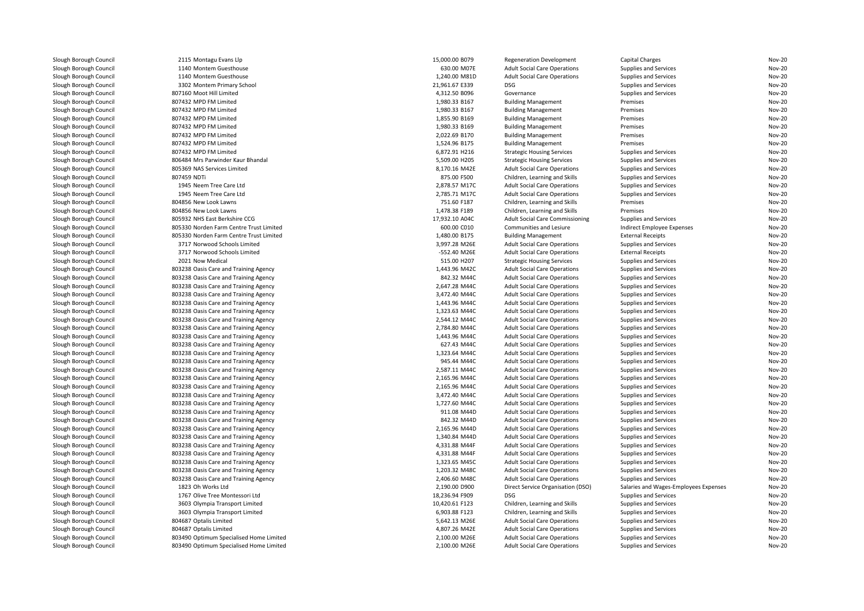| Slough Borough Council | 2115 Montagu Evans Llp                                                         | 15,000.00 B079                 | <b>Regeneration Development</b>                                            | Capital Charges                                | <b>Nov-20</b>                  |
|------------------------|--------------------------------------------------------------------------------|--------------------------------|----------------------------------------------------------------------------|------------------------------------------------|--------------------------------|
| Slough Borough Council | 1140 Montem Guesthouse                                                         | 630.00 M07E                    | <b>Adult Social Care Operations</b>                                        | Supplies and Services                          | Nov-20                         |
| Slough Borough Council | 1140 Montem Guesthouse                                                         | 1,240.00 M81D                  | <b>Adult Social Care Operations</b>                                        | Supplies and Services                          | <b>Nov-20</b>                  |
| Slough Borough Council | 3302 Montem Primary School                                                     | 21,961.67 E339                 | DSG                                                                        | Supplies and Services                          | Nov-20                         |
| Slough Borough Council | 807160 Moot Hill Limited                                                       | 4,312.50 B096                  | Governance                                                                 | Supplies and Services                          | <b>Nov-20</b>                  |
| Slough Borough Council | 807432 MPD FM Limited                                                          | 1,980.33 B167                  | <b>Building Management</b>                                                 | Premises                                       | <b>Nov-20</b>                  |
| Slough Borough Council | 807432 MPD FM Limited                                                          | 1,980.33 B167                  | <b>Building Management</b>                                                 | Premises                                       | <b>Nov-20</b>                  |
| Slough Borough Council | 807432 MPD FM Limited                                                          | 1,855.90 B169                  | <b>Building Management</b>                                                 | Premises                                       | <b>Nov-20</b>                  |
| Slough Borough Council | 807432 MPD FM Limited                                                          | 1,980.33 B169                  | <b>Building Management</b>                                                 | Premises                                       | <b>Nov-20</b>                  |
| Slough Borough Council | 807432 MPD FM Limited                                                          | 2,022.69 B170                  | <b>Building Management</b>                                                 | Premises                                       | Nov-20                         |
| Slough Borough Council | 807432 MPD FM Limited                                                          | 1,524.96 B175                  | <b>Building Management</b>                                                 | Premises                                       | <b>Nov-20</b>                  |
| Slough Borough Council | 807432 MPD FM Limited                                                          | 6,872.91 H216                  | <b>Strategic Housing Services</b>                                          | Supplies and Services                          | Nov-20                         |
| Slough Borough Council | 806484 Mrs Parwinder Kaur Bhandal                                              | 5,509.00 H205                  | <b>Strategic Housing Services</b>                                          | Supplies and Services                          | <b>Nov-20</b>                  |
| Slough Borough Council | 805369 NAS Services Limited                                                    | 8,170.16 M42E                  | <b>Adult Social Care Operations</b>                                        | Supplies and Services                          | <b>Nov-20</b>                  |
| Slough Borough Council | 807459 NDTi                                                                    | 875.00 F500                    | Children, Learning and Skills                                              | Supplies and Services                          | <b>Nov-20</b>                  |
| Slough Borough Council | 1945 Neem Tree Care Ltd                                                        | 2,878.57 M17C                  | <b>Adult Social Care Operations</b>                                        | Supplies and Services                          | <b>Nov-20</b>                  |
| Slough Borough Council | 1945 Neem Tree Care Ltd                                                        | 2,785.71 M17C                  | <b>Adult Social Care Operations</b>                                        | Supplies and Services                          | Nov-20                         |
| Slough Borough Council | 804856 New Look Lawns                                                          | 751.60 F187                    | Children, Learning and Skills                                              | Premises                                       | <b>Nov-20</b>                  |
| Slough Borough Council | 804856 New Look Lawns                                                          | 1,478.38 F189                  | Children, Learning and Skills                                              | Premises                                       | <b>Nov-20</b>                  |
| Slough Borough Council | 805932 NHS East Berkshire CCG                                                  | 17,932.10 A04C                 | Adult Social Care Commissioning                                            | Supplies and Services                          | <b>Nov-20</b>                  |
| Slough Borough Council | 805330 Norden Farm Centre Trust Limited                                        | 600.00 C010                    | Communities and Lesiure                                                    | Indirect Employee Expenses                     | Nov-20                         |
| Slough Borough Council | 805330 Norden Farm Centre Trust Limited                                        | 1,480.00 B175                  | <b>Building Management</b>                                                 | <b>External Receipts</b>                       | Nov-20                         |
| Slough Borough Council | 3717 Norwood Schools Limited                                                   | 3,997.28 M26E                  | <b>Adult Social Care Operations</b>                                        | Supplies and Services                          | <b>Nov-20</b>                  |
| Slough Borough Council | 3717 Norwood Schools Limited                                                   | -552.40 M26E                   | <b>Adult Social Care Operations</b>                                        | <b>External Receipts</b>                       | <b>Nov-20</b>                  |
| Slough Borough Council | 2021 Now Medical                                                               | 515.00 H207                    | <b>Strategic Housing Services</b>                                          | Supplies and Services                          | <b>Nov-20</b>                  |
| Slough Borough Council | 803238 Oasis Care and Training Agency                                          | 1,443.96 M42C                  | <b>Adult Social Care Operations</b>                                        | Supplies and Services                          | <b>Nov-20</b>                  |
| Slough Borough Council | 803238 Oasis Care and Training Agency                                          | 842.32 M44C                    | <b>Adult Social Care Operations</b>                                        | Supplies and Services                          | <b>Nov-20</b>                  |
| Slough Borough Council | 803238 Oasis Care and Training Agency                                          | 2.647.28 M44C                  | <b>Adult Social Care Operations</b>                                        | Supplies and Services                          | <b>Nov-20</b>                  |
| Slough Borough Council | 803238 Oasis Care and Training Agency                                          | 3,472.40 M44C                  | <b>Adult Social Care Operations</b>                                        | Supplies and Services                          | <b>Nov-20</b>                  |
| Slough Borough Council | 803238 Oasis Care and Training Agency                                          | 1.443.96 M44C                  | <b>Adult Social Care Operations</b>                                        | Supplies and Services                          | <b>Nov-20</b>                  |
| Slough Borough Council | 803238 Oasis Care and Training Agency                                          | 1,323.63 M44C                  | <b>Adult Social Care Operations</b>                                        | Supplies and Services                          | <b>Nov-20</b>                  |
| Slough Borough Council | 803238 Oasis Care and Training Agency                                          | 2,544.12 M44C                  | <b>Adult Social Care Operations</b>                                        | Supplies and Services                          | <b>Nov-20</b>                  |
| Slough Borough Council | 803238 Oasis Care and Training Agency                                          | 2,784.80 M44C                  | <b>Adult Social Care Operations</b>                                        | Supplies and Services                          | <b>Nov-20</b>                  |
| Slough Borough Council | 803238 Oasis Care and Training Agency                                          | 1,443.96 M44C                  | <b>Adult Social Care Operations</b>                                        | Supplies and Services                          | Nov-20                         |
| Slough Borough Council | 803238 Oasis Care and Training Agency                                          | 627.43 M44C                    | <b>Adult Social Care Operations</b>                                        | Supplies and Services                          | <b>Nov-20</b>                  |
| Slough Borough Council | 803238 Oasis Care and Training Agency                                          | 1,323.64 M44C                  | <b>Adult Social Care Operations</b>                                        | Supplies and Services                          | Nov-20                         |
| Slough Borough Council | 803238 Oasis Care and Training Agency                                          | 945.44 M44C                    | <b>Adult Social Care Operations</b>                                        | Supplies and Services                          | <b>Nov-20</b>                  |
| Slough Borough Council | 803238 Oasis Care and Training Agency                                          | 2,587.11 M44C                  | <b>Adult Social Care Operations</b>                                        | Supplies and Services                          | <b>Nov-20</b>                  |
| Slough Borough Council | 803238 Oasis Care and Training Agency                                          | 2,165.96 M44C                  | <b>Adult Social Care Operations</b>                                        | Supplies and Services                          | <b>Nov-20</b>                  |
| Slough Borough Council | 803238 Oasis Care and Training Agency                                          | 2,165.96 M44C                  |                                                                            | Supplies and Services                          | <b>Nov-20</b>                  |
| Slough Borough Council |                                                                                |                                | <b>Adult Social Care Operations</b>                                        |                                                | <b>Nov-20</b>                  |
| Slough Borough Council | 803238 Oasis Care and Training Agency                                          | 3,472.40 M44C<br>1,727.60 M44C | <b>Adult Social Care Operations</b>                                        | Supplies and Services                          | <b>Nov-20</b>                  |
| Slough Borough Council | 803238 Oasis Care and Training Agency<br>803238 Oasis Care and Training Agency | 911.08 M44D                    | <b>Adult Social Care Operations</b><br><b>Adult Social Care Operations</b> | Supplies and Services<br>Supplies and Services | <b>Nov-20</b>                  |
|                        |                                                                                |                                |                                                                            |                                                |                                |
| Slough Borough Council | 803238 Oasis Care and Training Agency                                          | 842.32 M44D                    | <b>Adult Social Care Operations</b>                                        | Supplies and Services                          | <b>Nov-20</b>                  |
| Slough Borough Council | 803238 Oasis Care and Training Agency                                          | 2,165.96 M44D<br>1,340.84 M44D | <b>Adult Social Care Operations</b>                                        | Supplies and Services                          | <b>Nov-20</b><br><b>Nov-20</b> |
| Slough Borough Council | 803238 Oasis Care and Training Agency                                          |                                | <b>Adult Social Care Operations</b>                                        | Supplies and Services                          |                                |
| Slough Borough Council | 803238 Oasis Care and Training Agency                                          | 4,331.88 M44F                  | <b>Adult Social Care Operations</b>                                        | Supplies and Services                          | <b>Nov-20</b>                  |
| Slough Borough Council | 803238 Oasis Care and Training Agency                                          | 4,331.88 M44F                  | <b>Adult Social Care Operations</b>                                        | Supplies and Services                          | <b>Nov-20</b>                  |
| Slough Borough Council | 803238 Oasis Care and Training Agency                                          | 1,323.65 M45C                  | <b>Adult Social Care Operations</b>                                        | Supplies and Services                          | Nov-20                         |
| Slough Borough Council | 803238 Oasis Care and Training Agency                                          | 1,203.32 M48C                  | <b>Adult Social Care Operations</b>                                        | Supplies and Services                          | <b>Nov-20</b>                  |
| Slough Borough Council | 803238 Oasis Care and Training Agency                                          | 2,406.60 M48C                  | <b>Adult Social Care Operations</b>                                        | Supplies and Services                          | <b>Nov-20</b>                  |
| Slough Borough Council | 1823 Oh Works Ltd                                                              | 2,190.00 D900                  | Direct Service Organisation (DSO)                                          | Salaries and Wages-Employees Expenses          | <b>Nov-20</b>                  |
| Slough Borough Council | 1767 Olive Tree Montessori Ltd                                                 | 18,236.94 F909                 | <b>DSG</b>                                                                 | Supplies and Services                          | <b>Nov-20</b>                  |
| Slough Borough Council | 3603 Olympia Transport Limited                                                 | 10,420.61 F123                 | Children, Learning and Skills                                              | Supplies and Services                          | <b>Nov-20</b>                  |
| Slough Borough Council | 3603 Olympia Transport Limited                                                 | 6,903.88 F123                  | Children, Learning and Skills                                              | Supplies and Services                          | <b>Nov-20</b>                  |
| Slough Borough Council | 804687 Optalis Limited                                                         | 5,642.13 M26E                  | <b>Adult Social Care Operations</b>                                        | Supplies and Services                          | <b>Nov-20</b>                  |
| Slough Borough Council | 804687 Optalis Limited                                                         | 4,807.26 M42E                  | <b>Adult Social Care Operations</b>                                        | Supplies and Services                          | Nov-20                         |
| Slough Borough Council | 803490 Optimum Specialised Home Limited                                        | 2,100.00 M26E                  | <b>Adult Social Care Operations</b>                                        | Supplies and Services                          | <b>Nov-20</b>                  |
| Slough Borough Council | 803490 Optimum Specialised Home Limited                                        | 2,100.00 M26E                  | <b>Adult Social Care Operations</b>                                        | Supplies and Services                          | <b>Nov-20</b>                  |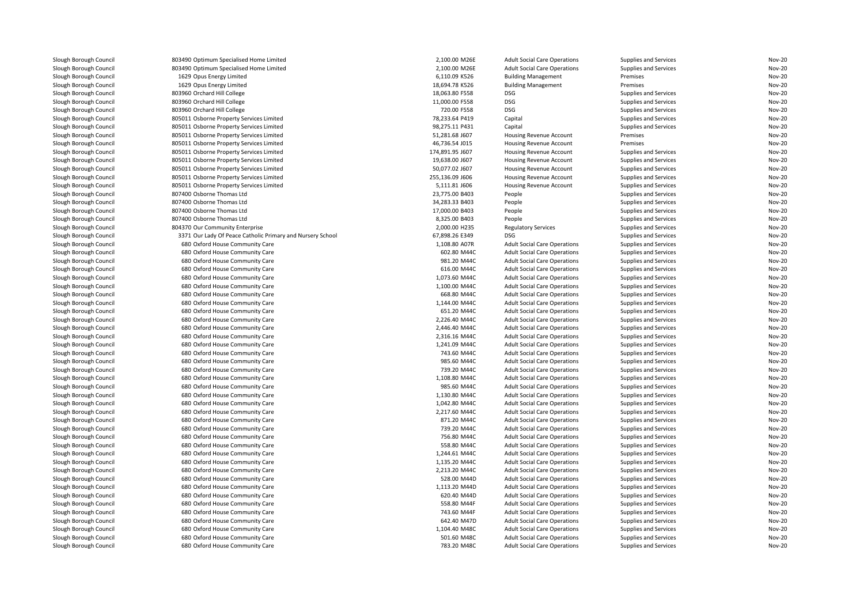| Slough Borough Council | 803490 Optimum Specialised Home Limited                            | 2,100.00 M26E   | <b>Adult Social Care Operations</b> | Supplies and Services | Nov-20        |
|------------------------|--------------------------------------------------------------------|-----------------|-------------------------------------|-----------------------|---------------|
| Slough Borough Council | 803490 Optimum Specialised Home Limited                            | 2,100.00 M26E   | <b>Adult Social Care Operations</b> | Supplies and Services | <b>Nov-20</b> |
| Slough Borough Council | 1629 Opus Energy Limited                                           | 6,110.09 K526   | <b>Building Management</b>          | Premises              | <b>Nov-20</b> |
| Slough Borough Council | 1629 Opus Energy Limited                                           | 18,694.78 K526  | <b>Building Management</b>          | Premises              | Nov-20        |
| Slough Borough Council | 803960 Orchard Hill College                                        | 18,063.80 F558  | DSG                                 | Supplies and Services | <b>Nov-20</b> |
| Slough Borough Council | 803960 Orchard Hill College                                        | 11,000.00 F558  | DSG                                 | Supplies and Services | <b>Nov-20</b> |
| Slough Borough Council | 803960 Orchard Hill College                                        | 720.00 F558     | <b>DSG</b>                          | Supplies and Services | Nov-20        |
| Slough Borough Council | 805011 Osborne Property Services Limited                           | 78,233.64 P419  | Capital                             | Supplies and Services | Nov-20        |
| Slough Borough Council | 805011 Osborne Property Services Limited                           | 98,275.11 P431  | Capital                             | Supplies and Services | <b>Nov-20</b> |
| Slough Borough Council | 805011 Osborne Property Services Limited                           | 51,281.68 J607  | Housing Revenue Account             | Premises              | <b>Nov-20</b> |
| Slough Borough Council | 805011 Osborne Property Services Limited                           | 46,736.54 J015  | <b>Housing Revenue Account</b>      | Premises              | <b>Nov-20</b> |
| Slough Borough Council | 805011 Osborne Property Services Limited                           | 174,891.95 J607 | Housing Revenue Account             | Supplies and Services | <b>Nov-20</b> |
| Slough Borough Council | 805011 Osborne Property Services Limited                           | 19,638.00 J607  | Housing Revenue Account             | Supplies and Services | <b>Nov-20</b> |
| Slough Borough Council | 805011 Osborne Property Services Limited                           | 50,077.02 J607  | Housing Revenue Account             | Supplies and Services | Nov-20        |
| Slough Borough Council | 805011 Osborne Property Services Limited                           | 255,136.09 J606 | <b>Housing Revenue Account</b>      | Supplies and Services | <b>Nov-20</b> |
| Slough Borough Council | 805011 Osborne Property Services Limited                           | 5,111.81 J606   | Housing Revenue Account             | Supplies and Services | Nov-20        |
| Slough Borough Council | 807400 Osborne Thomas Ltd                                          | 23,775.00 B403  | People                              | Supplies and Services | <b>Nov-20</b> |
| Slough Borough Council | 807400 Osborne Thomas Ltd                                          | 34,283.33 B403  | People                              | Supplies and Services | <b>Nov-20</b> |
| Slough Borough Council | 807400 Osborne Thomas Ltd                                          | 17,000.00 B403  | People                              | Supplies and Services | <b>Nov-20</b> |
| Slough Borough Council | 807400 Osborne Thomas Ltd                                          | 8,325.00 B403   | People                              | Supplies and Services | Nov-20        |
| Slough Borough Council | 804370 Our Community Enterprise                                    | 2,000.00 H235   | <b>Regulatory Services</b>          | Supplies and Services | <b>Nov-20</b> |
| Slough Borough Council | 3371 Our Lady Of Peace Catholic Primary and Nursery School         | 67,898.26 E349  | DSG                                 | Supplies and Services | Nov-20        |
| Slough Borough Council | 680 Oxford House Community Care                                    | 1,108.80 A07R   | <b>Adult Social Care Operations</b> | Supplies and Services | <b>Nov-20</b> |
| Slough Borough Council | 680 Oxford House Community Care                                    | 602.80 M44C     | <b>Adult Social Care Operations</b> | Supplies and Services | <b>Nov-20</b> |
| Slough Borough Council | 680 Oxford House Community Care                                    | 981.20 M44C     | <b>Adult Social Care Operations</b> | Supplies and Services | <b>Nov-20</b> |
| Slough Borough Council | 680 Oxford House Community Care                                    | 616.00 M44C     | <b>Adult Social Care Operations</b> | Supplies and Services | <b>Nov-20</b> |
| Slough Borough Council | 680 Oxford House Community Care                                    | 1,073.60 M44C   | <b>Adult Social Care Operations</b> | Supplies and Services | <b>Nov-20</b> |
| Slough Borough Council | 680 Oxford House Community Care                                    | 1,100.00 M44C   | <b>Adult Social Care Operations</b> | Supplies and Services | <b>Nov-20</b> |
| Slough Borough Council | 680 Oxford House Community Care                                    | 668.80 M44C     | <b>Adult Social Care Operations</b> | Supplies and Services | <b>Nov-20</b> |
| Slough Borough Council | 680 Oxford House Community Care                                    | 1,144.00 M44C   | <b>Adult Social Care Operations</b> | Supplies and Services | <b>Nov-20</b> |
| Slough Borough Council | 680 Oxford House Community Care                                    | 651.20 M44C     | <b>Adult Social Care Operations</b> | Supplies and Services | <b>Nov-20</b> |
| Slough Borough Council | 680 Oxford House Community Care                                    | 2,226.40 M44C   | <b>Adult Social Care Operations</b> | Supplies and Services | <b>Nov-20</b> |
| Slough Borough Council | 680 Oxford House Community Care                                    | 2,446.40 M44C   | <b>Adult Social Care Operations</b> | Supplies and Services | <b>Nov-20</b> |
| Slough Borough Council | 680 Oxford House Community Care                                    | 2,316.16 M44C   | <b>Adult Social Care Operations</b> | Supplies and Services | <b>Nov-20</b> |
|                        |                                                                    | 1,241.09 M44C   |                                     |                       | <b>Nov-20</b> |
| Slough Borough Council | 680 Oxford House Community Care<br>680 Oxford House Community Care | 743.60 M44C     | <b>Adult Social Care Operations</b> | Supplies and Services | <b>Nov-20</b> |
| Slough Borough Council |                                                                    |                 | <b>Adult Social Care Operations</b> | Supplies and Services |               |
| Slough Borough Council | 680 Oxford House Community Care                                    | 985.60 M44C     | <b>Adult Social Care Operations</b> | Supplies and Services | <b>Nov-20</b> |
| Slough Borough Council | 680 Oxford House Community Care                                    | 739.20 M44C     | <b>Adult Social Care Operations</b> | Supplies and Services | <b>Nov-20</b> |
| Slough Borough Council | 680 Oxford House Community Care                                    | 1,108.80 M44C   | <b>Adult Social Care Operations</b> | Supplies and Services | <b>Nov-20</b> |
| Slough Borough Council | 680 Oxford House Community Care                                    | 985.60 M44C     | <b>Adult Social Care Operations</b> | Supplies and Services | <b>Nov-20</b> |
| Slough Borough Council | 680 Oxford House Community Care                                    | 1,130.80 M44C   | <b>Adult Social Care Operations</b> | Supplies and Services | <b>Nov-20</b> |
| Slough Borough Council | 680 Oxford House Community Care                                    | 1,042.80 M44C   | <b>Adult Social Care Operations</b> | Supplies and Services | <b>Nov-20</b> |
| Slough Borough Council | 680 Oxford House Community Care                                    | 2,217.60 M44C   | <b>Adult Social Care Operations</b> | Supplies and Services | <b>Nov-20</b> |
| Slough Borough Council | 680 Oxford House Community Care                                    | 871.20 M44C     | <b>Adult Social Care Operations</b> | Supplies and Services | <b>Nov-20</b> |
| Slough Borough Council | 680 Oxford House Community Care                                    | 739.20 M44C     | <b>Adult Social Care Operations</b> | Supplies and Services | <b>Nov-20</b> |
| Slough Borough Council | 680 Oxford House Community Care                                    | 756.80 M44C     | <b>Adult Social Care Operations</b> | Supplies and Services | <b>Nov-20</b> |
| Slough Borough Council | 680 Oxford House Community Care                                    | 558.80 M44C     | <b>Adult Social Care Operations</b> | Supplies and Services | <b>Nov-20</b> |
| Slough Borough Council | 680 Oxford House Community Care                                    | 1,244.61 M44C   | <b>Adult Social Care Operations</b> | Supplies and Services | <b>Nov-20</b> |
| Slough Borough Council | 680 Oxford House Community Care                                    | 1,135.20 M44C   | <b>Adult Social Care Operations</b> | Supplies and Services | <b>Nov-20</b> |
| Slough Borough Council | 680 Oxford House Community Care                                    | 2,213.20 M44C   | <b>Adult Social Care Operations</b> | Supplies and Services | <b>Nov-20</b> |
| Slough Borough Council | 680 Oxford House Community Care                                    | 528.00 M44D     | <b>Adult Social Care Operations</b> | Supplies and Services | <b>Nov-20</b> |
| Slough Borough Council | 680 Oxford House Community Care                                    | 1,113.20 M44D   | <b>Adult Social Care Operations</b> | Supplies and Services | <b>Nov-20</b> |
| Slough Borough Council | 680 Oxford House Community Care                                    | 620.40 M44D     | <b>Adult Social Care Operations</b> | Supplies and Services | <b>Nov-20</b> |
| Slough Borough Council | 680 Oxford House Community Care                                    | 558.80 M44F     | <b>Adult Social Care Operations</b> | Supplies and Services | <b>Nov-20</b> |
| Slough Borough Council | 680 Oxford House Community Care                                    | 743.60 M44F     | <b>Adult Social Care Operations</b> | Supplies and Services | <b>Nov-20</b> |
| Slough Borough Council | 680 Oxford House Community Care                                    | 642.40 M47D     | <b>Adult Social Care Operations</b> | Supplies and Services | <b>Nov-20</b> |
| Slough Borough Council | 680 Oxford House Community Care                                    | 1,104.40 M48C   | <b>Adult Social Care Operations</b> | Supplies and Services | <b>Nov-20</b> |
| Slough Borough Council | 680 Oxford House Community Care                                    | 501.60 M48C     | <b>Adult Social Care Operations</b> | Supplies and Services | <b>Nov-20</b> |
| Slough Borough Council | 680 Oxford House Community Care                                    | 783.20 M48C     | <b>Adult Social Care Operations</b> | Supplies and Services | <b>Nov-20</b> |
|                        |                                                                    |                 |                                     |                       |               |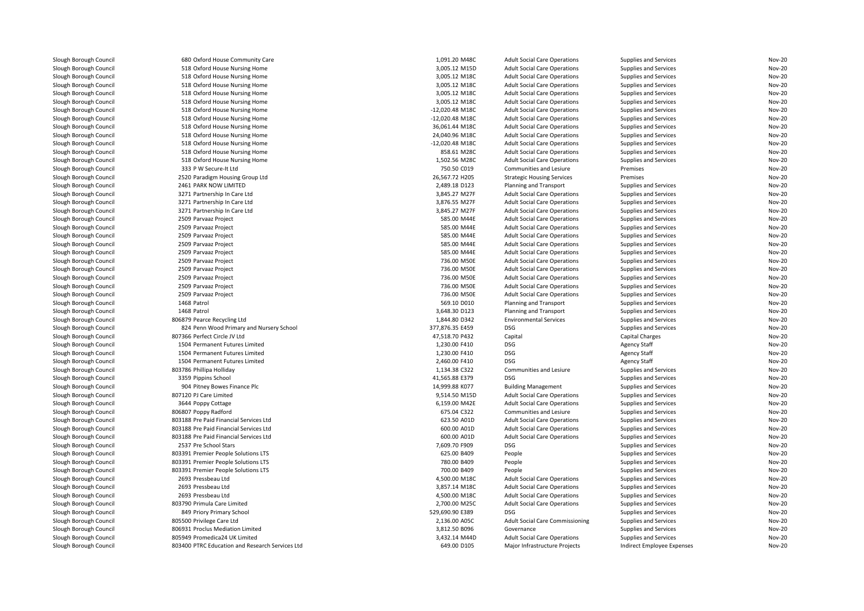| Slough Borough Council | 680 Oxford House Community Care                 | 1,091.20 M48C   | <b>Adult Social Care Operations</b>    | Supplies and Services        | <b>Nov-20</b> |
|------------------------|-------------------------------------------------|-----------------|----------------------------------------|------------------------------|---------------|
| Slough Borough Council | 518 Oxford House Nursing Home                   | 3,005.12 M15D   | <b>Adult Social Care Operations</b>    | <b>Supplies and Services</b> | <b>Nov-20</b> |
| Slough Borough Council | 518 Oxford House Nursing Home                   | 3,005.12 M18C   | <b>Adult Social Care Operations</b>    | Supplies and Services        | <b>Nov-20</b> |
| Slough Borough Council | 518 Oxford House Nursing Home                   | 3,005.12 M18C   | <b>Adult Social Care Operations</b>    | Supplies and Services        | <b>Nov-20</b> |
| Slough Borough Council | 518 Oxford House Nursing Home                   | 3,005.12 M18C   | <b>Adult Social Care Operations</b>    | Supplies and Services        | <b>Nov-20</b> |
| Slough Borough Council | 518 Oxford House Nursing Home                   | 3,005.12 M18C   | <b>Adult Social Care Operations</b>    | Supplies and Services        | <b>Nov-20</b> |
| Slough Borough Council | 518 Oxford House Nursing Home                   | -12,020.48 M18C | <b>Adult Social Care Operations</b>    | Supplies and Services        | <b>Nov-20</b> |
| Slough Borough Council | 518 Oxford House Nursing Home                   | -12,020.48 M18C | <b>Adult Social Care Operations</b>    | Supplies and Services        | <b>Nov-20</b> |
| Slough Borough Council | 518 Oxford House Nursing Home                   | 36,061.44 M18C  | <b>Adult Social Care Operations</b>    | Supplies and Services        | <b>Nov-20</b> |
| Slough Borough Council | 518 Oxford House Nursing Home                   | 24,040.96 M18C  | <b>Adult Social Care Operations</b>    | Supplies and Services        | <b>Nov-20</b> |
| Slough Borough Council | 518 Oxford House Nursing Home                   | -12,020.48 M18C | <b>Adult Social Care Operations</b>    | Supplies and Services        | <b>Nov-20</b> |
| Slough Borough Council | 518 Oxford House Nursing Home                   | 858.61 M28C     | <b>Adult Social Care Operations</b>    | Supplies and Services        | <b>Nov-20</b> |
| Slough Borough Council | 518 Oxford House Nursing Home                   | 1,502.56 M28C   | <b>Adult Social Care Operations</b>    | Supplies and Services        | <b>Nov-20</b> |
| Slough Borough Council | 333 P W Secure-It Ltd                           | 750.50 C019     | Communities and Lesiure                | Premises                     | <b>Nov-20</b> |
| Slough Borough Council | 2520 Paradigm Housing Group Ltd                 | 26,567.72 H205  | <b>Strategic Housing Services</b>      | Premises                     | <b>Nov-20</b> |
| Slough Borough Council | 2461 PARK NOW LIMITED                           | 2,489.18 D123   | Planning and Transport                 | Supplies and Services        | <b>Nov-20</b> |
| Slough Borough Council | 3271 Partnership In Care Ltd                    | 3,845.27 M27F   | <b>Adult Social Care Operations</b>    | Supplies and Services        | <b>Nov-20</b> |
| Slough Borough Council | 3271 Partnership In Care Ltd                    | 3.876.55 M27F   | <b>Adult Social Care Operations</b>    | Supplies and Services        | <b>Nov-20</b> |
| Slough Borough Council | 3271 Partnership In Care Ltd                    | 3,845.27 M27F   | <b>Adult Social Care Operations</b>    | Supplies and Services        | <b>Nov-20</b> |
| Slough Borough Council | 2509 Parvaaz Project                            | 585.00 M44E     | <b>Adult Social Care Operations</b>    | Supplies and Services        | <b>Nov-20</b> |
| Slough Borough Council | 2509 Parvaaz Project                            | 585.00 M44E     | <b>Adult Social Care Operations</b>    | Supplies and Services        | <b>Nov-20</b> |
| Slough Borough Council | 2509 Parvaaz Project                            | 585.00 M44E     | <b>Adult Social Care Operations</b>    | Supplies and Services        | <b>Nov-20</b> |
| Slough Borough Council | 2509 Parvaaz Project                            | 585.00 M44E     | <b>Adult Social Care Operations</b>    | Supplies and Services        | <b>Nov-20</b> |
| Slough Borough Council | 2509 Parvaaz Project                            | 585.00 M44E     | <b>Adult Social Care Operations</b>    | Supplies and Services        | <b>Nov-20</b> |
| Slough Borough Council | 2509 Parvaaz Project                            | 736.00 M50E     | <b>Adult Social Care Operations</b>    | Supplies and Services        | <b>Nov-20</b> |
| Slough Borough Council | 2509 Parvaaz Project                            | 736.00 M50E     | <b>Adult Social Care Operations</b>    | Supplies and Services        | <b>Nov-20</b> |
| Slough Borough Council | 2509 Parvaaz Project                            | 736.00 M50E     | <b>Adult Social Care Operations</b>    | Supplies and Services        | <b>Nov-20</b> |
| Slough Borough Council | 2509 Parvaaz Project                            | 736.00 M50E     | <b>Adult Social Care Operations</b>    | Supplies and Services        | <b>Nov-20</b> |
| Slough Borough Council | 2509 Parvaaz Project                            | 736.00 M50E     | <b>Adult Social Care Operations</b>    | Supplies and Services        | <b>Nov-20</b> |
| Slough Borough Council | 1468 Patrol                                     | 569.10 D010     | Planning and Transport                 | Supplies and Services        | <b>Nov-20</b> |
| Slough Borough Council | 1468 Patrol                                     | 3,648.30 D123   | Planning and Transport                 | Supplies and Services        | <b>Nov-20</b> |
| Slough Borough Council | 806879 Pearce Recycling Ltd                     | 1,844.80 D342   | <b>Environmental Services</b>          | Supplies and Services        | <b>Nov-20</b> |
| Slough Borough Council | 824 Penn Wood Primary and Nursery School        | 377,876.35 E459 | <b>DSG</b>                             | Supplies and Services        | <b>Nov-20</b> |
| Slough Borough Council | 807366 Perfect Circle JV Ltd                    | 47,518.70 P432  | Capital                                | Capital Charges              | <b>Nov-20</b> |
| Slough Borough Council | 1504 Permanent Futures Limited                  | 1,230.00 F410   | <b>DSG</b>                             | <b>Agency Staff</b>          | <b>Nov-20</b> |
| Slough Borough Council | 1504 Permanent Futures Limited                  | 1,230.00 F410   | <b>DSG</b>                             | <b>Agency Staff</b>          | <b>Nov-20</b> |
| Slough Borough Council | 1504 Permanent Futures Limited                  | 2,460.00 F410   | <b>DSG</b>                             | <b>Agency Staff</b>          | <b>Nov-20</b> |
| Slough Borough Council | 803786 Phillipa Holliday                        | 1,134.38 C322   | Communities and Lesiure                | Supplies and Services        | <b>Nov-20</b> |
| Slough Borough Council | 3359 Pippins School                             | 41,565.88 E379  | <b>DSG</b>                             | Supplies and Services        | <b>Nov-20</b> |
| Slough Borough Council | 904 Pitney Bowes Finance Plc                    | 14,999.88 K077  | <b>Building Management</b>             | Supplies and Services        | <b>Nov-20</b> |
| Slough Borough Council | 807120 PJ Care Limited                          | 9,514.50 M15D   | <b>Adult Social Care Operations</b>    | Supplies and Services        | <b>Nov-20</b> |
| Slough Borough Council | 3644 Poppy Cottage                              | 6,159.00 M42E   | <b>Adult Social Care Operations</b>    | Supplies and Services        | <b>Nov-20</b> |
| Slough Borough Council | 806807 Poppy Radford                            | 675.04 C322     | Communities and Lesiure                | Supplies and Services        | <b>Nov-20</b> |
| Slough Borough Council | 803188 Pre Paid Financial Services Ltd          | 623.50 A01D     | <b>Adult Social Care Operations</b>    | Supplies and Services        | <b>Nov-20</b> |
| Slough Borough Council | 803188 Pre Paid Financial Services Ltd          | 600.00 A01D     | <b>Adult Social Care Operations</b>    | Supplies and Services        | <b>Nov-20</b> |
| Slough Borough Council | 803188 Pre Paid Financial Services Ltd          | 600.00 A01D     | <b>Adult Social Care Operations</b>    | Supplies and Services        | <b>Nov-20</b> |
| Slough Borough Council | 2537 Pre School Stars                           | 7,609.70 F909   | <b>DSG</b>                             | Supplies and Services        | <b>Nov-20</b> |
| Slough Borough Council | 803391 Premier People Solutions LTS             | 625.00 B409     | People                                 | Supplies and Services        | <b>Nov-20</b> |
| Slough Borough Council | 803391 Premier People Solutions LTS             | 780.00 B409     | People                                 | Supplies and Services        | <b>Nov-20</b> |
| Slough Borough Council | 803391 Premier People Solutions LTS             | 700.00 B409     | People                                 | Supplies and Services        | <b>Nov-20</b> |
| Slough Borough Council | 2693 Pressbeau Ltd                              | 4,500.00 M18C   | <b>Adult Social Care Operations</b>    | Supplies and Services        | <b>Nov-20</b> |
| Slough Borough Council | 2693 Pressbeau Ltd                              | 3,857.14 M18C   | <b>Adult Social Care Operations</b>    | Supplies and Services        | <b>Nov-20</b> |
| Slough Borough Council | 2693 Pressbeau Ltd                              | 4,500.00 M18C   | <b>Adult Social Care Operations</b>    | Supplies and Services        | <b>Nov-20</b> |
| Slough Borough Council | 803790 Primula Care Limited                     | 2,700.00 M25C   | <b>Adult Social Care Operations</b>    | Supplies and Services        | <b>Nov-20</b> |
| Slough Borough Council | 849 Priory Primary School                       | 529,690.90 E389 | <b>DSG</b>                             | Supplies and Services        | <b>Nov-20</b> |
| Slough Borough Council | 805500 Privilege Care Ltd                       | 2,136.00 A05C   | <b>Adult Social Care Commissioning</b> | Supplies and Services        | <b>Nov-20</b> |
| Slough Borough Council | 806931 Proclus Mediation Limited                | 3,812.50 B096   | Governance                             | Supplies and Services        | <b>Nov-20</b> |
| Slough Borough Council | 805949 Promedica24 UK Limited                   | 3,432.14 M44D   | <b>Adult Social Care Operations</b>    | Supplies and Services        | <b>Nov-20</b> |
| Slough Borough Council | 803400 PTRC Education and Research Services Ltd | 649.00 D105     | Major Infrastructure Projects          | Indirect Employee Expenses   | <b>Nov-20</b> |
|                        |                                                 |                 |                                        |                              |               |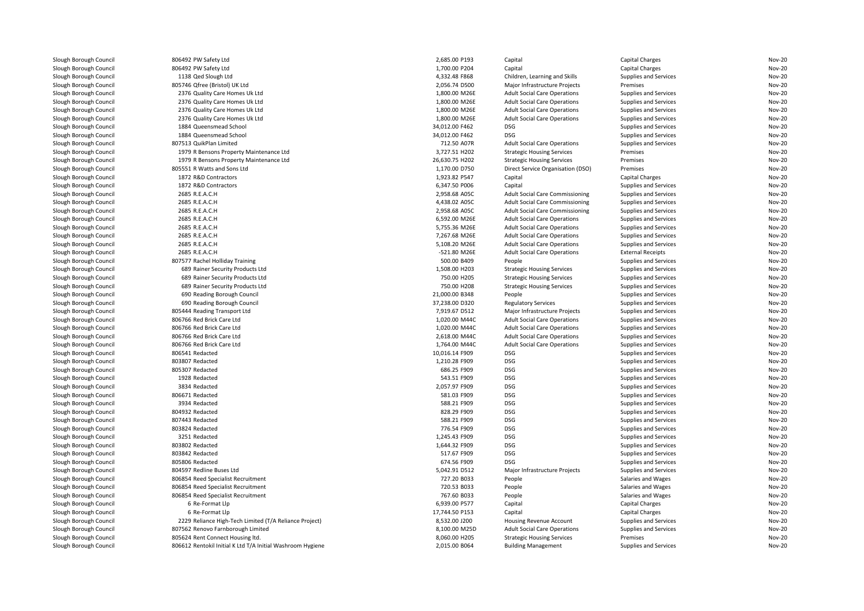| Slough Borough Council                           | 806492 PW Safety Ltd                                       | 2,685.00 P193  | Capital                                | Capital Charges                                | <b>Nov-20</b> |
|--------------------------------------------------|------------------------------------------------------------|----------------|----------------------------------------|------------------------------------------------|---------------|
| Slough Borough Council                           | 806492 PW Safety Ltd                                       | 1,700.00 P204  | Capital                                | Capital Charges                                | <b>Nov-20</b> |
| Slough Borough Council                           | 1138 Qed Slough Ltd                                        | 4,332.48 F868  | Children, Learning and Skills          | Supplies and Services                          | <b>Nov-20</b> |
| Slough Borough Council                           | 805746 Qfree (Bristol) UK Ltd                              | 2,056.74 D500  | Major Infrastructure Projects          | Premises                                       | <b>Nov-20</b> |
| Slough Borough Council                           | 2376 Quality Care Homes Uk Ltd                             | 1,800.00 M26E  | <b>Adult Social Care Operations</b>    | Supplies and Services                          | <b>Nov-20</b> |
| Slough Borough Council                           | 2376 Quality Care Homes Uk Ltd                             | 1,800.00 M26E  | <b>Adult Social Care Operations</b>    | Supplies and Services                          | <b>Nov-20</b> |
| Slough Borough Council                           | 2376 Quality Care Homes Uk Ltd                             | 1,800.00 M26E  | <b>Adult Social Care Operations</b>    | Supplies and Services                          | <b>Nov-20</b> |
| Slough Borough Council                           | 2376 Quality Care Homes Uk Ltd                             | 1,800.00 M26E  | <b>Adult Social Care Operations</b>    | Supplies and Services                          | <b>Nov-20</b> |
| Slough Borough Council                           | 1884 Queensmead School                                     | 34,012.00 F462 | <b>DSG</b>                             | Supplies and Services                          | <b>Nov-20</b> |
| Slough Borough Council                           | 1884 Queensmead School                                     | 34,012.00 F462 | <b>DSG</b>                             | Supplies and Services                          | <b>Nov-20</b> |
| Slough Borough Council                           | 807513 QuikPlan Limited                                    | 712.50 A07R    | <b>Adult Social Care Operations</b>    | Supplies and Services                          | <b>Nov-20</b> |
| Slough Borough Council                           | 1979 R Bensons Property Maintenance Ltd                    | 3,727.51 H202  | <b>Strategic Housing Services</b>      | Premises                                       | <b>Nov-20</b> |
| Slough Borough Council                           | 1979 R Bensons Property Maintenance Ltd                    | 26,630.75 H202 | <b>Strategic Housing Services</b>      | Premises                                       | <b>Nov-20</b> |
| Slough Borough Council                           | 805551 R Watts and Sons Ltd                                | 1,170.00 D750  | Direct Service Organisation (DSO)      | Premises                                       | <b>Nov-20</b> |
| Slough Borough Council                           | 1872 R&D Contractors                                       | 1,923.82 P547  | Capital                                | <b>Capital Charges</b>                         | <b>Nov-20</b> |
| Slough Borough Council                           | 1872 R&D Contractors                                       | 6,347.50 P006  | Capital                                | Supplies and Services                          | <b>Nov-20</b> |
| Slough Borough Council                           | 2685 R.E.A.C.H                                             | 2,958.68 A05C  | <b>Adult Social Care Commissioning</b> | Supplies and Services                          | <b>Nov-20</b> |
| Slough Borough Council                           | 2685 R.E.A.C.H                                             | 4,438.02 A05C  | <b>Adult Social Care Commissioning</b> | Supplies and Services                          | <b>Nov-20</b> |
| Slough Borough Council                           | 2685 R.E.A.C.H                                             | 2,958.68 A05C  | Adult Social Care Commissioning        | Supplies and Services                          | <b>Nov-20</b> |
| Slough Borough Council                           | 2685 R.E.A.C.H                                             | 6,592.00 M26E  | <b>Adult Social Care Operations</b>    | Supplies and Services                          | <b>Nov-20</b> |
| Slough Borough Council                           | 2685 R.E.A.C.H                                             | 5,755.36 M26E  | <b>Adult Social Care Operations</b>    | Supplies and Services                          | <b>Nov-20</b> |
| Slough Borough Council                           | 2685 R.E.A.C.H                                             | 7,267.68 M26E  | <b>Adult Social Care Operations</b>    | Supplies and Services                          | <b>Nov-20</b> |
| Slough Borough Council                           | 2685 R.E.A.C.H                                             | 5,108.20 M26E  | <b>Adult Social Care Operations</b>    | Supplies and Services                          | <b>Nov-20</b> |
| Slough Borough Council                           | 2685 R.E.A.C.H                                             | -521.80 M26E   | <b>Adult Social Care Operations</b>    | <b>External Receipts</b>                       | <b>Nov-20</b> |
| Slough Borough Council                           | 807577 Rachel Holliday Training                            | 500.00 B409    | People                                 | Supplies and Services                          | <b>Nov-20</b> |
| Slough Borough Council                           | 689 Rainer Security Products Ltd                           | 1,508.00 H203  | <b>Strategic Housing Services</b>      | Supplies and Services                          | <b>Nov-20</b> |
| Slough Borough Council                           | 689 Rainer Security Products Ltd                           | 750.00 H205    | <b>Strategic Housing Services</b>      | Supplies and Services                          | <b>Nov-20</b> |
| Slough Borough Council                           | 689 Rainer Security Products Ltd                           | 750.00 H208    | <b>Strategic Housing Services</b>      | Supplies and Services                          | <b>Nov-20</b> |
| Slough Borough Council                           | 690 Reading Borough Council                                | 21,000.00 B348 | People                                 | Supplies and Services                          | <b>Nov-20</b> |
| Slough Borough Council                           | 690 Reading Borough Council                                | 37,238.00 D320 | <b>Regulatory Services</b>             | Supplies and Services                          | <b>Nov-20</b> |
| Slough Borough Council                           | 805444 Reading Transport Ltd                               | 7,919.67 D512  | Major Infrastructure Projects          | Supplies and Services                          | <b>Nov-20</b> |
| Slough Borough Council                           | 806766 Red Brick Care Ltd                                  | 1,020.00 M44C  | <b>Adult Social Care Operations</b>    | Supplies and Services                          | <b>Nov-20</b> |
| Slough Borough Council                           | 806766 Red Brick Care Ltd                                  | 1,020.00 M44C  | <b>Adult Social Care Operations</b>    | Supplies and Services                          | <b>Nov-20</b> |
| Slough Borough Council                           | 806766 Red Brick Care Ltd                                  | 2,618.00 M44C  | <b>Adult Social Care Operations</b>    | Supplies and Services                          | <b>Nov-20</b> |
| Slough Borough Council                           | 806766 Red Brick Care Ltd                                  | 1,764.00 M44C  | <b>Adult Social Care Operations</b>    | Supplies and Services                          | <b>Nov-20</b> |
| Slough Borough Council                           | 806541 Redacted                                            | 10,016.14 F909 | <b>DSG</b>                             | Supplies and Services                          | <b>Nov-20</b> |
| Slough Borough Council                           | 803807 Redacted                                            | 1,210.28 F909  | <b>DSG</b>                             | Supplies and Services                          | <b>Nov-20</b> |
| Slough Borough Council                           | 805307 Redacted                                            | 686.25 F909    | <b>DSG</b>                             | Supplies and Services                          | <b>Nov-20</b> |
| Slough Borough Council                           | 1928 Redacted                                              | 543.51 F909    | <b>DSG</b>                             | Supplies and Services                          | <b>Nov-20</b> |
| Slough Borough Council                           | 3834 Redacted                                              | 2,057.97 F909  | <b>DSG</b>                             | Supplies and Services                          | <b>Nov-20</b> |
| Slough Borough Council                           | 806671 Redacted                                            | 581.03 F909    | <b>DSG</b>                             | Supplies and Services                          | <b>Nov-20</b> |
| Slough Borough Council                           | 3934 Redacted                                              | 588.21 F909    | <b>DSG</b>                             | Supplies and Services                          | <b>Nov-20</b> |
| Slough Borough Council                           | 804932 Redacted                                            | 828.29 F909    | <b>DSG</b>                             | Supplies and Services                          | <b>Nov-20</b> |
| Slough Borough Council                           | 807443 Redacted                                            | 588.21 F909    | <b>DSG</b>                             | Supplies and Services                          | <b>Nov-20</b> |
| Slough Borough Council                           | 803824 Redacted                                            | 776.54 F909    | <b>DSG</b>                             |                                                | <b>Nov-20</b> |
| Slough Borough Council                           | 3251 Redacted                                              | 1,245.43 F909  | <b>DSG</b>                             | Supplies and Services<br>Supplies and Services | <b>Nov-20</b> |
|                                                  | 803802 Redacted                                            | 1,644.32 F909  | DSG                                    | Supplies and Services                          | <b>Nov-20</b> |
| Slough Borough Council<br>Slough Borough Council | 803842 Redacted                                            | 517.67 F909    | <b>DSG</b>                             |                                                | <b>Nov-20</b> |
|                                                  |                                                            |                | <b>DSG</b>                             | Supplies and Services                          | <b>Nov-20</b> |
| Slough Borough Council                           | 805806 Redacted                                            | 674.56 F909    |                                        | Supplies and Services                          |               |
| Slough Borough Council                           | 804597 Redline Buses Ltd                                   | 5,042.91 D512  | Major Infrastructure Projects          | Supplies and Services                          | <b>Nov-20</b> |
| Slough Borough Council                           | 806854 Reed Specialist Recruitment                         | 727.20 B033    | People                                 | Salaries and Wages                             | <b>Nov-20</b> |
| Slough Borough Council                           | 806854 Reed Specialist Recruitment                         | 720.53 B033    | People                                 | Salaries and Wages                             | <b>Nov-20</b> |
| Slough Borough Council                           | 806854 Reed Specialist Recruitment                         | 767.60 B033    | People                                 | Salaries and Wages                             | <b>Nov-20</b> |
| Slough Borough Council                           | 6 Re-Format Llp                                            | 6,939.00 P577  | Capital                                | <b>Capital Charges</b>                         | <b>Nov-20</b> |
| Slough Borough Council                           | 6 Re-Format Llp                                            | 17,744.50 P153 | Capital                                | Capital Charges                                | <b>Nov-20</b> |
| Slough Borough Council                           | 2229 Reliance High-Tech Limited (T/A Reliance Project)     | 8,532.00 J200  | Housing Revenue Account                | Supplies and Services                          | <b>Nov-20</b> |
| Slough Borough Council                           | 807562 Renovo Farnborough Limited                          | 8,100.00 M25D  | <b>Adult Social Care Operations</b>    | Supplies and Services                          | <b>Nov-20</b> |
| Slough Borough Council                           | 805624 Rent Connect Housing Itd.                           | 8.060.00 H205  | <b>Strategic Housing Services</b>      | Premises                                       | <b>Nov-20</b> |
| Slough Borough Council                           | 806612 Rentokil Initial K Ltd T/A Initial Washroom Hygiene | 2,015.00 B064  | <b>Building Management</b>             | Supplies and Services                          | <b>Nov-20</b> |
|                                                  |                                                            |                |                                        |                                                |               |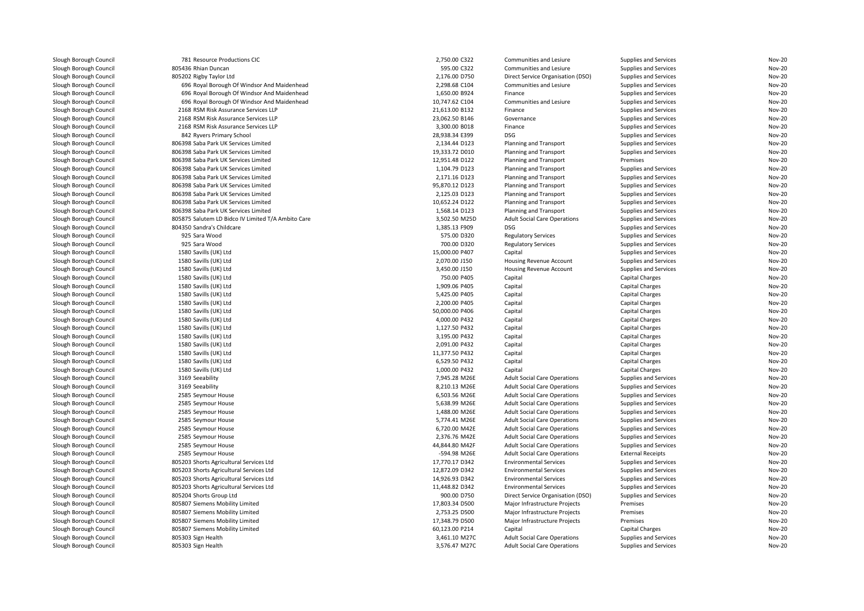| Slough Borough Council                           | 781 Resource Productions CIC                       | 2,750.00 C322                  | Communities and Lesiure             | Supplies and Services        | Nov-20 |
|--------------------------------------------------|----------------------------------------------------|--------------------------------|-------------------------------------|------------------------------|--------|
| Slough Borough Council                           | 805436 Rhian Duncan                                | 595.00 C322                    | Communities and Lesiure             | Supplies and Services        | Nov-20 |
| Slough Borough Council                           | 805202 Rigby Taylor Ltd                            | 2,176.00 D750                  | Direct Service Organisation (DSO)   | Supplies and Services        | Nov-20 |
| Slough Borough Council                           | 696 Royal Borough Of Windsor And Maidenhead        | 2,298.68 C104                  | Communities and Lesiure             | Supplies and Services        | Nov-20 |
| Slough Borough Council                           | 696 Royal Borough Of Windsor And Maidenhead        | 1,650.00 B924                  | Finance                             | Supplies and Services        | Nov-20 |
| Slough Borough Council                           | 696 Royal Borough Of Windsor And Maidenhead        | 10,747.62 C104                 | Communities and Lesiure             | Supplies and Services        | Nov-20 |
| Slough Borough Council                           | 2168 RSM Risk Assurance Services LLP               | 21,613.00 B132                 | Finance                             | Supplies and Services        | Nov-20 |
| Slough Borough Council                           | 2168 RSM Risk Assurance Services LLP               | 23,062.50 B146                 | Governance                          | Supplies and Services        | Nov-20 |
| Slough Borough Council                           | 2168 RSM Risk Assurance Services LLP               | 3,300.00 B018                  | Finance                             | Supplies and Services        | Nov-20 |
| Slough Borough Council                           | 842 Ryvers Primary School                          | 28,938.34 E399                 | <b>DSG</b>                          | Supplies and Services        | Nov-20 |
| Slough Borough Council                           | 806398 Saba Park UK Services Limited               | 2,134.44 D123                  | <b>Planning and Transport</b>       | Supplies and Services        | Nov-20 |
| Slough Borough Council                           | 806398 Saba Park UK Services Limited               | 19,333.72 D010                 | Planning and Transport              | Supplies and Services        | Nov-20 |
| Slough Borough Council                           | 806398 Saba Park UK Services Limited               | 12,951.48 D122                 | <b>Planning and Transport</b>       | Premises                     | Nov-20 |
| Slough Borough Council                           | 806398 Saba Park UK Services Limited               | 1,104.79 D123                  | Planning and Transport              | Supplies and Services        | Nov-20 |
| Slough Borough Council                           | 806398 Saba Park UK Services Limited               | 2,171.16 D123                  | Planning and Transport              | Supplies and Services        | Nov-20 |
| Slough Borough Council                           | 806398 Saba Park UK Services Limited               | 95,870.12 D123                 | Planning and Transport              | Supplies and Services        | Nov-20 |
| Slough Borough Council                           | 806398 Saba Park UK Services Limited               | 2,125.03 D123                  | <b>Planning and Transport</b>       | Supplies and Services        | Nov-20 |
| Slough Borough Council                           | 806398 Saba Park UK Services Limited               | 10,652.24 D122                 | Planning and Transport              | Supplies and Services        | Nov-20 |
| Slough Borough Council                           | 806398 Saba Park UK Services Limited               | 1,568.14 D123                  | Planning and Transport              | Supplies and Services        | Nov-20 |
| Slough Borough Council                           | 805875 Salutem LD Bidco IV Limited T/A Ambito Care | 3,502.50 M25D                  | <b>Adult Social Care Operations</b> | Supplies and Services        | Nov-20 |
| Slough Borough Council                           | 804350 Sandra's Childcare                          | 1,385.13 F909                  | <b>DSG</b>                          | Supplies and Services        | Nov-20 |
| Slough Borough Council                           | 925 Sara Wood                                      | 575.00 D320                    | <b>Regulatory Services</b>          | Supplies and Services        | Nov-20 |
| Slough Borough Council                           | 925 Sara Wood                                      | 700.00 D320                    | <b>Regulatory Services</b>          | Supplies and Services        | Nov-20 |
| Slough Borough Council                           | 1580 Savills (UK) Ltd                              | 15,000.00 P407                 | Capital                             | <b>Supplies and Services</b> | Nov-20 |
| Slough Borough Council                           | 1580 Savills (UK) Ltd                              | 2,070.00 J150                  | Housing Revenue Account             | Supplies and Services        | Nov-20 |
| Slough Borough Council                           | 1580 Savills (UK) Ltd                              | 3,450.00 J150                  | Housing Revenue Account             | Supplies and Services        | Nov-20 |
| Slough Borough Council                           | 1580 Savills (UK) Ltd                              | 750.00 P405                    | Capital                             | Capital Charges              | Nov-20 |
|                                                  | 1580 Savills (UK) Ltd                              | 1,909.06 P405                  | Capital                             | Capital Charges              | Nov-20 |
| Slough Borough Council<br>Slough Borough Council | 1580 Savills (UK) Ltd                              | 5,425.00 P405                  | Capital                             | Capital Charges              | Nov-20 |
| Slough Borough Council                           | 1580 Savills (UK) Ltd                              | 2,200.00 P405                  | Capital                             | Capital Charges              | Nov-20 |
| Slough Borough Council                           | 1580 Savills (UK) Ltd                              | 50,000.00 P406                 | Capital                             | Capital Charges              | Nov-20 |
|                                                  |                                                    |                                |                                     |                              | Nov-20 |
| Slough Borough Council                           | 1580 Savills (UK) Ltd<br>1580 Savills (UK) Ltd     | 4,000.00 P432<br>1,127.50 P432 | Capital<br>Capital                  | Capital Charges              | Nov-20 |
| Slough Borough Council                           |                                                    |                                |                                     | Capital Charges              | Nov-20 |
| Slough Borough Council<br>Slough Borough Council | 1580 Savills (UK) Ltd                              | 3,195.00 P432                  | Capital                             | Capital Charges              | Nov-20 |
|                                                  | 1580 Savills (UK) Ltd                              | 2,091.00 P432                  | Capital                             | Capital Charges              |        |
| Slough Borough Council                           | 1580 Savills (UK) Ltd                              | 11,377.50 P432                 | Capital                             | Capital Charges              | Nov-20 |
| Slough Borough Council                           | 1580 Savills (UK) Ltd                              | 6.529.50 P432                  | Capital                             | Capital Charges              | Nov-20 |
| Slough Borough Council                           | 1580 Savills (UK) Ltd                              | 1,000.00 P432                  | Capital                             | Capital Charges              | Nov-20 |
| Slough Borough Council                           | 3169 Seeability                                    | 7,945.28 M26E                  | <b>Adult Social Care Operations</b> | Supplies and Services        | Nov-20 |
| Slough Borough Council                           | 3169 Seeability                                    | 8,210.13 M26E                  | <b>Adult Social Care Operations</b> | Supplies and Services        | Nov-20 |
| Slough Borough Council                           | 2585 Seymour House                                 | 6,503.56 M26E                  | <b>Adult Social Care Operations</b> | Supplies and Services        | Nov-20 |
| Slough Borough Council                           | 2585 Seymour House                                 | 5,638.99 M26E                  | <b>Adult Social Care Operations</b> | Supplies and Services        | Nov-20 |
| Slough Borough Council                           | 2585 Seymour House                                 | 1,488.00 M26E                  | <b>Adult Social Care Operations</b> | Supplies and Services        | Nov-20 |
| Slough Borough Council                           | 2585 Seymour House                                 | 5,774.41 M26E                  | <b>Adult Social Care Operations</b> | Supplies and Services        | Nov-20 |
| Slough Borough Council                           | 2585 Seymour House                                 | 6,720.00 M42E                  | <b>Adult Social Care Operations</b> | Supplies and Services        | Nov-20 |
| Slough Borough Council                           | 2585 Seymour House                                 | 2,376.76 M42E                  | <b>Adult Social Care Operations</b> | Supplies and Services        | Nov-20 |
| Slough Borough Council                           | 2585 Seymour House                                 | 44,844.80 M42F                 | <b>Adult Social Care Operations</b> | Supplies and Services        | Nov-20 |
| Slough Borough Council                           | 2585 Seymour House                                 | -594.98 M26E                   | <b>Adult Social Care Operations</b> | <b>External Receipts</b>     | Nov-20 |
| Slough Borough Council                           | 805203 Shorts Agricultural Services Ltd            | 17,770.17 D342                 | <b>Environmental Services</b>       | Supplies and Services        | Nov-20 |
| Slough Borough Council                           | 805203 Shorts Agricultural Services Ltd            | 12,872.09 D342                 | <b>Environmental Services</b>       | Supplies and Services        | Nov-20 |
| Slough Borough Council                           | 805203 Shorts Agricultural Services Ltd            | 14,926.93 D342                 | <b>Environmental Services</b>       | <b>Supplies and Services</b> | Nov-20 |
| Slough Borough Council                           | 805203 Shorts Agricultural Services Ltd            | 11,448.82 D342                 | <b>Environmental Services</b>       | Supplies and Services        | Nov-20 |
| Slough Borough Council                           | 805204 Shorts Group Ltd                            | 900.00 D750                    | Direct Service Organisation (DSO)   | Supplies and Services        | Nov-20 |
| Slough Borough Council                           | 805807 Siemens Mobility Limited                    | 17.803.34 D500                 | Major Infrastructure Projects       | Premises                     | Nov-20 |
| Slough Borough Council                           | 805807 Siemens Mobility Limited                    | 2,753.25 D500                  | Major Infrastructure Projects       | Premises                     | Nov-20 |
| Slough Borough Council                           | 805807 Siemens Mobility Limited                    | 17,348.79 D500                 | Major Infrastructure Projects       | Premises                     | Nov-20 |
| Slough Borough Council                           | 805807 Siemens Mobility Limited                    | 60,123.00 P214                 | Capital                             | Capital Charges              | Nov-20 |
| Slough Borough Council                           | 805303 Sign Health                                 | 3,461.10 M27C                  | <b>Adult Social Care Operations</b> | Supplies and Services        | Nov-20 |
| Slough Borough Council                           | 805303 Sign Health                                 | 3,576.47 M27C                  | <b>Adult Social Care Operations</b> | Supplies and Services        | Nov-20 |
|                                                  |                                                    |                                |                                     |                              |        |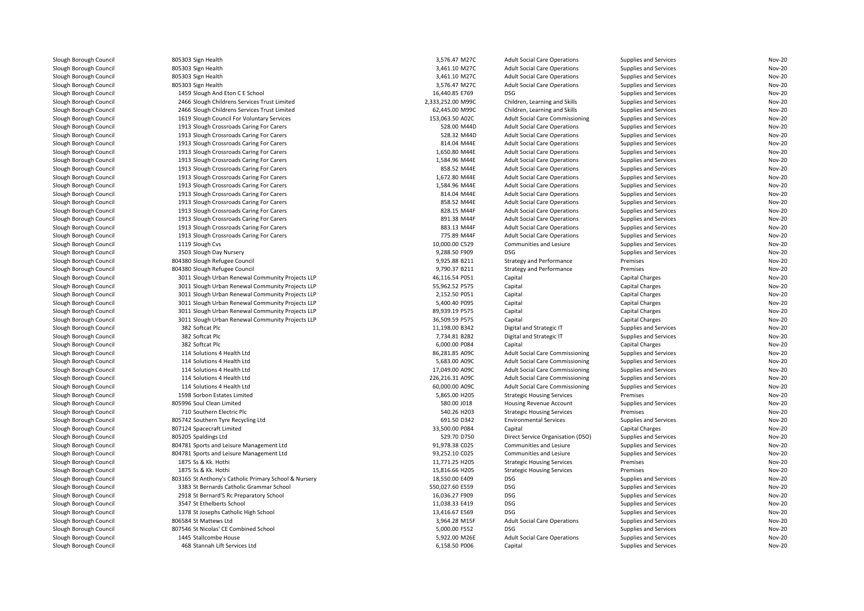| Slough Borough Council | 805303 Sign Health                                    | 3,576.47 M27C                | <b>Adult Social Care Operations</b>    | Supplies and Services | <b>Nov-20</b> |
|------------------------|-------------------------------------------------------|------------------------------|----------------------------------------|-----------------------|---------------|
| Slough Borough Council | 805303 Sign Health                                    | 3,461.10 M27C                | <b>Adult Social Care Operations</b>    | Supplies and Services | <b>Nov-20</b> |
| Slough Borough Council | 805303 Sign Health                                    | 3,461.10 M27C                | <b>Adult Social Care Operations</b>    | Supplies and Services | <b>Nov-20</b> |
| Slough Borough Council | 805303 Sign Health                                    | 3,576.47 M27C                | <b>Adult Social Care Operations</b>    | Supplies and Services | <b>Nov-20</b> |
| Slough Borough Council | 1459 Slough And Eton C E School                       | 16,440.85 E769               | DSG                                    | Supplies and Services | <b>Nov-20</b> |
| Slough Borough Council | 2466 Slough Childrens Services Trust Limited          | 2,333,252.00 M99C            | Children, Learning and Skills          | Supplies and Services | <b>Nov-20</b> |
| Slough Borough Council | 2466 Slough Childrens Services Trust Limited          | 62,445.00 M99C               | Children, Learning and Skills          | Supplies and Services | <b>Nov-20</b> |
| Slough Borough Council | 1619 Slough Council For Voluntary Services            | 153,063.50 A02C              | <b>Adult Social Care Commissioning</b> | Supplies and Services | <b>Nov-20</b> |
| Slough Borough Council | 1913 Slough Crossroads Caring For Carers              | 528.00 M44D                  | <b>Adult Social Care Operations</b>    | Supplies and Services | <b>Nov-20</b> |
| Slough Borough Council | 1913 Slough Crossroads Caring For Carers              | 528.32 M44D                  | <b>Adult Social Care Operations</b>    | Supplies and Services | <b>Nov-20</b> |
| Slough Borough Council | 1913 Slough Crossroads Caring For Carers              | 814.04 M44E                  | <b>Adult Social Care Operations</b>    | Supplies and Services | <b>Nov-20</b> |
| Slough Borough Council | 1913 Slough Crossroads Caring For Carers              | 1,650.80 M44E                | <b>Adult Social Care Operations</b>    | Supplies and Services | <b>Nov-20</b> |
|                        |                                                       |                              |                                        |                       | <b>Nov-20</b> |
| Slough Borough Council | 1913 Slough Crossroads Caring For Carers              | 1,584.96 M44E                | <b>Adult Social Care Operations</b>    | Supplies and Services |               |
| Slough Borough Council | 1913 Slough Crossroads Caring For Carers              | 858.52 M44E                  | <b>Adult Social Care Operations</b>    | Supplies and Services | <b>Nov-20</b> |
| Slough Borough Council | 1913 Slough Crossroads Caring For Carers              | 1,672.80 M44E                | <b>Adult Social Care Operations</b>    | Supplies and Services | <b>Nov-20</b> |
| Slough Borough Council | 1913 Slough Crossroads Caring For Carers              | 1,584.96 M44E                | <b>Adult Social Care Operations</b>    | Supplies and Services | <b>Nov-20</b> |
| Slough Borough Council | 1913 Slough Crossroads Caring For Carers              | 814.04 M44E                  | <b>Adult Social Care Operations</b>    | Supplies and Services | <b>Nov-20</b> |
| Slough Borough Council | 1913 Slough Crossroads Caring For Carers              | 858.52 M44E                  | <b>Adult Social Care Operations</b>    | Supplies and Services | <b>Nov-20</b> |
| Slough Borough Council | 1913 Slough Crossroads Caring For Carers              | 828.15 M44F                  | <b>Adult Social Care Operations</b>    | Supplies and Services | <b>Nov-20</b> |
| Slough Borough Council | 1913 Slough Crossroads Caring For Carers              | 891.38 M44F                  | <b>Adult Social Care Operations</b>    | Supplies and Services | <b>Nov-20</b> |
| Slough Borough Council | 1913 Slough Crossroads Caring For Carers              | 883.13 M44F                  | <b>Adult Social Care Operations</b>    | Supplies and Services | <b>Nov-20</b> |
| Slough Borough Council | 1913 Slough Crossroads Caring For Carers              | 775.89 M44F                  | <b>Adult Social Care Operations</b>    | Supplies and Services | <b>Nov-20</b> |
| Slough Borough Council | 1119 Slough Cvs                                       | 10,000.00 C529               | Communities and Lesiure                | Supplies and Services | <b>Nov-20</b> |
| Slough Borough Council | 3503 Slough Day Nursery                               | 9,288.50 F909                | <b>DSG</b>                             | Supplies and Services | <b>Nov-20</b> |
| Slough Borough Council | 804380 Slough Refugee Council                         | 9,925.88 B211                | <b>Strategy and Performance</b>        | Premises              | <b>Nov-20</b> |
| Slough Borough Council | 804380 Slough Refugee Council                         | 9,790.37 B211                | <b>Strategy and Performance</b>        | Premises              | <b>Nov-20</b> |
| Slough Borough Council | 3011 Slough Urban Renewal Community Projects LLP      | 46,116.54 P051               | Capital                                | Capital Charges       | <b>Nov-20</b> |
| Slough Borough Council | 3011 Slough Urban Renewal Community Projects LLP      | 55,962.52 P575               | Capital                                | Capital Charges       | <b>Nov-20</b> |
| Slough Borough Council | 3011 Slough Urban Renewal Community Projects LLP      | 2,152.50 P051                | Capital                                | Capital Charges       | <b>Nov-20</b> |
| Slough Borough Council | 3011 Slough Urban Renewal Community Projects LLP      | 5,400.40 P095                | Capital                                | Capital Charges       | <b>Nov-20</b> |
| Slough Borough Council | 3011 Slough Urban Renewal Community Projects LLP      | 89,939.19 P575               | Capital                                | Capital Charges       | <b>Nov-20</b> |
| Slough Borough Council | 3011 Slough Urban Renewal Community Projects LLP      | 36,509.59 P575               | Capital                                | Capital Charges       | <b>Nov-20</b> |
| Slough Borough Council | 382 Softcat Plc                                       | 11,198.00 B342               | Digital and Strategic IT               | Supplies and Services | <b>Nov-20</b> |
| Slough Borough Council | 382 Softcat Plc                                       | 7,734.81 B282                | Digital and Strategic IT               | Supplies and Services | <b>Nov-20</b> |
| Slough Borough Council | 382 Softcat Plc                                       | 6,000.00 P084                | Capital                                | Capital Charges       | <b>Nov-20</b> |
| Slough Borough Council | 114 Solutions 4 Health Ltd                            | 86,281.85 A09C               | <b>Adult Social Care Commissioning</b> | Supplies and Services | <b>Nov-20</b> |
| Slough Borough Council | 114 Solutions 4 Health Ltd                            | 5,683.00 A09C                | <b>Adult Social Care Commissioning</b> | Supplies and Services | <b>Nov-20</b> |
| Slough Borough Council | 114 Solutions 4 Health Ltd                            | 17,049.00 A09C               | <b>Adult Social Care Commissioning</b> | Supplies and Services | <b>Nov-20</b> |
| Slough Borough Council | 114 Solutions 4 Health Ltd                            | 226,216.31 A09C              | <b>Adult Social Care Commissioning</b> | Supplies and Services | <b>Nov-20</b> |
| Slough Borough Council | 114 Solutions 4 Health Ltd                            | 60,000.00 A09C               | <b>Adult Social Care Commissioning</b> | Supplies and Services | <b>Nov-20</b> |
|                        |                                                       |                              |                                        |                       | <b>Nov-20</b> |
| Slough Borough Council | 1598 Sorbon Estates Limited                           | 5,865.00 H205<br>580.00 J018 | <b>Strategic Housing Services</b>      | Premises              | <b>Nov-20</b> |
| Slough Borough Council | 805996 Soul Clean Limited                             |                              | Housing Revenue Account                | Supplies and Services |               |
| Slough Borough Council | 710 Southern Electric Plc                             | 540.26 H203                  | <b>Strategic Housing Services</b>      | Premises              | <b>Nov-20</b> |
| Slough Borough Council | 805742 Southern Tyre Recycling Ltd                    | 691.50 D342                  | <b>Environmental Services</b>          | Supplies and Services | <b>Nov-20</b> |
| Slough Borough Council | 807124 Spacecraft Limited                             | 33,500.00 P084               | Capital                                | Capital Charges       | <b>Nov-20</b> |
| Slough Borough Council | 805205 Spaldings Ltd                                  | 529.70 D750                  | Direct Service Organisation (DSO)      | Supplies and Services | <b>Nov-20</b> |
| Slough Borough Council | 804781 Sports and Leisure Management Ltd              | 91,978.38 C025               | Communities and Lesiure                | Supplies and Services | <b>Nov-20</b> |
| Slough Borough Council | 804781 Sports and Leisure Management Ltd              | 93,252.10 C025               | Communities and Lesiure                | Supplies and Services | <b>Nov-20</b> |
| Slough Borough Council | 1875 Ss & Kk. Hothi                                   | 11,771.25 H205               | <b>Strategic Housing Services</b>      | Premises              | <b>Nov-20</b> |
| Slough Borough Council | 1875 Ss & Kk. Hothi                                   | 15,816.66 H205               | <b>Strategic Housing Services</b>      | Premises              | <b>Nov-20</b> |
| Slough Borough Council | 803165 St Anthony's Catholic Primary School & Nursery | 18,550.00 E409               | DSG                                    | Supplies and Services | <b>Nov-20</b> |
| Slough Borough Council | 3383 St Bernards Catholic Grammar School              | 550,027.60 E559              | <b>DSG</b>                             | Supplies and Services | <b>Nov-20</b> |
| Slough Borough Council | 2918 St Bernard'S Rc Preparatory School               | 16,036.27 F909               | <b>DSG</b>                             | Supplies and Services | <b>Nov-20</b> |
| Slough Borough Council | 3547 St Ethelberts School                             | 11,038.33 E419               | <b>DSG</b>                             | Supplies and Services | <b>Nov-20</b> |
| Slough Borough Council | 1378 St Josephs Catholic High School                  | 13,416.67 E569               | <b>DSG</b>                             | Supplies and Services | Nov-20        |
| Slough Borough Council | 806584 St Mattews Ltd                                 | 3,964.28 M15F                | <b>Adult Social Care Operations</b>    | Supplies and Services | <b>Nov-20</b> |
| Slough Borough Council | 807546 St Nicolas' CE Combined School                 | 5,000.00 F552                | <b>DSG</b>                             | Supplies and Services | <b>Nov-20</b> |
| Slough Borough Council | 1445 Stallcombe House                                 | 5,922.00 M26E                | <b>Adult Social Care Operations</b>    | Supplies and Services | <b>Nov-20</b> |
| Slough Borough Council | 468 Stannah Lift Services Ltd                         | 6,158.50 P006                | Capital                                | Supplies and Services | <b>Nov-20</b> |
|                        |                                                       |                              |                                        |                       |               |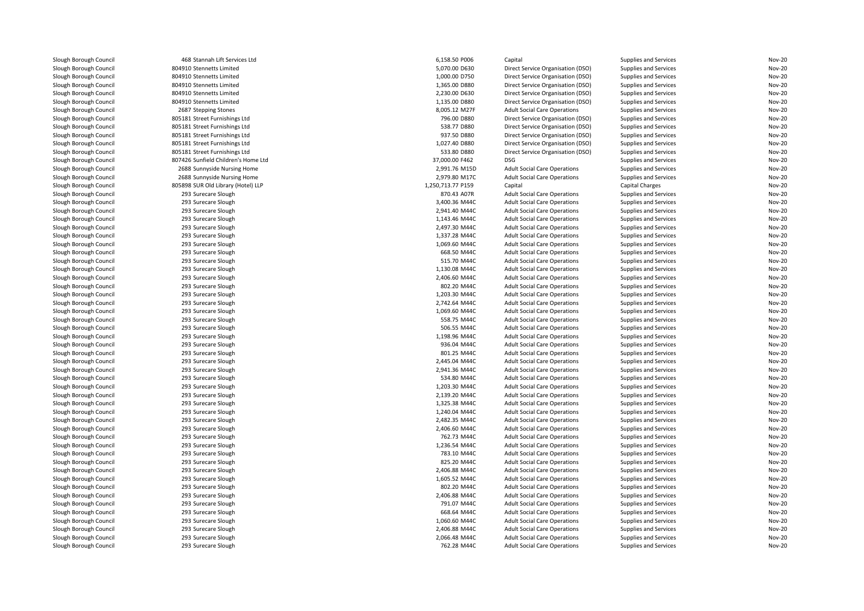| Slough Borough Council | 468 Stannah Lift Services Ltd       | 6,158.50 P006     | Capital                                                                    | Supplies and Services  | Nov-20           |
|------------------------|-------------------------------------|-------------------|----------------------------------------------------------------------------|------------------------|------------------|
| Slough Borough Council | 804910 Stennetts Limited            | 5,070.00 D630     | Direct Service Organisation (DSO)                                          | Supplies and Services  | Nov-20           |
| Slough Borough Council | 804910 Stennetts Limited            | 1,000.00 D750     | Direct Service Organisation (DSO)                                          | Supplies and Services  | Nov-20           |
| Slough Borough Council | 804910 Stennetts Limited            | 1,365.00 D880     | Direct Service Organisation (DSO)                                          | Supplies and Services  | Nov-20           |
| Slough Borough Council | 804910 Stennetts Limited            | 2,230.00 D630     | Direct Service Organisation (DSO)                                          | Supplies and Services  | Nov-20           |
| Slough Borough Council | 804910 Stennetts Limited            | 1,135.00 D880     | Direct Service Organisation (DSO)                                          | Supplies and Services  | Nov-20           |
| Slough Borough Council | 2687 Stepping Stones                | 8,005.12 M27F     | <b>Adult Social Care Operations</b>                                        | Supplies and Services  | Nov-20           |
| Slough Borough Council | 805181 Street Furnishings Ltd       | 796.00 D880       | Direct Service Organisation (DSO)                                          | Supplies and Services  | Nov-20           |
| Slough Borough Council | 805181 Street Furnishings Ltd       | 538.77 D880       | Direct Service Organisation (DSO)                                          | Supplies and Services  | Nov-20           |
| Slough Borough Council | 805181 Street Furnishings Ltd       | 937.50 D880       | Direct Service Organisation (DSO)                                          | Supplies and Services  | Nov-20           |
| Slough Borough Council | 805181 Street Furnishings Ltd       | 1,027.40 D880     | Direct Service Organisation (DSO)                                          | Supplies and Services  | Nov-20           |
| Slough Borough Council | 805181 Street Furnishings Ltd       | 533.80 D880       | Direct Service Organisation (DSO)                                          | Supplies and Services  | Nov-20           |
| Slough Borough Council | 807426 Sunfield Children's Home Ltd | 37,000.00 F462    | <b>DSG</b>                                                                 | Supplies and Services  | Nov-20           |
| Slough Borough Council | 2688 Sunnyside Nursing Home         | 2,991.76 M15D     | <b>Adult Social Care Operations</b>                                        | Supplies and Services  | Nov-20           |
| Slough Borough Council | 2688 Sunnyside Nursing Home         | 2,979.80 M17C     | <b>Adult Social Care Operations</b>                                        | Supplies and Services  | Nov-20           |
| Slough Borough Council | 805898 SUR Old Library (Hotel) LLP  | 1,250,713.77 P159 | Capital                                                                    | <b>Capital Charges</b> | Nov-20           |
| Slough Borough Council | 293 Surecare Slough                 | 870.43 A07R       | <b>Adult Social Care Operations</b>                                        | Supplies and Services  | Nov-20           |
| Slough Borough Council | 293 Surecare Slough                 | 3,400.36 M44C     | <b>Adult Social Care Operations</b>                                        | Supplies and Services  | Nov-20           |
| Slough Borough Council | 293 Surecare Slough                 | 2,941.40 M44C     | <b>Adult Social Care Operations</b>                                        | Supplies and Services  | Nov-20           |
| Slough Borough Council | 293 Surecare Slough                 | 1,143.46 M44C     | <b>Adult Social Care Operations</b>                                        | Supplies and Services  | Nov-20           |
| Slough Borough Council | 293 Surecare Slough                 | 2,497.30 M44C     | <b>Adult Social Care Operations</b>                                        | Supplies and Services  | Nov-20           |
| Slough Borough Council | 293 Surecare Slough                 | 1,337.28 M44C     | <b>Adult Social Care Operations</b>                                        | Supplies and Services  | Nov-20           |
| Slough Borough Council | 293 Surecare Slough                 | 1,069.60 M44C     | <b>Adult Social Care Operations</b>                                        | Supplies and Services  | Nov-20           |
| Slough Borough Council | 293 Surecare Slough                 | 668.50 M44C       | <b>Adult Social Care Operations</b>                                        | Supplies and Services  | Nov-20           |
| Slough Borough Council | 293 Surecare Slough                 | 515.70 M44C       | <b>Adult Social Care Operations</b>                                        | Supplies and Services  | Nov-20           |
| Slough Borough Council | 293 Surecare Slough                 | 1,130.08 M44C     | <b>Adult Social Care Operations</b>                                        | Supplies and Services  | Nov-20           |
| Slough Borough Council | 293 Surecare Slough                 | 2,406.60 M44C     | <b>Adult Social Care Operations</b>                                        | Supplies and Services  | Nov-20           |
| Slough Borough Council | 293 Surecare Slough                 | 802.20 M44C       | <b>Adult Social Care Operations</b>                                        | Supplies and Services  | Nov-20           |
| Slough Borough Council | 293 Surecare Slough                 | 1,203.30 M44C     | <b>Adult Social Care Operations</b>                                        | Supplies and Services  | Nov-20           |
| Slough Borough Council | 293 Surecare Slough                 | 2,742.64 M44C     | <b>Adult Social Care Operations</b>                                        | Supplies and Services  | Nov-20           |
| Slough Borough Council | 293 Surecare Slough                 | 1,069.60 M44C     | <b>Adult Social Care Operations</b>                                        | Supplies and Services  | Nov-20           |
| Slough Borough Council | 293 Surecare Slough                 | 558.75 M44C       | <b>Adult Social Care Operations</b>                                        | Supplies and Services  | Nov-20           |
| Slough Borough Council | 293 Surecare Slough                 | 506.55 M44C       | <b>Adult Social Care Operations</b>                                        | Supplies and Services  | Nov-20           |
| Slough Borough Council | 293 Surecare Slough                 | 1,198.96 M44C     | <b>Adult Social Care Operations</b>                                        | Supplies and Services  | Nov-20           |
| Slough Borough Council | 293 Surecare Slough                 | 936.04 M44C       | <b>Adult Social Care Operations</b>                                        | Supplies and Services  | Nov-20           |
| Slough Borough Council | 293 Surecare Slough                 | 801.25 M44C       | <b>Adult Social Care Operations</b>                                        | Supplies and Services  | Nov-20           |
| Slough Borough Council | 293 Surecare Slough                 | 2,445.04 M44C     |                                                                            | Supplies and Services  | Nov-20           |
| Slough Borough Council | 293 Surecare Slough                 | 2,941.36 M44C     | <b>Adult Social Care Operations</b><br><b>Adult Social Care Operations</b> | Supplies and Services  | Nov-20           |
|                        | 293 Surecare Slough                 | 534.80 M44C       |                                                                            | Supplies and Services  | Nov-20           |
| Slough Borough Council |                                     |                   | <b>Adult Social Care Operations</b>                                        |                        |                  |
| Slough Borough Council | 293 Surecare Slough                 | 1,203.30 M44C     | <b>Adult Social Care Operations</b>                                        | Supplies and Services  | Nov-20           |
| Slough Borough Council | 293 Surecare Slough                 | 2,139.20 M44C     | <b>Adult Social Care Operations</b>                                        | Supplies and Services  | Nov-20           |
| Slough Borough Council | 293 Surecare Slough                 | 1,325.38 M44C     | <b>Adult Social Care Operations</b>                                        | Supplies and Services  | Nov-20<br>Nov-20 |
| Slough Borough Council | 293 Surecare Slough                 | 1,240.04 M44C     | <b>Adult Social Care Operations</b>                                        | Supplies and Services  |                  |
| Slough Borough Council | 293 Surecare Slough                 | 2,482.35 M44C     | <b>Adult Social Care Operations</b>                                        | Supplies and Services  | Nov-20           |
| Slough Borough Council | 293 Surecare Slough                 | 2,406.60 M44C     | <b>Adult Social Care Operations</b>                                        | Supplies and Services  | Nov-20           |
| Slough Borough Council | 293 Surecare Slough                 | 762.73 M44C       | <b>Adult Social Care Operations</b>                                        | Supplies and Services  | Nov-20           |
| Slough Borough Council | 293 Surecare Slough                 | 1,236.54 M44C     | <b>Adult Social Care Operations</b>                                        | Supplies and Services  | Nov-20           |
| Slough Borough Council | 293 Surecare Slough                 | 783.10 M44C       | <b>Adult Social Care Operations</b>                                        | Supplies and Services  | Nov-20           |
| Slough Borough Council | 293 Surecare Slough                 | 825.20 M44C       | <b>Adult Social Care Operations</b>                                        | Supplies and Services  | Nov-20           |
| Slough Borough Council | 293 Surecare Slough                 | 2,406.88 M44C     | <b>Adult Social Care Operations</b>                                        | Supplies and Services  | Nov-20           |
| Slough Borough Council | 293 Surecare Slough                 | 1,605.52 M44C     | <b>Adult Social Care Operations</b>                                        | Supplies and Services  | Nov-20           |
| Slough Borough Council | 293 Surecare Slough                 | 802.20 M44C       | <b>Adult Social Care Operations</b>                                        | Supplies and Services  | Nov-20           |
| Slough Borough Council | 293 Surecare Slough                 | 2,406.88 M44C     | <b>Adult Social Care Operations</b>                                        | Supplies and Services  | Nov-20           |
| Slough Borough Council | 293 Surecare Slough                 | 791.07 M44C       | <b>Adult Social Care Operations</b>                                        | Supplies and Services  | Nov-20           |
| Slough Borough Council | 293 Surecare Slough                 | 668.64 M44C       | <b>Adult Social Care Operations</b>                                        | Supplies and Services  | Nov-20           |
| Slough Borough Council | 293 Surecare Slough                 | 1,060.60 M44C     | <b>Adult Social Care Operations</b>                                        | Supplies and Services  | Nov-20           |
| Slough Borough Council | 293 Surecare Slough                 | 2,406.88 M44C     | <b>Adult Social Care Operations</b>                                        | Supplies and Services  | Nov-20           |
| Slough Borough Council | 293 Surecare Slough                 | 2,066.48 M44C     | <b>Adult Social Care Operations</b>                                        | Supplies and Services  | Nov-20           |
| Slough Borough Council | 293 Surecare Slough                 | 762.28 M44C       | <b>Adult Social Care Operations</b>                                        | Supplies and Services  | Nov-20           |
|                        |                                     |                   |                                                                            |                        |                  |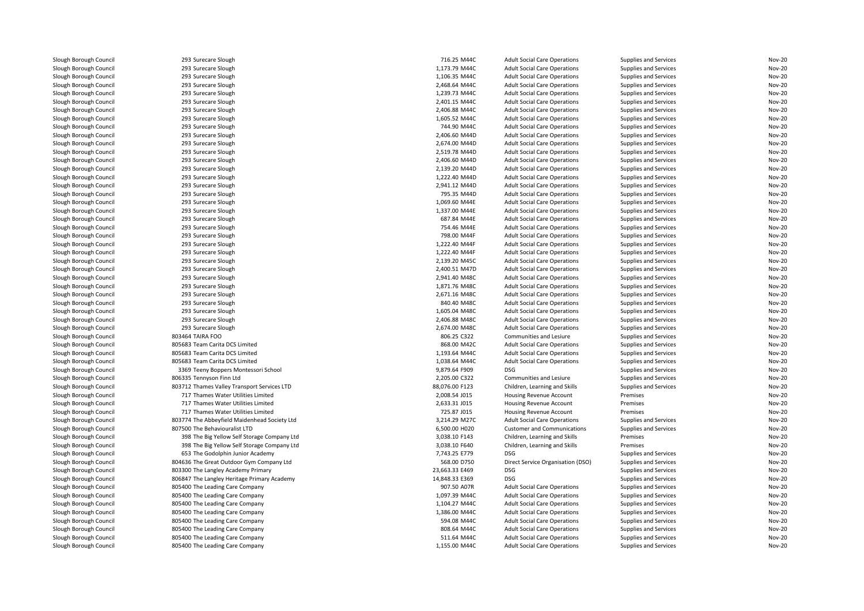| Slough Borough Council | 293 Surecare Slough                          | 716.25 M44C    | <b>Adult Social Care Operations</b> | Supplies and Services | Nov-20 |
|------------------------|----------------------------------------------|----------------|-------------------------------------|-----------------------|--------|
| Slough Borough Council | 293 Surecare Slough                          | 1,173.79 M44C  | <b>Adult Social Care Operations</b> | Supplies and Services | Nov-20 |
| Slough Borough Council | 293 Surecare Slough                          | 1,106.35 M44C  | <b>Adult Social Care Operations</b> | Supplies and Services | Nov-20 |
| Slough Borough Council | 293 Surecare Slough                          | 2,468.64 M44C  | <b>Adult Social Care Operations</b> | Supplies and Services | Nov-20 |
| Slough Borough Council | 293 Surecare Slough                          | 1,239.73 M44C  | <b>Adult Social Care Operations</b> | Supplies and Services | Nov-20 |
| Slough Borough Council | 293 Surecare Slough                          | 2,401.15 M44C  | <b>Adult Social Care Operations</b> | Supplies and Services | Nov-20 |
| Slough Borough Council | 293 Surecare Slough                          | 2,406.88 M44C  | <b>Adult Social Care Operations</b> | Supplies and Services | Nov-20 |
| Slough Borough Council | 293 Surecare Slough                          | 1,605.52 M44C  | <b>Adult Social Care Operations</b> | Supplies and Services | Nov-20 |
| Slough Borough Council | 293 Surecare Slough                          | 744.90 M44C    | <b>Adult Social Care Operations</b> | Supplies and Services | Nov-20 |
| Slough Borough Council | 293 Surecare Slough                          | 2,406.60 M44D  | <b>Adult Social Care Operations</b> | Supplies and Services | Nov-20 |
| Slough Borough Council | 293 Surecare Slough                          | 2,674.00 M44D  | <b>Adult Social Care Operations</b> | Supplies and Services | Nov-20 |
| Slough Borough Council | 293 Surecare Slough                          | 2,519.78 M44D  | <b>Adult Social Care Operations</b> | Supplies and Services | Nov-20 |
| Slough Borough Council | 293 Surecare Slough                          | 2,406.60 M44D  | <b>Adult Social Care Operations</b> | Supplies and Services | Nov-20 |
| Slough Borough Council | 293 Surecare Slough                          | 2,139.20 M44D  | <b>Adult Social Care Operations</b> | Supplies and Services | Nov-20 |
| Slough Borough Council | 293 Surecare Slough                          | 1,222.40 M44D  | <b>Adult Social Care Operations</b> | Supplies and Services | Nov-20 |
| Slough Borough Council | 293 Surecare Slough                          | 2,941.12 M44D  | <b>Adult Social Care Operations</b> | Supplies and Services | Nov-20 |
| Slough Borough Council | 293 Surecare Slough                          | 795.35 M44D    | <b>Adult Social Care Operations</b> | Supplies and Services | Nov-20 |
| Slough Borough Council | 293 Surecare Slough                          | 1,069.60 M44E  | <b>Adult Social Care Operations</b> | Supplies and Services | Nov-20 |
| Slough Borough Council | 293 Surecare Slough                          | 1,337.00 M44E  | <b>Adult Social Care Operations</b> | Supplies and Services | Nov-20 |
| Slough Borough Council | 293 Surecare Slough                          | 687.84 M44E    | <b>Adult Social Care Operations</b> | Supplies and Services | Nov-20 |
| Slough Borough Council | 293 Surecare Slough                          | 754.46 M44E    | <b>Adult Social Care Operations</b> | Supplies and Services | Nov-20 |
| Slough Borough Council | 293 Surecare Slough                          | 798.00 M44F    | <b>Adult Social Care Operations</b> | Supplies and Services | Nov-20 |
| Slough Borough Council | 293 Surecare Slough                          | 1,222.40 M44F  | <b>Adult Social Care Operations</b> | Supplies and Services | Nov-20 |
| Slough Borough Council | 293 Surecare Slough                          | 1.222.40 M44F  | <b>Adult Social Care Operations</b> | Supplies and Services | Nov-20 |
| Slough Borough Council | 293 Surecare Slough                          | 2,139.20 M45C  | <b>Adult Social Care Operations</b> | Supplies and Services | Nov-20 |
| Slough Borough Council | 293 Surecare Slough                          | 2,400.51 M47D  | <b>Adult Social Care Operations</b> | Supplies and Services | Nov-20 |
| Slough Borough Council | 293 Surecare Slough                          | 2,941.40 M48C  | <b>Adult Social Care Operations</b> | Supplies and Services | Nov-20 |
| Slough Borough Council | 293 Surecare Slough                          | 1,871.76 M48C  | <b>Adult Social Care Operations</b> | Supplies and Services | Nov-20 |
| Slough Borough Council | 293 Surecare Slough                          | 2,671.16 M48C  | <b>Adult Social Care Operations</b> | Supplies and Services | Nov-20 |
| Slough Borough Council | 293 Surecare Slough                          | 840.40 M48C    | <b>Adult Social Care Operations</b> | Supplies and Services | Nov-20 |
| Slough Borough Council | 293 Surecare Slough                          | 1,605.04 M48C  | <b>Adult Social Care Operations</b> | Supplies and Services | Nov-20 |
| Slough Borough Council | 293 Surecare Slough                          | 2,406.88 M48C  | <b>Adult Social Care Operations</b> | Supplies and Services | Nov-20 |
| Slough Borough Council | 293 Surecare Slough                          | 2,674.00 M48C  | <b>Adult Social Care Operations</b> | Supplies and Services | Nov-20 |
| Slough Borough Council | 803464 TAIRA FOO                             | 806.25 C322    | Communities and Lesiure             | Supplies and Services | Nov-20 |
| Slough Borough Council | 805683 Team Carita DCS Limited               | 868.00 M42C    | <b>Adult Social Care Operations</b> | Supplies and Services | Nov-20 |
| Slough Borough Council | 805683 Team Carita DCS Limited               | 1,193.64 M44C  | <b>Adult Social Care Operations</b> | Supplies and Services | Nov-20 |
| Slough Borough Council | 805683 Team Carita DCS Limited               | 1,038.64 M44C  | <b>Adult Social Care Operations</b> | Supplies and Services | Nov-20 |
| Slough Borough Council | 3369 Teeny Boppers Montessori School         | 9,879.64 F909  | <b>DSG</b>                          | Supplies and Services | Nov-20 |
| Slough Borough Council | 806335 Tennyson Finn Ltd                     | 2,205.00 C322  | Communities and Lesiure             | Supplies and Services | Nov-20 |
| Slough Borough Council | 803712 Thames Valley Transport Services LTD  | 88,076.00 F123 | Children, Learning and Skills       | Supplies and Services | Nov-20 |
| Slough Borough Council | 717 Thames Water Utilities Limited           | 2,008.54 J015  | Housing Revenue Account             | Premises              | Nov-20 |
| Slough Borough Council | 717 Thames Water Utilities Limited           | 2,633.31 J015  | Housing Revenue Account             | Premises              | Nov-20 |
| Slough Borough Council | 717 Thames Water Utilities Limited           | 725.87 J015    | Housing Revenue Account             | Premises              | Nov-20 |
| Slough Borough Council | 803774 The Abbeyfield Maidenhead Society Ltd | 3.214.29 M27C  | <b>Adult Social Care Operations</b> | Supplies and Services | Nov-20 |
| Slough Borough Council | 807500 The Behaviouralist LTD                | 6,500.00 H020  | <b>Customer and Communications</b>  | Supplies and Services | Nov-20 |
| Slough Borough Council | 398 The Big Yellow Self Storage Company Ltd  | 3,038.10 F143  | Children, Learning and Skills       | Premises              | Nov-20 |
| Slough Borough Council | 398 The Big Yellow Self Storage Company Ltd  | 3,038.10 F640  | Children, Learning and Skills       | Premises              | Nov-20 |
| Slough Borough Council | 653 The Godolphin Junior Academy             | 7,743.25 E779  | <b>DSG</b>                          | Supplies and Services | Nov-20 |
| Slough Borough Council | 804636 The Great Outdoor Gym Company Ltd     | 568.00 D750    | Direct Service Organisation (DSO)   | Supplies and Services | Nov-20 |
| Slough Borough Council | 803300 The Langley Academy Primary           | 23,663.33 E469 | <b>DSG</b>                          | Supplies and Services | Nov-20 |
| Slough Borough Council | 806847 The Langley Heritage Primary Academy  | 14,848.33 E369 | <b>DSG</b>                          | Supplies and Services | Nov-20 |
| Slough Borough Council | 805400 The Leading Care Company              | 907.50 A07R    | <b>Adult Social Care Operations</b> | Supplies and Services | Nov-20 |
| Slough Borough Council | 805400 The Leading Care Company              | 1,097.39 M44C  | <b>Adult Social Care Operations</b> | Supplies and Services | Nov-20 |
| Slough Borough Council | 805400 The Leading Care Company              | 1,104.27 M44C  | <b>Adult Social Care Operations</b> | Supplies and Services | Nov-20 |
| Slough Borough Council | 805400 The Leading Care Company              | 1,386.00 M44C  | <b>Adult Social Care Operations</b> | Supplies and Services | Nov-20 |
| Slough Borough Council | 805400 The Leading Care Company              | 594.08 M44C    | <b>Adult Social Care Operations</b> | Supplies and Services | Nov-20 |
| Slough Borough Council | 805400 The Leading Care Company              | 808.64 M44C    | <b>Adult Social Care Operations</b> | Supplies and Services | Nov-20 |
| Slough Borough Council | 805400 The Leading Care Company              | 511.64 M44C    | <b>Adult Social Care Operations</b> | Supplies and Services | Nov-20 |
| Slough Borough Council | 805400 The Leading Care Company              | 1,155.00 M44C  | <b>Adult Social Care Operations</b> | Supplies and Services | Nov-20 |
|                        |                                              |                |                                     |                       |        |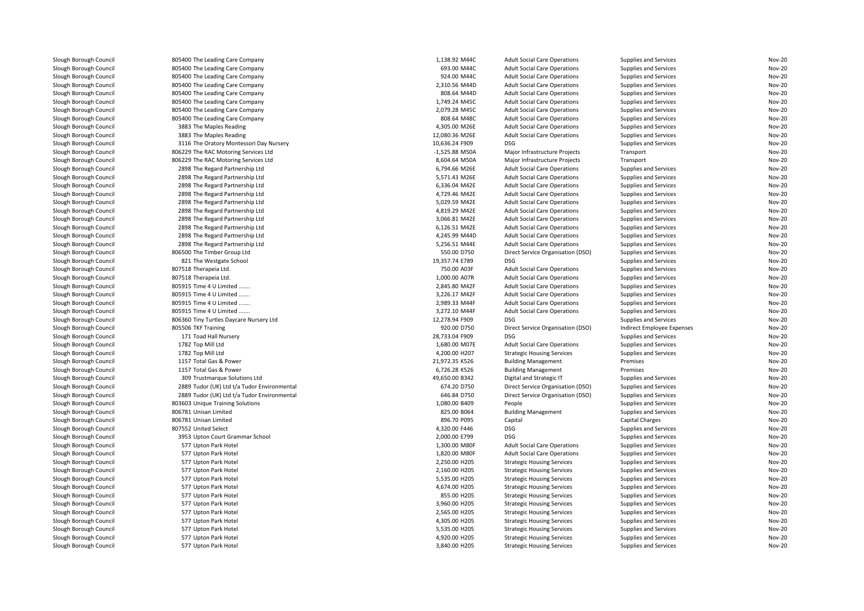| Slough Borough Council | 805400 The Leading Care Company             | 1,138.92 M44C    | <b>Adult Social Care Operations</b>      | Supplies and Services                          | <b>Nov-20</b> |
|------------------------|---------------------------------------------|------------------|------------------------------------------|------------------------------------------------|---------------|
| Slough Borough Council | 805400 The Leading Care Company             | 693.00 M44C      | <b>Adult Social Care Operations</b>      | Supplies and Services                          | <b>Nov-20</b> |
| Slough Borough Council | 805400 The Leading Care Company             | 924.00 M44C      | <b>Adult Social Care Operations</b>      | Supplies and Services                          | <b>Nov-20</b> |
| Slough Borough Council | 805400 The Leading Care Company             | 2,310.56 M44D    | <b>Adult Social Care Operations</b>      | Supplies and Services                          | <b>Nov-20</b> |
| Slough Borough Council | 805400 The Leading Care Company             | 808.64 M44D      | <b>Adult Social Care Operations</b>      | Supplies and Services                          | <b>Nov-20</b> |
| Slough Borough Council | 805400 The Leading Care Company             | 1,749.24 M45C    | <b>Adult Social Care Operations</b>      | Supplies and Services                          | <b>Nov-20</b> |
| Slough Borough Council | 805400 The Leading Care Company             | 2,079.28 M45C    | <b>Adult Social Care Operations</b>      | Supplies and Services                          | <b>Nov-20</b> |
| Slough Borough Council | 805400 The Leading Care Company             | 808.64 M48C      | <b>Adult Social Care Operations</b>      | Supplies and Services                          | <b>Nov-20</b> |
| Slough Borough Council | 3883 The Maples Reading                     | 4,305.00 M26E    | <b>Adult Social Care Operations</b>      | Supplies and Services                          | <b>Nov-20</b> |
| Slough Borough Council | 3883 The Maples Reading                     | 12,080.36 M26E   | <b>Adult Social Care Operations</b>      | Supplies and Services                          | <b>Nov-20</b> |
| Slough Borough Council | 3116 The Oratory Montessori Day Nursery     | 10,636.24 F909   | <b>DSG</b>                               | Supplies and Services                          | <b>Nov-20</b> |
| Slough Borough Council | 806229 The RAC Motoring Services Ltd        | $-1,525.88$ M50A | Major Infrastructure Projects            | Transport                                      | <b>Nov-20</b> |
| Slough Borough Council | 806229 The RAC Motoring Services Ltd        | 8,604.64 M50A    | Major Infrastructure Projects            | Transport                                      | <b>Nov-20</b> |
| Slough Borough Council | 2898 The Regard Partnership Ltd             | 6,794.66 M26E    | <b>Adult Social Care Operations</b>      | Supplies and Services                          | <b>Nov-20</b> |
| Slough Borough Council | 2898 The Regard Partnership Ltd             | 5,571.43 M26E    | <b>Adult Social Care Operations</b>      | Supplies and Services                          | Nov-20        |
| Slough Borough Council | 2898 The Regard Partnership Ltd             | 6,336.04 M42E    | <b>Adult Social Care Operations</b>      | Supplies and Services                          | <b>Nov-20</b> |
| Slough Borough Council | 2898 The Regard Partnership Ltd             | 4,729.46 M42E    | <b>Adult Social Care Operations</b>      | Supplies and Services                          | Nov-20        |
| Slough Borough Council | 2898 The Regard Partnership Ltd             | 5,029.59 M42E    | <b>Adult Social Care Operations</b>      | Supplies and Services                          | <b>Nov-20</b> |
| Slough Borough Council | 2898 The Regard Partnership Ltd             | 4,819.29 M42E    | <b>Adult Social Care Operations</b>      | Supplies and Services                          | <b>Nov-20</b> |
| Slough Borough Council | 2898 The Regard Partnership Ltd             | 3,066.81 M42E    | <b>Adult Social Care Operations</b>      | Supplies and Services                          | <b>Nov-20</b> |
| Slough Borough Council | 2898 The Regard Partnership Ltd             | 6,126.51 M42E    | <b>Adult Social Care Operations</b>      | Supplies and Services                          | <b>Nov-20</b> |
| Slough Borough Council | 2898 The Regard Partnership Ltd             | 4,245.99 M44D    | <b>Adult Social Care Operations</b>      | Supplies and Services                          | <b>Nov-20</b> |
| Slough Borough Council | 2898 The Regard Partnership Ltd             | 5,256.51 M44E    | <b>Adult Social Care Operations</b>      | Supplies and Services                          | <b>Nov-20</b> |
| Slough Borough Council | 806500 The Timber Group Ltd                 | 550.00 D750      |                                          | Supplies and Services                          | <b>Nov-20</b> |
| Slough Borough Council | 821 The Westgate School                     | 19,357.74 E789   | Direct Service Organisation (DSO)<br>DSG |                                                | <b>Nov-20</b> |
| Slough Borough Council | 807518 Therapeia Ltd.                       | 750.00 A03F      | <b>Adult Social Care Operations</b>      | Supplies and Services<br>Supplies and Services | <b>Nov-20</b> |
|                        |                                             |                  |                                          |                                                |               |
| Slough Borough Council | 807518 Therapeia Ltd.                       | 1,000.00 A07R    | <b>Adult Social Care Operations</b>      | Supplies and Services                          | <b>Nov-20</b> |
| Slough Borough Council | 805915 Time 4 U Limited                     | 2.845.80 M42F    | <b>Adult Social Care Operations</b>      | Supplies and Services                          | <b>Nov-20</b> |
| Slough Borough Council | 805915 Time 4 U Limited                     | 3,226.17 M42F    | <b>Adult Social Care Operations</b>      | Supplies and Services                          | <b>Nov-20</b> |
| Slough Borough Council | 805915 Time 4 U Limited                     | 2,989.33 M44F    | <b>Adult Social Care Operations</b>      | Supplies and Services                          | Nov-20        |
| Slough Borough Council | 805915 Time 4 U Limited                     | 3,272.10 M44F    | <b>Adult Social Care Operations</b>      | Supplies and Services                          | <b>Nov-20</b> |
| Slough Borough Council | 806360 Tiny Turtles Daycare Nursery Ltd     | 12,278.94 F909   | DSG                                      | Supplies and Services                          | Nov-20        |
| Slough Borough Council | 805506 TKF Training                         | 920.00 D750      | Direct Service Organisation (DSO)        | Indirect Employee Expenses                     | <b>Nov-20</b> |
| Slough Borough Council | 171 Toad Hall Nursery                       | 28,733.04 F909   | DSG                                      | Supplies and Services                          | Nov-20        |
| Slough Borough Council | 1782 Top Mill Ltd                           | 1,680.00 M07E    | <b>Adult Social Care Operations</b>      | Supplies and Services                          | <b>Nov-20</b> |
| Slough Borough Council | 1782 Top Mill Ltd                           | 4,200.00 H207    | <b>Strategic Housing Services</b>        | Supplies and Services                          | <b>Nov-20</b> |
| Slough Borough Council | 1157 Total Gas & Power                      | 21,972.35 K526   | <b>Building Management</b>               | Premises                                       | <b>Nov-20</b> |
| Slough Borough Council | 1157 Total Gas & Power                      | 6,726.28 K526    | <b>Building Management</b>               | Premises                                       | <b>Nov-20</b> |
| Slough Borough Council | 309 Trustmarque Solutions Ltd               | 49,650.00 B342   | Digital and Strategic IT                 | Supplies and Services                          | <b>Nov-20</b> |
| Slough Borough Council | 2889 Tudor (UK) Ltd t/a Tudor Environmental | 674.20 D750      | Direct Service Organisation (DSO)        | Supplies and Services                          | <b>Nov-20</b> |
| Slough Borough Council | 2889 Tudor (UK) Ltd t/a Tudor Environmental | 646.84 D750      | Direct Service Organisation (DSO)        | Supplies and Services                          | <b>Nov-20</b> |
| Slough Borough Council | 803603 Unique Training Solutions            | 1,080.00 B409    | People                                   | Supplies and Services                          | <b>Nov-20</b> |
| Slough Borough Council | 806781 Unisan Limited                       | 825.00 B064      | <b>Building Management</b>               | Supplies and Services                          | <b>Nov-20</b> |
| Slough Borough Council | 806781 Unisan Limited                       | 896.70 P095      | Capital                                  | Capital Charges                                | Nov-20        |
| Slough Borough Council | 807552 United Select                        | 4,320.00 F446    | <b>DSG</b>                               | Supplies and Services                          | Nov-20        |
| Slough Borough Council | 3953 Upton Court Grammar School             | 2,000.00 E799    | <b>DSG</b>                               | Supplies and Services                          | Nov-20        |
| Slough Borough Council | 577 Upton Park Hotel                        | 1,300.00 M80F    | <b>Adult Social Care Operations</b>      | Supplies and Services                          | Nov-20        |
| Slough Borough Council | 577 Upton Park Hotel                        | 1,820.00 M80F    | <b>Adult Social Care Operations</b>      | Supplies and Services                          | <b>Nov-20</b> |
| Slough Borough Council | 577 Upton Park Hotel                        | 2,250.00 H205    | <b>Strategic Housing Services</b>        | Supplies and Services                          | Nov-20        |
| Slough Borough Council | 577 Upton Park Hotel                        | 2,160.00 H205    | <b>Strategic Housing Services</b>        | Supplies and Services                          | <b>Nov-20</b> |
| Slough Borough Council | 577 Upton Park Hotel                        | 5,535.00 H205    | <b>Strategic Housing Services</b>        | Supplies and Services                          | Nov-20        |
| Slough Borough Council | 577 Upton Park Hotel                        | 4,674.00 H205    | <b>Strategic Housing Services</b>        | Supplies and Services                          | <b>Nov-20</b> |
| Slough Borough Council | 577 Upton Park Hotel                        | 855.00 H205      | <b>Strategic Housing Services</b>        | Supplies and Services                          | <b>Nov-20</b> |
| Slough Borough Council | 577 Upton Park Hotel                        | 3,960.00 H205    | <b>Strategic Housing Services</b>        | Supplies and Services                          | <b>Nov-20</b> |
| Slough Borough Council | 577 Upton Park Hotel                        | 2,565.00 H205    | <b>Strategic Housing Services</b>        | Supplies and Services                          | <b>Nov-20</b> |
| Slough Borough Council | 577 Upton Park Hotel                        | 4,305.00 H205    | <b>Strategic Housing Services</b>        | Supplies and Services                          | <b>Nov-20</b> |
| Slough Borough Council | 577 Upton Park Hotel                        | 5,535.00 H205    | <b>Strategic Housing Services</b>        | Supplies and Services                          | <b>Nov-20</b> |
| Slough Borough Council | 577 Upton Park Hotel                        | 4,920.00 H205    | <b>Strategic Housing Services</b>        | Supplies and Services                          | <b>Nov-20</b> |
| Slough Borough Council | 577 Upton Park Hotel                        | 3,840.00 H205    | <b>Strategic Housing Services</b>        | Supplies and Services                          | <b>Nov-20</b> |
|                        |                                             |                  |                                          |                                                |               |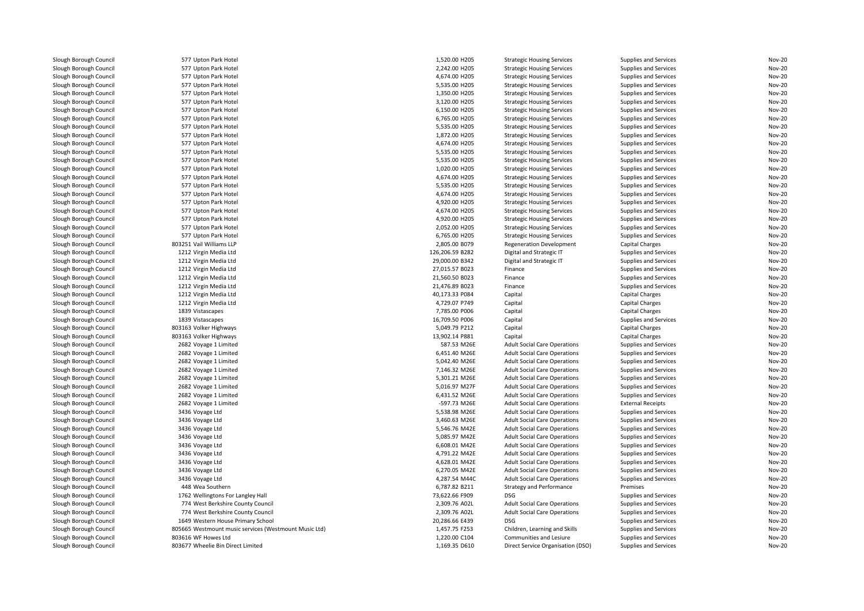| Slough Borough Council                           | 577 Upton Park Hotel                                  | 1,520.00 H205   | <b>Strategic Housing Services</b>                                          | Supplies and Services                          | <b>Nov-20</b> |
|--------------------------------------------------|-------------------------------------------------------|-----------------|----------------------------------------------------------------------------|------------------------------------------------|---------------|
| Slough Borough Council                           | 577 Upton Park Hotel                                  | 2,242.00 H205   | <b>Strategic Housing Services</b>                                          | Supplies and Services                          | <b>Nov-20</b> |
| Slough Borough Council                           | 577 Upton Park Hotel                                  | 4.674.00 H205   | <b>Strategic Housing Services</b>                                          | Supplies and Services                          | <b>Nov-20</b> |
| Slough Borough Council                           | 577 Upton Park Hotel                                  | 5,535.00 H205   | <b>Strategic Housing Services</b>                                          | Supplies and Services                          | <b>Nov-20</b> |
| Slough Borough Council                           | 577 Upton Park Hotel                                  | 1,350.00 H205   | <b>Strategic Housing Services</b>                                          | Supplies and Services                          | <b>Nov-20</b> |
| Slough Borough Council                           | 577 Upton Park Hotel                                  | 3,120.00 H205   | <b>Strategic Housing Services</b>                                          | Supplies and Services                          | <b>Nov-20</b> |
| Slough Borough Council                           | 577 Upton Park Hotel                                  | 6,150.00 H205   | <b>Strategic Housing Services</b>                                          | Supplies and Services                          | <b>Nov-20</b> |
| Slough Borough Council                           | 577 Upton Park Hotel                                  | 6,765.00 H205   | <b>Strategic Housing Services</b>                                          | Supplies and Services                          | <b>Nov-20</b> |
| Slough Borough Council                           | 577 Upton Park Hotel                                  | 5,535.00 H205   | <b>Strategic Housing Services</b>                                          | Supplies and Services                          | <b>Nov-20</b> |
| Slough Borough Council                           | 577 Upton Park Hotel                                  | 1,872.00 H205   | <b>Strategic Housing Services</b>                                          | Supplies and Services                          | <b>Nov-20</b> |
| Slough Borough Council                           | 577 Upton Park Hotel                                  | 4,674.00 H205   | <b>Strategic Housing Services</b>                                          | Supplies and Services                          | <b>Nov-20</b> |
| Slough Borough Council                           | 577 Upton Park Hotel                                  | 5,535.00 H205   | <b>Strategic Housing Services</b>                                          | Supplies and Services                          | <b>Nov-20</b> |
| Slough Borough Council                           | 577 Upton Park Hotel                                  | 5,535.00 H205   | <b>Strategic Housing Services</b>                                          | Supplies and Services                          | <b>Nov-20</b> |
| Slough Borough Council                           | 577 Upton Park Hotel                                  | 1,020.00 H205   | <b>Strategic Housing Services</b>                                          | Supplies and Services                          | <b>Nov-20</b> |
| Slough Borough Council                           | 577 Upton Park Hotel                                  | 4,674.00 H205   | <b>Strategic Housing Services</b>                                          | Supplies and Services                          | <b>Nov-20</b> |
| Slough Borough Council                           | 577 Upton Park Hotel                                  | 5,535.00 H205   | <b>Strategic Housing Services</b>                                          | Supplies and Services                          | <b>Nov-20</b> |
| Slough Borough Council                           | 577 Upton Park Hotel                                  | 4,674.00 H205   | <b>Strategic Housing Services</b>                                          | Supplies and Services                          | <b>Nov-20</b> |
| Slough Borough Council                           |                                                       | 4,920.00 H205   |                                                                            |                                                | <b>Nov-20</b> |
|                                                  | 577 Upton Park Hotel                                  |                 | <b>Strategic Housing Services</b>                                          | Supplies and Services                          |               |
| Slough Borough Council                           | 577 Upton Park Hotel                                  | 4,674.00 H205   | <b>Strategic Housing Services</b>                                          | Supplies and Services                          | <b>Nov-20</b> |
| Slough Borough Council                           | 577 Upton Park Hotel                                  | 4,920.00 H205   | <b>Strategic Housing Services</b>                                          | Supplies and Services                          | <b>Nov-20</b> |
| Slough Borough Council                           | 577 Upton Park Hotel                                  | 2,052.00 H205   | <b>Strategic Housing Services</b>                                          | Supplies and Services                          | <b>Nov-20</b> |
| Slough Borough Council                           | 577 Upton Park Hotel                                  | 6,765.00 H205   | <b>Strategic Housing Services</b>                                          | Supplies and Services                          | <b>Nov-20</b> |
| Slough Borough Council                           | 803251 Vail Williams LLP                              | 2,805.00 B079   | <b>Regeneration Development</b>                                            | Capital Charges                                | Nov-20        |
| Slough Borough Council                           | 1212 Virgin Media Ltd                                 | 126,206.59 B282 | Digital and Strategic IT                                                   | Supplies and Services                          | <b>Nov-20</b> |
| Slough Borough Council                           | 1212 Virgin Media Ltd                                 | 29,000.00 B342  | Digital and Strategic IT                                                   | Supplies and Services                          | <b>Nov-20</b> |
| Slough Borough Council                           | 1212 Virgin Media Ltd                                 | 27,015.57 B023  | Finance                                                                    | Supplies and Services                          | <b>Nov-20</b> |
| Slough Borough Council                           | 1212 Virgin Media Ltd                                 | 21,560.50 B023  | Finance                                                                    | Supplies and Services                          | <b>Nov-20</b> |
| Slough Borough Council                           | 1212 Virgin Media Ltd                                 | 21,476.89 B023  | Finance                                                                    | Supplies and Services                          | <b>Nov-20</b> |
| Slough Borough Council                           | 1212 Virgin Media Ltd                                 | 40,173.33 P084  | Capital                                                                    | <b>Capital Charges</b>                         | <b>Nov-20</b> |
| Slough Borough Council                           | 1212 Virgin Media Ltd                                 | 4,729.07 P749   | Capital                                                                    | <b>Capital Charges</b>                         | <b>Nov-20</b> |
| Slough Borough Council                           | 1839 Vistascapes                                      | 7,785.00 P006   | Capital                                                                    | Capital Charges                                | <b>Nov-20</b> |
| Slough Borough Council                           | 1839 Vistascapes                                      | 16,709.50 P006  | Capital                                                                    | Supplies and Services                          | <b>Nov-20</b> |
| Slough Borough Council                           | 803163 Volker Highways                                | 5,049.79 P212   | Capital                                                                    | Capital Charges                                | <b>Nov-20</b> |
| Slough Borough Council                           | 803163 Volker Highways                                | 13,902.14 P881  | Capital                                                                    | <b>Capital Charges</b>                         | <b>Nov-20</b> |
| Slough Borough Council                           | 2682 Voyage 1 Limited                                 | 587.53 M26E     | <b>Adult Social Care Operations</b>                                        | Supplies and Services                          | <b>Nov-20</b> |
| Slough Borough Council                           | 2682 Voyage 1 Limited                                 | 6,451.40 M26E   | <b>Adult Social Care Operations</b>                                        | Supplies and Services                          | <b>Nov-20</b> |
| Slough Borough Council                           | 2682 Voyage 1 Limited                                 | 5,042.40 M26E   | <b>Adult Social Care Operations</b>                                        | Supplies and Services                          | <b>Nov-20</b> |
| Slough Borough Council                           | 2682 Voyage 1 Limited                                 | 7,146.32 M26E   | <b>Adult Social Care Operations</b>                                        | Supplies and Services                          | <b>Nov-20</b> |
| Slough Borough Council                           | 2682 Voyage 1 Limited                                 | 5,301.21 M26E   | <b>Adult Social Care Operations</b>                                        | Supplies and Services                          | <b>Nov-20</b> |
| Slough Borough Council                           | 2682 Voyage 1 Limited                                 | 5,016.97 M27F   | <b>Adult Social Care Operations</b>                                        | Supplies and Services                          | <b>Nov-20</b> |
| Slough Borough Council                           | 2682 Voyage 1 Limited                                 | 6,431.52 M26E   | <b>Adult Social Care Operations</b>                                        | Supplies and Services                          | <b>Nov-20</b> |
| Slough Borough Council                           | 2682 Voyage 1 Limited                                 | -597.73 M26E    | <b>Adult Social Care Operations</b>                                        | <b>External Receipts</b>                       | <b>Nov-20</b> |
| Slough Borough Council                           | 3436 Voyage Ltd                                       | 5,538.98 M26E   | <b>Adult Social Care Operations</b>                                        | Supplies and Services                          | <b>Nov-20</b> |
| Slough Borough Council                           | 3436 Voyage Ltd                                       | 3,460.63 M26E   | <b>Adult Social Care Operations</b>                                        | Supplies and Services                          | <b>Nov-20</b> |
| Slough Borough Council                           | 3436 Voyage Ltd                                       | 5,546.76 M42E   | <b>Adult Social Care Operations</b>                                        | Supplies and Services                          | <b>Nov-20</b> |
| Slough Borough Council                           | 3436 Voyage Ltd                                       | 5,085.97 M42E   | <b>Adult Social Care Operations</b>                                        | Supplies and Services                          | <b>Nov-20</b> |
| Slough Borough Council                           | 3436 Voyage Ltd                                       | 6,608.01 M42E   | <b>Adult Social Care Operations</b>                                        | Supplies and Services                          | <b>Nov-20</b> |
| Slough Borough Council                           | 3436 Voyage Ltd                                       | 4,791.22 M42E   | <b>Adult Social Care Operations</b>                                        | Supplies and Services                          | <b>Nov-20</b> |
| Slough Borough Council                           | 3436 Voyage Ltd                                       | 4,628.01 M42E   | <b>Adult Social Care Operations</b>                                        | Supplies and Services                          | <b>Nov-20</b> |
| Slough Borough Council                           | 3436 Voyage Ltd                                       | 6,270.05 M42E   | <b>Adult Social Care Operations</b>                                        | Supplies and Services                          | <b>Nov-20</b> |
| Slough Borough Council                           | 3436 Voyage Ltd                                       | 4,287.54 M44C   | <b>Adult Social Care Operations</b>                                        | Supplies and Services                          | <b>Nov-20</b> |
| Slough Borough Council                           | 448 Wea Southern                                      | 6,787.82 B211   | <b>Strategy and Performance</b>                                            | Premises                                       | <b>Nov-20</b> |
| Slough Borough Council                           | 1762 Wellingtons For Langley Hall                     | 73,622.66 F909  | <b>DSG</b>                                                                 | Supplies and Services                          | <b>Nov-20</b> |
|                                                  | 774 West Berkshire County Council                     | 2,309.76 A02L   |                                                                            |                                                | <b>Nov-20</b> |
| Slough Borough Council<br>Slough Borough Council | 774 West Berkshire County Council                     | 2,309.76 A02L   | <b>Adult Social Care Operations</b><br><b>Adult Social Care Operations</b> | Supplies and Services<br>Supplies and Services | <b>Nov-20</b> |
|                                                  | 1649 Western House Primary School                     | 20,286.66 E439  | <b>DSG</b>                                                                 |                                                | <b>Nov-20</b> |
| Slough Borough Council                           |                                                       |                 |                                                                            | Supplies and Services                          |               |
| Slough Borough Council                           | 805665 Westmount music services (Westmount Music Ltd) | 1,457.75 F253   | Children, Learning and Skills                                              | Supplies and Services                          | <b>Nov-20</b> |
| Slough Borough Council                           | 803616 WF Howes Ltd                                   | 1,220.00 C104   | Communities and Lesiure                                                    | Supplies and Services                          | <b>Nov-20</b> |
| Slough Borough Council                           | 803677 Wheelie Bin Direct Limited                     | 1,169.35 D610   | Direct Service Organisation (DSO)                                          | Supplies and Services                          | <b>Nov-20</b> |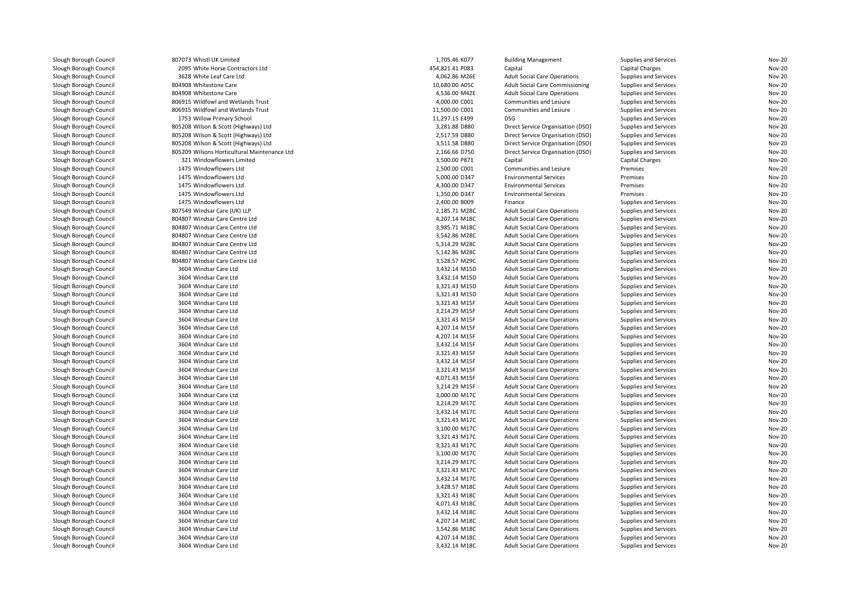| Slough Borough Council | 807073 Whistl UK Limited                     | 1,705.46 K077   | <b>Building Management</b>          | Supplies and Services | Nov-20           |
|------------------------|----------------------------------------------|-----------------|-------------------------------------|-----------------------|------------------|
| Slough Borough Council | 2095 White Horse Contractors Ltd             | 454,821.41 P083 | Capital                             | Capital Charges       | Nov-20           |
| Slough Borough Council | 3628 White Leaf Care Ltd                     | 4,062.86 M26E   | <b>Adult Social Care Operations</b> | Supplies and Services | Nov-20           |
| Slough Borough Council | 804908 Whitestone Care                       | 10,680.00 A05C  | Adult Social Care Commissioning     | Supplies and Services | Nov-20           |
| Slough Borough Council | 804908 Whitestone Care                       | 4,536.00 M42E   | <b>Adult Social Care Operations</b> | Supplies and Services | Nov-20           |
| Slough Borough Council | 806915 Wildfowl and Wetlands Trust           | 4,000.00 C001   | Communities and Lesiure             | Supplies and Services | Nov-20           |
| Slough Borough Council | 806915 Wildfowl and Wetlands Trust           | 11,500.00 C001  | Communities and Lesiure             | Supplies and Services | Nov-20           |
| Slough Borough Council | 1753 Willow Primary School                   | 11,297.15 E499  | <b>DSG</b>                          | Supplies and Services | Nov-20           |
| Slough Borough Council | 805208 Wilson & Scott (Highways) Ltd         | 3,281.88 D880   | Direct Service Organisation (DSO)   | Supplies and Services | Nov-20           |
| Slough Borough Council | 805208 Wilson & Scott (Highways) Ltd         | 2,517.59 D880   | Direct Service Organisation (DSO)   | Supplies and Services | Nov-20           |
| Slough Borough Council | 805208 Wilson & Scott (Highways) Ltd         | 3,511.58 D880   | Direct Service Organisation (DSO)   | Supplies and Services | Nov-20           |
| Slough Borough Council | 805209 Wilsons Horticultural Maintenance Ltd | 2,166.66 D750   | Direct Service Organisation (DSO)   | Supplies and Services | Nov-20           |
| Slough Borough Council | 321 Windowflowers Limited                    | 3,500.00 P871   | Capital                             | Capital Charges       | Nov-20           |
| Slough Borough Council | 1475 Windowflowers Ltd                       | 2,500.00 C001   | Communities and Lesiure             | Premises              | Nov-20           |
| Slough Borough Council | 1475 Windowflowers Ltd                       | 5,000.00 D347   | <b>Environmental Services</b>       | Premises              | Nov-20           |
| Slough Borough Council | 1475 Windowflowers Ltd                       | 4,300.00 D347   | <b>Environmental Services</b>       | Premises              | Nov-20           |
| Slough Borough Council | 1475 Windowflowers Ltd                       | 1,350.00 D347   | <b>Environmental Services</b>       | Premises              | Nov-20           |
| Slough Borough Council | 1475 Windowflowers Ltd                       | 2,400.00 B009   | Finance                             | Supplies and Services | Nov-20           |
| Slough Borough Council | 807549 Windsar Care (UK) LLP                 | 2,185.71 M28C   | <b>Adult Social Care Operations</b> | Supplies and Services | Nov-20           |
| Slough Borough Council | 804807 Windsar Care Centre Ltd               | 4,207.14 M18C   | <b>Adult Social Care Operations</b> | Supplies and Services | Nov-20           |
| Slough Borough Council | 804807 Windsar Care Centre Ltd               | 3,985.71 M18C   | <b>Adult Social Care Operations</b> | Supplies and Services | Nov-20           |
| Slough Borough Council | 804807 Windsar Care Centre Ltd               | 3,542.86 M28C   | <b>Adult Social Care Operations</b> | Supplies and Services | Nov-20           |
| Slough Borough Council | 804807 Windsar Care Centre Ltd               | 5,314.29 M28C   | <b>Adult Social Care Operations</b> | Supplies and Services | Nov-20           |
| Slough Borough Council | 804807 Windsar Care Centre Ltd               | 5,142.86 M28C   | <b>Adult Social Care Operations</b> | Supplies and Services | Nov-20           |
| Slough Borough Council | 804807 Windsar Care Centre Ltd               | 3,528.57 M29C   | <b>Adult Social Care Operations</b> | Supplies and Services | Nov-20           |
| Slough Borough Council | 3604 Windsar Care Ltd                        | 3,432.14 M15D   | <b>Adult Social Care Operations</b> | Supplies and Services | Nov-20           |
| Slough Borough Council | 3604 Windsar Care Ltd                        | 3,432.14 M15D   | <b>Adult Social Care Operations</b> | Supplies and Services | Nov-20           |
| Slough Borough Council | 3604 Windsar Care Ltd                        | 3,321.43 M15D   | <b>Adult Social Care Operations</b> | Supplies and Services | Nov-20           |
| Slough Borough Council | 3604 Windsar Care Ltd                        | 3,321.43 M15D   | <b>Adult Social Care Operations</b> | Supplies and Services | Nov-20           |
| Slough Borough Council | 3604 Windsar Care Ltd                        | 3,321.43 M15F   | <b>Adult Social Care Operations</b> | Supplies and Services | Nov-20           |
| Slough Borough Council | 3604 Windsar Care Ltd                        | 3,214.29 M15F   | <b>Adult Social Care Operations</b> | Supplies and Services | Nov-20           |
| Slough Borough Council | 3604 Windsar Care Ltd                        | 3,321.43 M15F   | <b>Adult Social Care Operations</b> | Supplies and Services | Nov-20           |
| Slough Borough Council | 3604 Windsar Care Ltd                        | 4,207.14 M15F   | <b>Adult Social Care Operations</b> | Supplies and Services | Nov-20           |
| Slough Borough Council | 3604 Windsar Care Ltd                        | 4,207.14 M15F   | <b>Adult Social Care Operations</b> | Supplies and Services | Nov-20           |
|                        | 3604 Windsar Care Ltd                        | 3,432.14 M15F   |                                     |                       |                  |
| Slough Borough Council |                                              | 3,321.43 M15F   | <b>Adult Social Care Operations</b> | Supplies and Services | Nov-20<br>Nov-20 |
| Slough Borough Council | 3604 Windsar Care Ltd                        |                 | <b>Adult Social Care Operations</b> | Supplies and Services |                  |
| Slough Borough Council | 3604 Windsar Care Ltd                        | 3,432.14 M15F   | <b>Adult Social Care Operations</b> | Supplies and Services | Nov-20           |
| Slough Borough Council | 3604 Windsar Care Ltd                        | 3,321.43 M15F   | <b>Adult Social Care Operations</b> | Supplies and Services | Nov-20           |
| Slough Borough Council | 3604 Windsar Care Ltd                        | 4,071.43 M15F   | <b>Adult Social Care Operations</b> | Supplies and Services | Nov-20           |
| Slough Borough Council | 3604 Windsar Care Ltd                        | 3,214.29 M15F   | <b>Adult Social Care Operations</b> | Supplies and Services | Nov-20           |
| Slough Borough Council | 3604 Windsar Care Ltd                        | 3,000.00 M17C   | <b>Adult Social Care Operations</b> | Supplies and Services | Nov-20           |
| Slough Borough Council | 3604 Windsar Care Ltd                        | 3,214.29 M17C   | <b>Adult Social Care Operations</b> | Supplies and Services | Nov-20           |
| Slough Borough Council | 3604 Windsar Care Ltd                        | 3,432.14 M17C   | <b>Adult Social Care Operations</b> | Supplies and Services | Nov-20           |
| Slough Borough Council | 3604 Windsar Care Ltd                        | 3,321.43 M17C   | <b>Adult Social Care Operations</b> | Supplies and Services | Nov-20           |
| Slough Borough Council | 3604 Windsar Care Ltd                        | 3,100.00 M17C   | <b>Adult Social Care Operations</b> | Supplies and Services | Nov-20           |
| Slough Borough Council | 3604 Windsar Care Ltd                        | 3,321.43 M17C   | <b>Adult Social Care Operations</b> | Supplies and Services | Nov-20           |
| Slough Borough Council | 3604 Windsar Care Ltd                        | 3,321.43 M17C   | <b>Adult Social Care Operations</b> | Supplies and Services | Nov-20           |
| Slough Borough Council | 3604 Windsar Care Ltd                        | 3,100.00 M17C   | <b>Adult Social Care Operations</b> | Supplies and Services | Nov-20           |
| Slough Borough Council | 3604 Windsar Care Ltd                        | 3,214.29 M17C   | <b>Adult Social Care Operations</b> | Supplies and Services | Nov-20           |
| Slough Borough Council | 3604 Windsar Care Ltd                        | 3,321.43 M17C   | <b>Adult Social Care Operations</b> | Supplies and Services | Nov-20           |
| Slough Borough Council | 3604 Windsar Care Ltd                        | 3,432.14 M17C   | <b>Adult Social Care Operations</b> | Supplies and Services | Nov-20           |
| Slough Borough Council | 3604 Windsar Care Ltd                        | 3,428.57 M18C   | <b>Adult Social Care Operations</b> | Supplies and Services | Nov-20           |
| Slough Borough Council | 3604 Windsar Care Ltd                        | 3,321.43 M18C   | <b>Adult Social Care Operations</b> | Supplies and Services | Nov-20           |
| Slough Borough Council | 3604 Windsar Care Ltd                        | 4,071.43 M18C   | <b>Adult Social Care Operations</b> | Supplies and Services | Nov-20           |
| Slough Borough Council | 3604 Windsar Care Ltd                        | 3,432.14 M18C   | <b>Adult Social Care Operations</b> | Supplies and Services | Nov-20           |
| Slough Borough Council | 3604 Windsar Care Ltd                        | 4,207.14 M18C   | <b>Adult Social Care Operations</b> | Supplies and Services | Nov-20           |
| Slough Borough Council | 3604 Windsar Care Ltd                        | 3,542.86 M18C   | <b>Adult Social Care Operations</b> | Supplies and Services | Nov-20           |
| Slough Borough Council | 3604 Windsar Care Ltd                        | 4,207.14 M18C   | <b>Adult Social Care Operations</b> | Supplies and Services | Nov-20           |
| Slough Borough Council | 3604 Windsar Care Ltd                        | 3,432.14 M18C   | <b>Adult Social Care Operations</b> | Supplies and Services | Nov-20           |
|                        |                                              |                 |                                     |                       |                  |